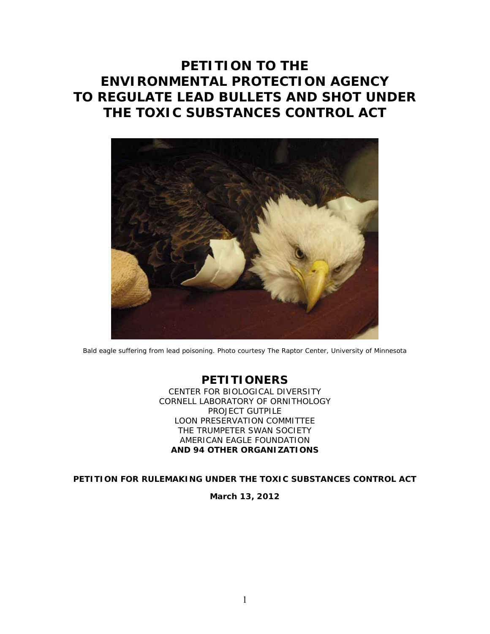# **PETITION TO THE ENVIRONMENTAL PROTECTION AGENCY TO REGULATE LEAD BULLETS AND SHOT UNDER THE TOXIC SUBSTANCES CONTROL ACT**



Bald eagle suffering from lead poisoning. Photo courtesy The Raptor Center, University of Minnesota

# **PETITIONERS**

CENTER FOR BIOLOGICAL DIVERSITY CORNELL LABORATORY OF ORNITHOLOGY PROJECT GUTPILE LOON PRESERVATION COMMITTEE THE TRUMPETER SWAN SOCIETY AMERICAN EAGLE FOUNDATION *AND 94 OTHER ORGANIZATIONS* 

**PETITION FOR RULEMAKING UNDER THE TOXIC SUBSTANCES CONTROL ACT** 

**March 13, 2012**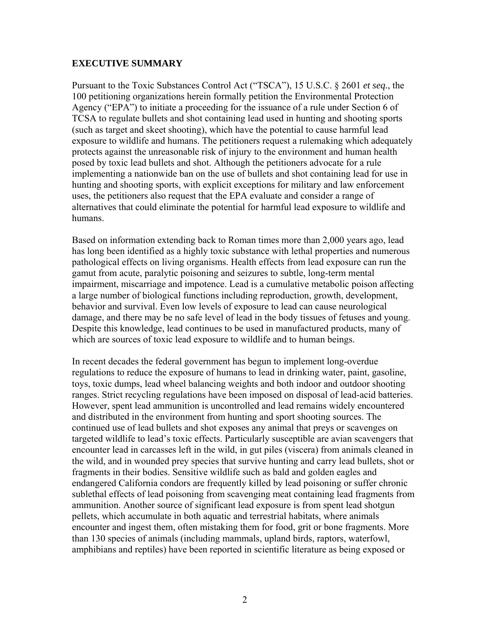#### **EXECUTIVE SUMMARY**

Pursuant to the Toxic Substances Control Act ("TSCA"), 15 U.S.C. § 2601 *et seq.*, the 100 petitioning organizations herein formally petition the Environmental Protection Agency ("EPA") to initiate a proceeding for the issuance of a rule under Section 6 of TCSA to regulate bullets and shot containing lead used in hunting and shooting sports (such as target and skeet shooting), which have the potential to cause harmful lead exposure to wildlife and humans. The petitioners request a rulemaking which adequately protects against the unreasonable risk of injury to the environment and human health posed by toxic lead bullets and shot. Although the petitioners advocate for a rule implementing a nationwide ban on the use of bullets and shot containing lead for use in hunting and shooting sports, with explicit exceptions for military and law enforcement uses, the petitioners also request that the EPA evaluate and consider a range of alternatives that could eliminate the potential for harmful lead exposure to wildlife and humans.

Based on information extending back to Roman times more than 2,000 years ago, lead has long been identified as a highly toxic substance with lethal properties and numerous pathological effects on living organisms. Health effects from lead exposure can run the gamut from acute, paralytic poisoning and seizures to subtle, long-term mental impairment, miscarriage and impotence. Lead is a cumulative metabolic poison affecting a large number of biological functions including reproduction, growth, development, behavior and survival. Even low levels of exposure to lead can cause neurological damage, and there may be no safe level of lead in the body tissues of fetuses and young. Despite this knowledge, lead continues to be used in manufactured products, many of which are sources of toxic lead exposure to wildlife and to human beings.

In recent decades the federal government has begun to implement long-overdue regulations to reduce the exposure of humans to lead in drinking water, paint, gasoline, toys, toxic dumps, lead wheel balancing weights and both indoor and outdoor shooting ranges. Strict recycling regulations have been imposed on disposal of lead-acid batteries. However, spent lead ammunition is uncontrolled and lead remains widely encountered and distributed in the environment from hunting and sport shooting sources. The continued use of lead bullets and shot exposes any animal that preys or scavenges on targeted wildlife to lead's toxic effects. Particularly susceptible are avian scavengers that encounter lead in carcasses left in the wild, in gut piles (viscera) from animals cleaned in the wild, and in wounded prey species that survive hunting and carry lead bullets, shot or fragments in their bodies. Sensitive wildlife such as bald and golden eagles and endangered California condors are frequently killed by lead poisoning or suffer chronic sublethal effects of lead poisoning from scavenging meat containing lead fragments from ammunition. Another source of significant lead exposure is from spent lead shotgun pellets, which accumulate in both aquatic and terrestrial habitats, where animals encounter and ingest them, often mistaking them for food, grit or bone fragments. More than 130 species of animals (including mammals, upland birds, raptors, waterfowl, amphibians and reptiles) have been reported in scientific literature as being exposed or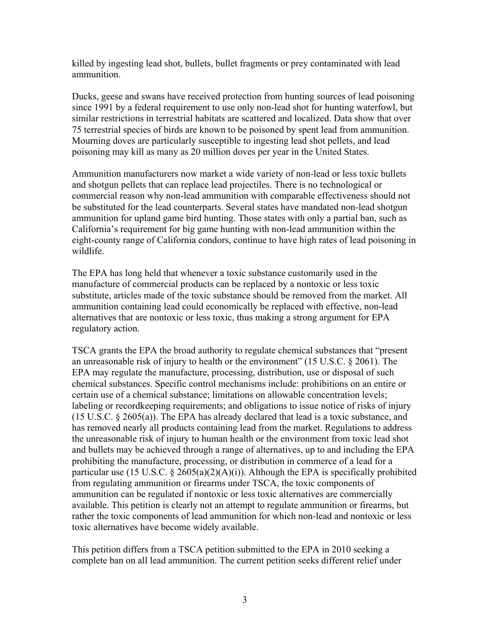killed by ingesting lead shot, bullets, bullet fragments or prey contaminated with lead ammunition.

Ducks, geese and swans have received protection from hunting sources of lead poisoning since 1991 by a federal requirement to use only non-lead shot for hunting waterfowl, but similar restrictions in terrestrial habitats are scattered and localized. Data show that over 75 terrestrial species of birds are known to be poisoned by spent lead from ammunition. Mourning doves are particularly susceptible to ingesting lead shot pellets, and lead poisoning may kill as many as 20 million doves per year in the United States.

Ammunition manufacturers now market a wide variety of non-lead or less toxic bullets and shotgun pellets that can replace lead projectiles. There is no technological or commercial reason why non-lead ammunition with comparable effectiveness should not be substituted for the lead counterparts. Several states have mandated non-lead shotgun ammunition for upland game bird hunting. Those states with only a partial ban, such as California's requirement for big game hunting with non-lead ammunition within the eight-county range of California condors, continue to have high rates of lead poisoning in wildlife.

The EPA has long held that whenever a toxic substance customarily used in the manufacture of commercial products can be replaced by a nontoxic or less toxic substitute, articles made of the toxic substance should be removed from the market. All ammunition containing lead could economically be replaced with effective, non-lead alternatives that are nontoxic or less toxic, thus making a strong argument for EPA regulatory action.

TSCA grants the EPA the broad authority to regulate chemical substances that "present an unreasonable risk of injury to health or the environment" (15 U.S.C. § 2061). The EPA may regulate the manufacture, processing, distribution, use or disposal of such chemical substances. Specific control mechanisms include: prohibitions on an entire or certain use of a chemical substance; limitations on allowable concentration levels; labeling or recordkeeping requirements; and obligations to issue notice of risks of injury (15 U.S.C. § 2605(a)). The EPA has already declared that lead is a toxic substance, and has removed nearly all products containing lead from the market. Regulations to address the unreasonable risk of injury to human health or the environment from toxic lead shot and bullets may be achieved through a range of alternatives, up to and including the EPA prohibiting the manufacture, processing, or distribution in commerce of a lead for a particular use (15 U.S.C.  $\S$  2605(a)(2)(A)(i)). Although the EPA is specifically prohibited from regulating ammunition or firearms under TSCA, the toxic components of ammunition can be regulated if nontoxic or less toxic alternatives are commercially available. This petition is clearly not an attempt to regulate ammunition or firearms, but rather the toxic components of lead ammunition for which non-lead and nontoxic or less toxic alternatives have become widely available.

This petition differs from a TSCA petition submitted to the EPA in 2010 seeking a complete ban on all lead ammunition. The current petition seeks different relief under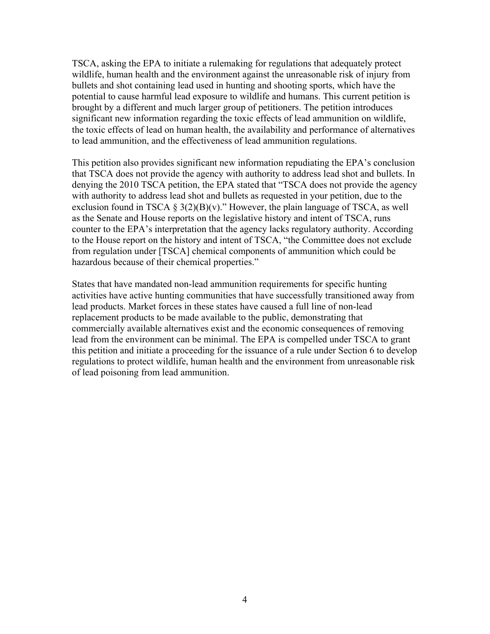TSCA, asking the EPA to initiate a rulemaking for regulations that adequately protect wildlife, human health and the environment against the unreasonable risk of injury from bullets and shot containing lead used in hunting and shooting sports, which have the potential to cause harmful lead exposure to wildlife and humans. This current petition is brought by a different and much larger group of petitioners. The petition introduces significant new information regarding the toxic effects of lead ammunition on wildlife, the toxic effects of lead on human health, the availability and performance of alternatives to lead ammunition, and the effectiveness of lead ammunition regulations.

This petition also provides significant new information repudiating the EPA's conclusion that TSCA does not provide the agency with authority to address lead shot and bullets. In denying the 2010 TSCA petition, the EPA stated that "TSCA does not provide the agency with authority to address lead shot and bullets as requested in your petition, due to the exclusion found in TSCA  $\S 3(2)(B)(v)$ ." However, the plain language of TSCA, as well as the Senate and House reports on the legislative history and intent of TSCA, runs counter to the EPA's interpretation that the agency lacks regulatory authority. According to the House report on the history and intent of TSCA, "the Committee does not exclude from regulation under [TSCA] chemical components of ammunition which could be hazardous because of their chemical properties."

States that have mandated non-lead ammunition requirements for specific hunting activities have active hunting communities that have successfully transitioned away from lead products. Market forces in these states have caused a full line of non-lead replacement products to be made available to the public, demonstrating that commercially available alternatives exist and the economic consequences of removing lead from the environment can be minimal. The EPA is compelled under TSCA to grant this petition and initiate a proceeding for the issuance of a rule under Section 6 to develop regulations to protect wildlife, human health and the environment from unreasonable risk of lead poisoning from lead ammunition.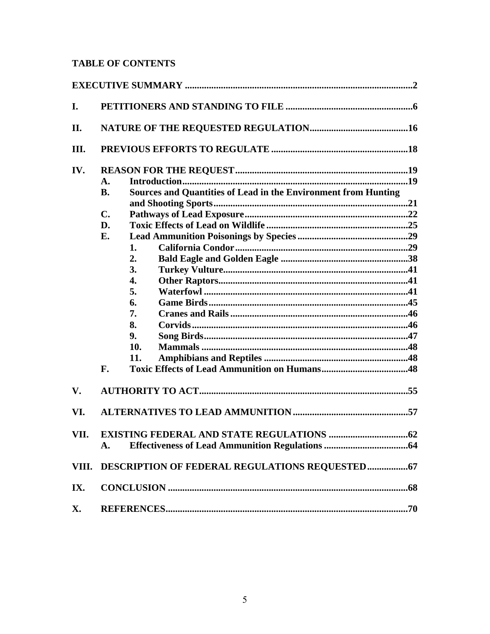# **TABLE OF CONTENTS**

| I.    |                                                                                    |  |  |  |
|-------|------------------------------------------------------------------------------------|--|--|--|
| II.   |                                                                                    |  |  |  |
| Ш.    |                                                                                    |  |  |  |
| IV.   |                                                                                    |  |  |  |
|       | $\mathbf{A}$ .                                                                     |  |  |  |
|       | <b>Sources and Quantities of Lead in the Environment from Hunting</b><br><b>B.</b> |  |  |  |
|       |                                                                                    |  |  |  |
|       | $\mathbf{C}$ .                                                                     |  |  |  |
|       | D.                                                                                 |  |  |  |
|       | Е.                                                                                 |  |  |  |
|       | 1.                                                                                 |  |  |  |
|       | 2.                                                                                 |  |  |  |
|       | 3.                                                                                 |  |  |  |
|       | 4.                                                                                 |  |  |  |
|       | 5.                                                                                 |  |  |  |
|       | 6.                                                                                 |  |  |  |
|       | 7.                                                                                 |  |  |  |
|       | 8.                                                                                 |  |  |  |
|       | 9.                                                                                 |  |  |  |
|       | 10.                                                                                |  |  |  |
|       | 11.                                                                                |  |  |  |
|       | F.                                                                                 |  |  |  |
| V.    |                                                                                    |  |  |  |
| VI.   |                                                                                    |  |  |  |
| VII.  |                                                                                    |  |  |  |
|       | $\mathbf{A}$ .                                                                     |  |  |  |
| VIII. |                                                                                    |  |  |  |
| IX.   |                                                                                    |  |  |  |
| X.    |                                                                                    |  |  |  |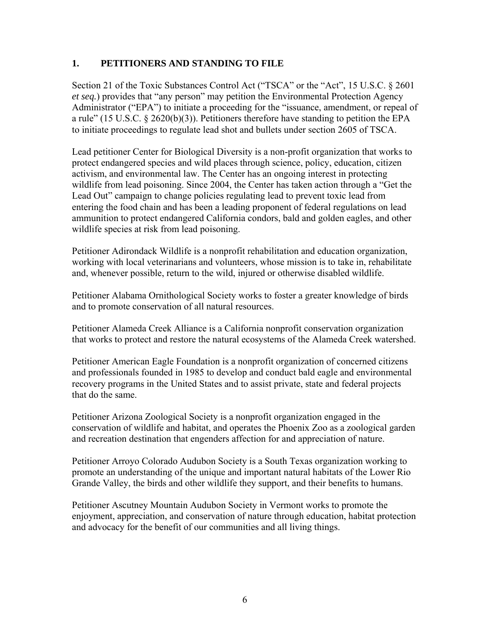#### **1. PETITIONERS AND STANDING TO FILE**

Section 21 of the Toxic Substances Control Act ("TSCA" or the "Act", 15 U.S.C. § 2601 *et seq.*) provides that "any person" may petition the Environmental Protection Agency Administrator ("EPA") to initiate a proceeding for the "issuance, amendment, or repeal of a rule" (15 U.S.C. § 2620(b)(3)). Petitioners therefore have standing to petition the EPA to initiate proceedings to regulate lead shot and bullets under section 2605 of TSCA.

Lead petitioner Center for Biological Diversity is a non-profit organization that works to protect endangered species and wild places through science, policy, education, citizen activism, and environmental law. The Center has an ongoing interest in protecting wildlife from lead poisoning. Since 2004, the Center has taken action through a "Get the Lead Out" campaign to change policies regulating lead to prevent toxic lead from entering the food chain and has been a leading proponent of federal regulations on lead ammunition to protect endangered California condors, bald and golden eagles, and other wildlife species at risk from lead poisoning.

Petitioner Adirondack Wildlife is a nonprofit rehabilitation and education organization, working with local veterinarians and volunteers, whose mission is to take in, rehabilitate and, whenever possible, return to the wild, injured or otherwise disabled wildlife.

Petitioner Alabama Ornithological Society works to foster a greater knowledge of birds and to promote conservation of all natural resources.

Petitioner Alameda Creek Alliance is a California nonprofit conservation organization that works to protect and restore the natural ecosystems of the Alameda Creek watershed.

Petitioner American Eagle Foundation is a nonprofit organization of concerned citizens and professionals founded in 1985 to develop and conduct bald eagle and environmental recovery programs in the United States and to assist private, state and federal projects that do the same.

Petitioner Arizona Zoological Society is a nonprofit organization engaged in the conservation of wildlife and habitat, and operates the Phoenix Zoo as a zoological garden and recreation destination that engenders affection for and appreciation of nature.

Petitioner Arroyo Colorado Audubon Society is a South Texas organization working to promote an understanding of the unique and important natural habitats of the Lower Rio Grande Valley, the birds and other wildlife they support, and their benefits to humans.

Petitioner Ascutney Mountain Audubon Society in Vermont works to promote the enjoyment, appreciation, and conservation of nature through education, habitat protection and advocacy for the benefit of our communities and all living things.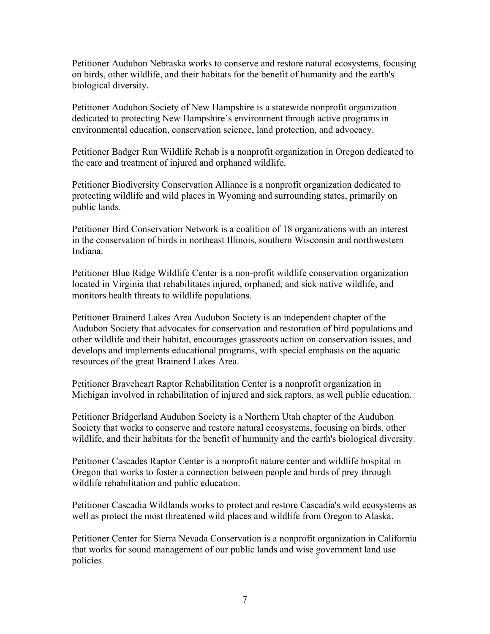Petitioner Audubon Nebraska works to conserve and restore natural ecosystems, focusing on birds, other wildlife, and their habitats for the benefit of humanity and the earth's biological diversity.

Petitioner Audubon Society of New Hampshire is a statewide nonprofit organization dedicated to protecting New Hampshire's environment through active programs in environmental education, conservation science, land protection, and advocacy.

Petitioner Badger Run Wildlife Rehab is a nonprofit organization in Oregon dedicated to the care and treatment of injured and orphaned wildlife.

Petitioner Biodiversity Conservation Alliance is a nonprofit organization dedicated to protecting wildlife and wild places in Wyoming and surrounding states, primarily on public lands.

Petitioner Bird Conservation Network is a coalition of 18 organizations with an interest in the conservation of birds in northeast Illinois, southern Wisconsin and northwestern Indiana.

Petitioner Blue Ridge Wildlife Center is a non-profit wildlife conservation organization located in Virginia that rehabilitates injured, orphaned, and sick native wildlife, and monitors health threats to wildlife populations.

Petitioner Brainerd Lakes Area Audubon Society is an independent chapter of the Audubon Society that advocates for conservation and restoration of bird populations and other wildlife and their habitat, encourages grassroots action on conservation issues, and develops and implements educational programs, with special emphasis on the aquatic resources of the great Brainerd Lakes Area.

Petitioner Braveheart Raptor Rehabilitation Center is a nonprofit organization in Michigan involved in rehabilitation of injured and sick raptors, as well public education.

Petitioner Bridgerland Audubon Society is a Northern Utah chapter of the Audubon Society that works to conserve and restore natural ecosystems, focusing on birds, other wildlife, and their habitats for the benefit of humanity and the earth's biological diversity.

Petitioner Cascades Raptor Center is a nonprofit nature center and wildlife hospital in Oregon that works to foster a connection between people and birds of prey through wildlife rehabilitation and public education.

Petitioner Cascadia Wildlands works to protect and restore Cascadia's wild ecosystems as well as protect the most threatened wild places and wildlife from Oregon to Alaska.

Petitioner Center for Sierra Nevada Conservation is a nonprofit organization in California that works for sound management of our public lands and wise government land use policies.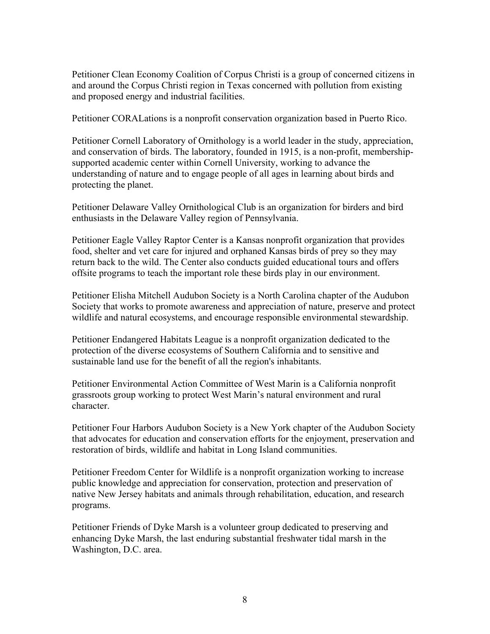Petitioner Clean Economy Coalition of Corpus Christi is a group of concerned citizens in and around the Corpus Christi region in Texas concerned with pollution from existing and proposed energy and industrial facilities.

Petitioner CORALations is a nonprofit conservation organization based in Puerto Rico.

Petitioner Cornell Laboratory of Ornithology is a world leader in the study, appreciation, and conservation of birds. The laboratory, founded in 1915, is a non-profit, membershipsupported academic center within Cornell University, working to advance the understanding of nature and to engage people of all ages in learning about birds and protecting the planet.

Petitioner Delaware Valley Ornithological Club is an organization for birders and bird enthusiasts in the Delaware Valley region of Pennsylvania.

Petitioner Eagle Valley Raptor Center is a Kansas nonprofit organization that provides food, shelter and vet care for injured and orphaned Kansas birds of prey so they may return back to the wild. The Center also conducts guided educational tours and offers offsite programs to teach the important role these birds play in our environment.

Petitioner Elisha Mitchell Audubon Society is a North Carolina chapter of the Audubon Society that works to promote awareness and appreciation of nature, preserve and protect wildlife and natural ecosystems, and encourage responsible environmental stewardship.

Petitioner Endangered Habitats League is a nonprofit organization dedicated to the protection of the diverse ecosystems of Southern California and to sensitive and sustainable land use for the benefit of all the region's inhabitants.

Petitioner Environmental Action Committee of West Marin is a California nonprofit grassroots group working to protect West Marin's natural environment and rural character.

Petitioner Four Harbors Audubon Society is a New York chapter of the Audubon Society that advocates for education and conservation efforts for the enjoyment, preservation and restoration of birds, wildlife and habitat in Long Island communities.

Petitioner Freedom Center for Wildlife is a nonprofit organization working to increase public knowledge and appreciation for conservation, protection and preservation of native New Jersey habitats and animals through rehabilitation, education, and research programs.

Petitioner Friends of Dyke Marsh is a volunteer group dedicated to preserving and enhancing Dyke Marsh, the last enduring substantial freshwater tidal marsh in the Washington, D.C. area.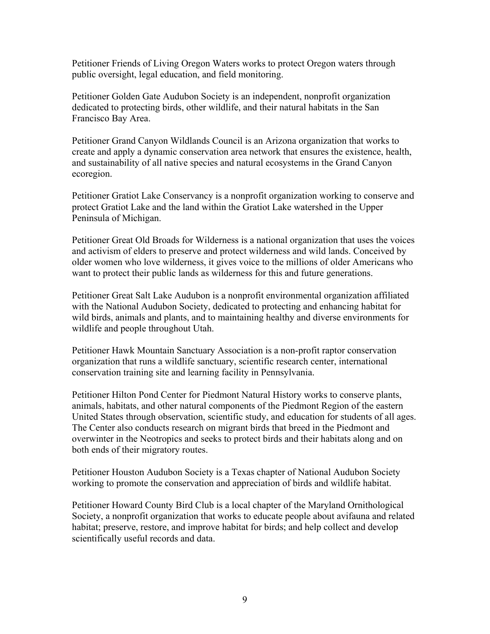Petitioner Friends of Living Oregon Waters works to protect Oregon waters through public oversight, legal education, and field monitoring.

Petitioner Golden Gate Audubon Society is an independent, nonprofit organization dedicated to protecting birds, other wildlife, and their natural habitats in the San Francisco Bay Area.

Petitioner Grand Canyon Wildlands Council is an Arizona organization that works to create and apply a dynamic conservation area network that ensures the existence, health, and sustainability of all native species and natural ecosystems in the Grand Canyon ecoregion.

Petitioner Gratiot Lake Conservancy is a nonprofit organization working to conserve and protect Gratiot Lake and the land within the Gratiot Lake watershed in the Upper Peninsula of Michigan.

Petitioner Great Old Broads for Wilderness is a national organization that uses the voices and activism of elders to preserve and protect wilderness and wild lands. Conceived by older women who love wilderness, it gives voice to the millions of older Americans who want to protect their public lands as wilderness for this and future generations.

Petitioner Great Salt Lake Audubon is a nonprofit environmental organization affiliated with the National Audubon Society, dedicated to protecting and enhancing habitat for wild birds, animals and plants, and to maintaining healthy and diverse environments for wildlife and people throughout Utah.

Petitioner Hawk Mountain Sanctuary Association is a non-profit raptor conservation organization that runs a wildlife sanctuary, scientific research center, international conservation training site and learning facility in Pennsylvania.

Petitioner Hilton Pond Center for Piedmont Natural History works to conserve plants, animals, habitats, and other natural components of the Piedmont Region of the eastern United States through observation, scientific study, and education for students of all ages. The Center also conducts research on migrant birds that breed in the Piedmont and overwinter in the Neotropics and seeks to protect birds and their habitats along and on both ends of their migratory routes.

Petitioner Houston Audubon Society is a Texas chapter of National Audubon Society working to promote the conservation and appreciation of birds and wildlife habitat.

Petitioner Howard County Bird Club is a local chapter of the Maryland Ornithological Society, a nonprofit organization that works to educate people about avifauna and related habitat; preserve, restore, and improve habitat for birds; and help collect and develop scientifically useful records and data.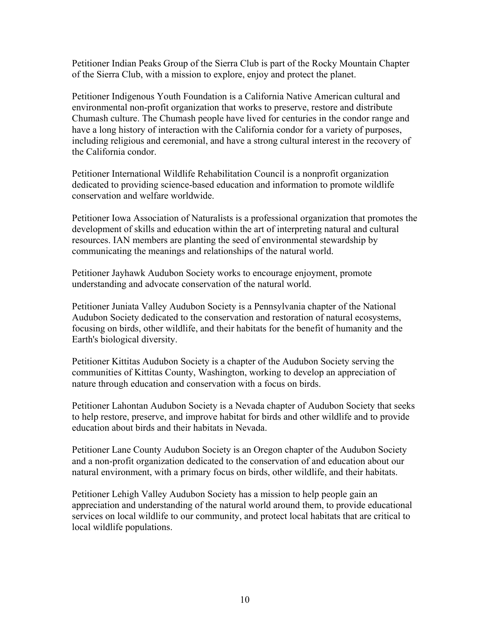Petitioner Indian Peaks Group of the Sierra Club is part of the Rocky Mountain Chapter of the Sierra Club, with a mission to explore, enjoy and protect the planet.

Petitioner Indigenous Youth Foundation is a California Native American cultural and environmental non-profit organization that works to preserve, restore and distribute Chumash culture. The Chumash people have lived for centuries in the condor range and have a long history of interaction with the California condor for a variety of purposes, including religious and ceremonial, and have a strong cultural interest in the recovery of the California condor.

Petitioner International Wildlife Rehabilitation Council is a nonprofit organization dedicated to providing science-based education and information to promote wildlife conservation and welfare worldwide.

Petitioner Iowa Association of Naturalists is a professional organization that promotes the development of skills and education within the art of interpreting natural and cultural resources. IAN members are planting the seed of environmental stewardship by communicating the meanings and relationships of the natural world.

Petitioner Jayhawk Audubon Society works to encourage enjoyment, promote understanding and advocate conservation of the natural world.

Petitioner Juniata Valley Audubon Society is a Pennsylvania chapter of the National Audubon Society dedicated to the conservation and restoration of natural ecosystems, focusing on birds, other wildlife, and their habitats for the benefit of humanity and the Earth's biological diversity.

Petitioner Kittitas Audubon Society is a chapter of the Audubon Society serving the communities of Kittitas County, Washington, working to develop an appreciation of nature through education and conservation with a focus on birds.

Petitioner Lahontan Audubon Society is a Nevada chapter of Audubon Society that seeks to help restore, preserve, and improve habitat for birds and other wildlife and to provide education about birds and their habitats in Nevada.

Petitioner Lane County Audubon Society is an Oregon chapter of the Audubon Society and a non-profit organization dedicated to the conservation of and education about our natural environment, with a primary focus on birds, other wildlife, and their habitats.

Petitioner Lehigh Valley Audubon Society has a mission to help people gain an appreciation and understanding of the natural world around them, to provide educational services on local wildlife to our community, and protect local habitats that are critical to local wildlife populations.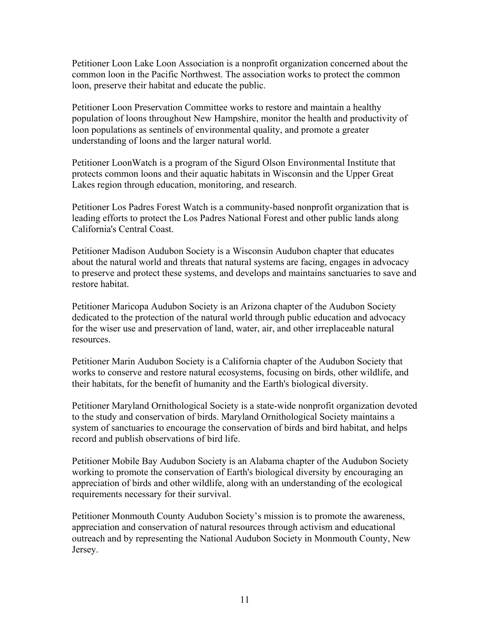Petitioner Loon Lake Loon Association is a nonprofit organization concerned about the common loon in the Pacific Northwest. The association works to protect the common loon, preserve their habitat and educate the public.

Petitioner Loon Preservation Committee works to restore and maintain a healthy population of loons throughout New Hampshire, monitor the health and productivity of loon populations as sentinels of environmental quality, and promote a greater understanding of loons and the larger natural world.

Petitioner LoonWatch is a program of the Sigurd Olson Environmental Institute that protects common loons and their aquatic habitats in Wisconsin and the Upper Great Lakes region through education, monitoring, and research.

Petitioner Los Padres Forest Watch is a community-based nonprofit organization that is leading efforts to protect the Los Padres National Forest and other public lands along California's Central Coast.

Petitioner Madison Audubon Society is a Wisconsin Audubon chapter that educates about the natural world and threats that natural systems are facing, engages in advocacy to preserve and protect these systems, and develops and maintains sanctuaries to save and restore habitat.

Petitioner Maricopa Audubon Society is an Arizona chapter of the Audubon Society dedicated to the protection of the natural world through public education and advocacy for the wiser use and preservation of land, water, air, and other irreplaceable natural resources.

Petitioner Marin Audubon Society is a California chapter of the Audubon Society that works to conserve and restore natural ecosystems, focusing on birds, other wildlife, and their habitats, for the benefit of humanity and the Earth's biological diversity.

Petitioner Maryland Ornithological Society is a state-wide nonprofit organization devoted to the study and conservation of birds. Maryland Ornithological Society maintains a system of sanctuaries to encourage the conservation of birds and bird habitat, and helps record and publish observations of bird life.

Petitioner Mobile Bay Audubon Society is an Alabama chapter of the Audubon Society working to promote the conservation of Earth's biological diversity by encouraging an appreciation of birds and other wildlife, along with an understanding of the ecological requirements necessary for their survival.

Petitioner Monmouth County Audubon Society's mission is to promote the awareness, appreciation and conservation of natural resources through activism and educational outreach and by representing the National Audubon Society in Monmouth County, New Jersey.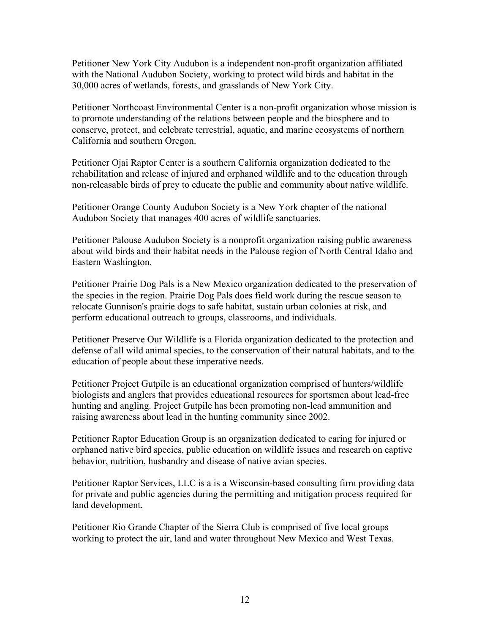Petitioner New York City Audubon is a independent non-profit organization affiliated with the National Audubon Society, working to protect wild birds and habitat in the 30,000 acres of wetlands, forests, and grasslands of New York City.

Petitioner Northcoast Environmental Center is a non-profit organization whose mission is to promote understanding of the relations between people and the biosphere and to conserve, protect, and celebrate terrestrial, aquatic, and marine ecosystems of northern California and southern Oregon.

Petitioner Ojai Raptor Center is a southern California organization dedicated to the rehabilitation and release of injured and orphaned wildlife and to the education through non-releasable birds of prey to educate the public and community about native wildlife.

Petitioner Orange County Audubon Society is a New York chapter of the national Audubon Society that manages 400 acres of wildlife sanctuaries.

Petitioner Palouse Audubon Society is a nonprofit organization raising public awareness about wild birds and their habitat needs in the Palouse region of North Central Idaho and Eastern Washington.

Petitioner Prairie Dog Pals is a New Mexico organization dedicated to the preservation of the species in the region. Prairie Dog Pals does field work during the rescue season to relocate Gunnison's prairie dogs to safe habitat, sustain urban colonies at risk, and perform educational outreach to groups, classrooms, and individuals.

Petitioner Preserve Our Wildlife is a Florida organization dedicated to the protection and defense of all wild animal species, to the conservation of their natural habitats, and to the education of people about these imperative needs.

Petitioner Project Gutpile is an educational organization comprised of hunters/wildlife biologists and anglers that provides educational resources for sportsmen about lead-free hunting and angling. Project Gutpile has been promoting non-lead ammunition and raising awareness about lead in the hunting community since 2002.

Petitioner Raptor Education Group is an organization dedicated to caring for injured or orphaned native bird species, public education on wildlife issues and research on captive behavior, nutrition, husbandry and disease of native avian species.

Petitioner Raptor Services, LLC is a is a Wisconsin-based consulting firm providing data for private and public agencies during the permitting and mitigation process required for land development.

Petitioner Rio Grande Chapter of the Sierra Club is comprised of five local groups working to protect the air, land and water throughout New Mexico and West Texas.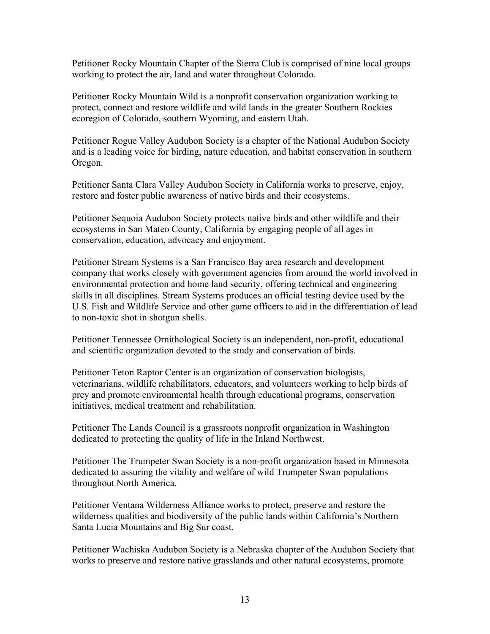Petitioner Rocky Mountain Chapter of the Sierra Club is comprised of nine local groups working to protect the air, land and water throughout Colorado.

Petitioner Rocky Mountain Wild is a nonprofit conservation organization working to protect, connect and restore wildlife and wild lands in the greater Southern Rockies ecoregion of Colorado, southern Wyoming, and eastern Utah.

Petitioner Rogue Valley Audubon Society is a chapter of the National Audubon Society and is a leading voice for birding, nature education, and habitat conservation in southern Oregon.

Petitioner Santa Clara Valley Audubon Society in California works to preserve, enjoy, restore and foster public awareness of native birds and their ecosystems.

Petitioner Sequoia Audubon Society protects native birds and other wildlife and their ecosystems in San Mateo County, California by engaging people of all ages in conservation, education, advocacy and enjoyment.

Petitioner Stream Systems is a San Francisco Bay area research and development company that works closely with government agencies from around the world involved in environmental protection and home land security, offering technical and engineering skills in all disciplines. Stream Systems produces an official testing device used by the U.S. Fish and Wildlife Service and other game officers to aid in the differentiation of lead to non-toxic shot in shotgun shells.

Petitioner Tennessee Ornithological Society is an independent, non-profit, educational and scientific organization devoted to the study and conservation of birds.

Petitioner Teton Raptor Center is an organization of conservation biologists, veterinarians, wildlife rehabilitators, educators, and volunteers working to help birds of prey and promote environmental health through educational programs, conservation initiatives, medical treatment and rehabilitation.

Petitioner The Lands Council is a grassroots nonprofit organization in Washington dedicated to protecting the quality of life in the Inland Northwest.

Petitioner The Trumpeter Swan Society is a non-profit organization based in Minnesota dedicated to assuring the vitality and welfare of wild Trumpeter Swan populations throughout North America.

Petitioner Ventana Wilderness Alliance works to protect, preserve and restore the wilderness qualities and biodiversity of the public lands within California's Northern Santa Lucia Mountains and Big Sur coast.

Petitioner Wachiska Audubon Society is a Nebraska chapter of the Audubon Society that works to preserve and restore native grasslands and other natural ecosystems, promote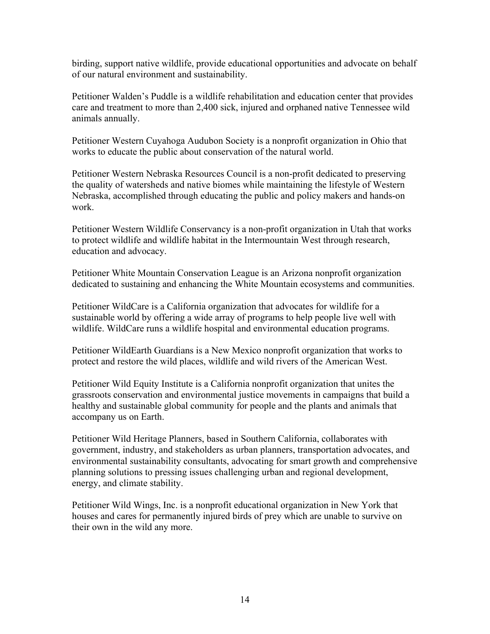birding, support native wildlife, provide educational opportunities and advocate on behalf of our natural environment and sustainability.

Petitioner Walden's Puddle is a wildlife rehabilitation and education center that provides care and treatment to more than 2,400 sick, injured and orphaned native Tennessee wild animals annually.

Petitioner Western Cuyahoga Audubon Society is a nonprofit organization in Ohio that works to educate the public about conservation of the natural world.

Petitioner Western Nebraska Resources Council is a non-profit dedicated to preserving the quality of watersheds and native biomes while maintaining the lifestyle of Western Nebraska, accomplished through educating the public and policy makers and hands-on work.

Petitioner Western Wildlife Conservancy is a non-profit organization in Utah that works to protect wildlife and wildlife habitat in the Intermountain West through research, education and advocacy.

Petitioner White Mountain Conservation League is an Arizona nonprofit organization dedicated to sustaining and enhancing the White Mountain ecosystems and communities.

Petitioner WildCare is a California organization that advocates for wildlife for a sustainable world by offering a wide array of programs to help people live well with wildlife. WildCare runs a wildlife hospital and environmental education programs.

Petitioner WildEarth Guardians is a New Mexico nonprofit organization that works to protect and restore the wild places, wildlife and wild rivers of the American West.

Petitioner Wild Equity Institute is a California nonprofit organization that unites the grassroots conservation and environmental justice movements in campaigns that build a healthy and sustainable global community for people and the plants and animals that accompany us on Earth.

Petitioner Wild Heritage Planners, based in Southern California, collaborates with government, industry, and stakeholders as urban planners, transportation advocates, and environmental sustainability consultants, advocating for smart growth and comprehensive planning solutions to pressing issues challenging urban and regional development, energy, and climate stability.

Petitioner Wild Wings, Inc. is a nonprofit educational organization in New York that houses and cares for permanently injured birds of prey which are unable to survive on their own in the wild any more.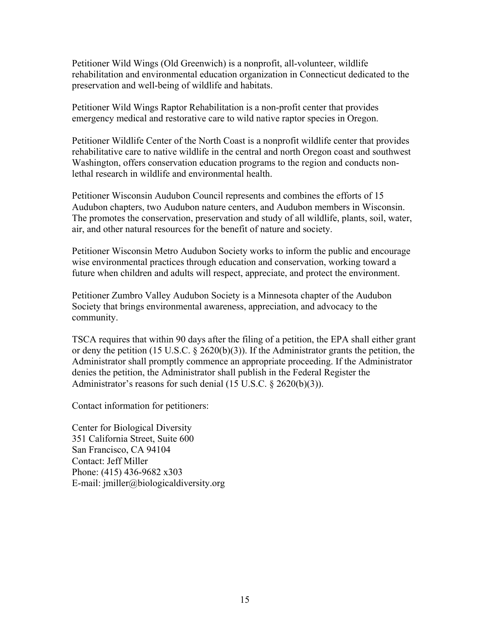Petitioner Wild Wings (Old Greenwich) is a nonprofit, all-volunteer, wildlife rehabilitation and environmental education organization in Connecticut dedicated to the preservation and well-being of wildlife and habitats.

Petitioner Wild Wings Raptor Rehabilitation is a non-profit center that provides emergency medical and restorative care to wild native raptor species in Oregon.

Petitioner Wildlife Center of the North Coast is a nonprofit wildlife center that provides rehabilitative care to native wildlife in the central and north Oregon coast and southwest Washington, offers conservation education programs to the region and conducts nonlethal research in wildlife and environmental health.

Petitioner Wisconsin Audubon Council represents and combines the efforts of 15 Audubon chapters, two Audubon nature centers, and Audubon members in Wisconsin. The promotes the conservation, preservation and study of all wildlife, plants, soil, water, air, and other natural resources for the benefit of nature and society.

Petitioner Wisconsin Metro Audubon Society works to inform the public and encourage wise environmental practices through education and conservation, working toward a future when children and adults will respect, appreciate, and protect the environment.

Petitioner Zumbro Valley Audubon Society is a Minnesota chapter of the Audubon Society that brings environmental awareness, appreciation, and advocacy to the community.

TSCA requires that within 90 days after the filing of a petition, the EPA shall either grant or deny the petition (15 U.S.C.  $\S$  2620(b)(3)). If the Administrator grants the petition, the Administrator shall promptly commence an appropriate proceeding. If the Administrator denies the petition, the Administrator shall publish in the Federal Register the Administrator's reasons for such denial (15 U.S.C. § 2620(b)(3)).

Contact information for petitioners:

Center for Biological Diversity 351 California Street, Suite 600 San Francisco, CA 94104 Contact: Jeff Miller Phone: (415) 436-9682 x303 E-mail: jmiller@biologicaldiversity.org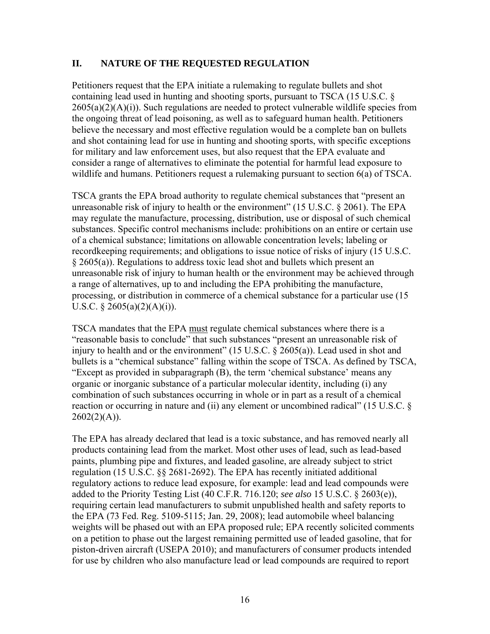#### **II. NATURE OF THE REQUESTED REGULATION**

Petitioners request that the EPA initiate a rulemaking to regulate bullets and shot containing lead used in hunting and shooting sports, pursuant to TSCA (15 U.S.C. §  $2605(a)(2)(A)(i)$ ). Such regulations are needed to protect vulnerable wildlife species from the ongoing threat of lead poisoning, as well as to safeguard human health. Petitioners believe the necessary and most effective regulation would be a complete ban on bullets and shot containing lead for use in hunting and shooting sports, with specific exceptions for military and law enforcement uses, but also request that the EPA evaluate and consider a range of alternatives to eliminate the potential for harmful lead exposure to wildlife and humans. Petitioners request a rulemaking pursuant to section 6(a) of TSCA.

TSCA grants the EPA broad authority to regulate chemical substances that "present an unreasonable risk of injury to health or the environment" (15 U.S.C. § 2061). The EPA may regulate the manufacture, processing, distribution, use or disposal of such chemical substances. Specific control mechanisms include: prohibitions on an entire or certain use of a chemical substance; limitations on allowable concentration levels; labeling or recordkeeping requirements; and obligations to issue notice of risks of injury (15 U.S.C. § 2605(a)). Regulations to address toxic lead shot and bullets which present an unreasonable risk of injury to human health or the environment may be achieved through a range of alternatives, up to and including the EPA prohibiting the manufacture, processing, or distribution in commerce of a chemical substance for a particular use (15 U.S.C.  $\S$  2605(a)(2)(A)(i)).

TSCA mandates that the EPA must regulate chemical substances where there is a "reasonable basis to conclude" that such substances "present an unreasonable risk of injury to health and or the environment" (15 U.S.C. § 2605(a)). Lead used in shot and bullets is a "chemical substance" falling within the scope of TSCA. As defined by TSCA, "Except as provided in subparagraph (B), the term 'chemical substance' means any organic or inorganic substance of a particular molecular identity, including (i) any combination of such substances occurring in whole or in part as a result of a chemical reaction or occurring in nature and (ii) any element or uncombined radical" (15 U.S.C. §  $2602(2)(A)$ ).

The EPA has already declared that lead is a toxic substance, and has removed nearly all products containing lead from the market. Most other uses of lead, such as lead-based paints, plumbing pipe and fixtures, and leaded gasoline, are already subject to strict regulation (15 U.S.C. §§ 2681-2692). The EPA has recently initiated additional regulatory actions to reduce lead exposure, for example: lead and lead compounds were added to the Priority Testing List (40 C.F.R. 716.120; *see also* 15 U.S.C. § 2603(e)), requiring certain lead manufacturers to submit unpublished health and safety reports to the EPA (73 Fed. Reg. 5109-5115; Jan. 29, 2008); lead automobile wheel balancing weights will be phased out with an EPA proposed rule; EPA recently solicited comments on a petition to phase out the largest remaining permitted use of leaded gasoline, that for piston-driven aircraft (USEPA 2010); and manufacturers of consumer products intended for use by children who also manufacture lead or lead compounds are required to report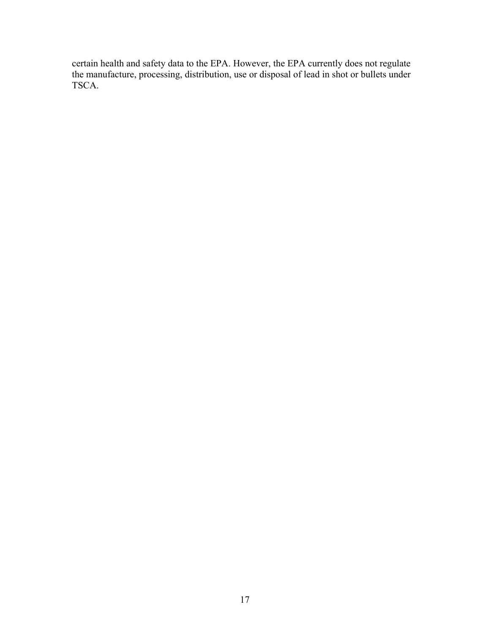certain health and safety data to the EPA. However, the EPA currently does not regulate the manufacture, processing, distribution, use or disposal of lead in shot or bullets under TSCA.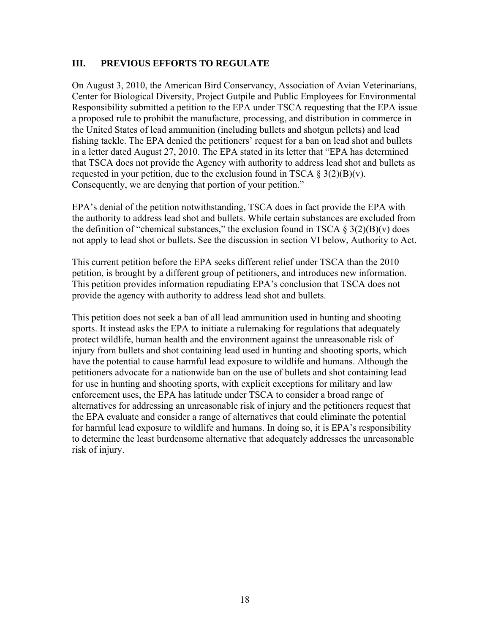#### **III. PREVIOUS EFFORTS TO REGULATE**

On August 3, 2010, the American Bird Conservancy, Association of Avian Veterinarians, Center for Biological Diversity, Project Gutpile and Public Employees for Environmental Responsibility submitted a petition to the EPA under TSCA requesting that the EPA issue a proposed rule to prohibit the manufacture, processing, and distribution in commerce in the United States of lead ammunition (including bullets and shotgun pellets) and lead fishing tackle. The EPA denied the petitioners' request for a ban on lead shot and bullets in a letter dated August 27, 2010. The EPA stated in its letter that "EPA has determined that TSCA does not provide the Agency with authority to address lead shot and bullets as requested in your petition, due to the exclusion found in TSCA  $\S 3(2)(B)(v)$ . Consequently, we are denying that portion of your petition."

EPA's denial of the petition notwithstanding, TSCA does in fact provide the EPA with the authority to address lead shot and bullets. While certain substances are excluded from the definition of "chemical substances," the exclusion found in TSCA  $\S 3(2)(B)(v)$  does not apply to lead shot or bullets. See the discussion in section VI below, Authority to Act.

This current petition before the EPA seeks different relief under TSCA than the 2010 petition, is brought by a different group of petitioners, and introduces new information. This petition provides information repudiating EPA's conclusion that TSCA does not provide the agency with authority to address lead shot and bullets.

This petition does not seek a ban of all lead ammunition used in hunting and shooting sports. It instead asks the EPA to initiate a rulemaking for regulations that adequately protect wildlife, human health and the environment against the unreasonable risk of injury from bullets and shot containing lead used in hunting and shooting sports, which have the potential to cause harmful lead exposure to wildlife and humans. Although the petitioners advocate for a nationwide ban on the use of bullets and shot containing lead for use in hunting and shooting sports, with explicit exceptions for military and law enforcement uses, the EPA has latitude under TSCA to consider a broad range of alternatives for addressing an unreasonable risk of injury and the petitioners request that the EPA evaluate and consider a range of alternatives that could eliminate the potential for harmful lead exposure to wildlife and humans. In doing so, it is EPA's responsibility to determine the least burdensome alternative that adequately addresses the unreasonable risk of injury.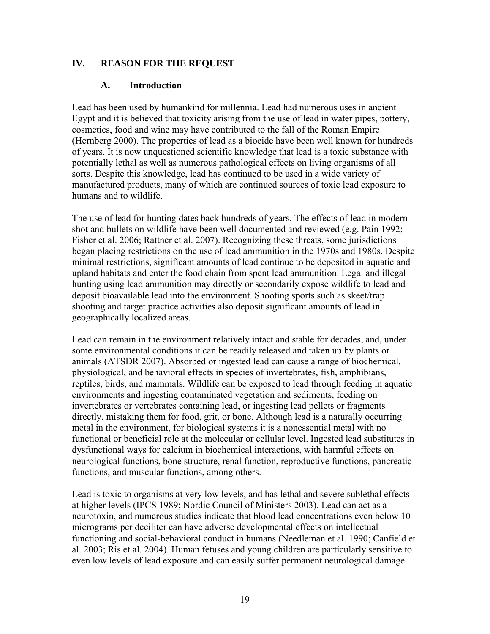#### **IV. REASON FOR THE REQUEST**

#### **A. Introduction**

Lead has been used by humankind for millennia. Lead had numerous uses in ancient Egypt and it is believed that toxicity arising from the use of lead in water pipes, pottery, cosmetics, food and wine may have contributed to the fall of the Roman Empire (Hernberg 2000). The properties of lead as a biocide have been well known for hundreds of years. It is now unquestioned scientific knowledge that lead is a toxic substance with potentially lethal as well as numerous pathological effects on living organisms of all sorts. Despite this knowledge, lead has continued to be used in a wide variety of manufactured products, many of which are continued sources of toxic lead exposure to humans and to wildlife.

The use of lead for hunting dates back hundreds of years. The effects of lead in modern shot and bullets on wildlife have been well documented and reviewed (e.g. Pain 1992; Fisher et al. 2006; Rattner et al. 2007). Recognizing these threats, some jurisdictions began placing restrictions on the use of lead ammunition in the 1970s and 1980s. Despite minimal restrictions, significant amounts of lead continue to be deposited in aquatic and upland habitats and enter the food chain from spent lead ammunition. Legal and illegal hunting using lead ammunition may directly or secondarily expose wildlife to lead and deposit bioavailable lead into the environment. Shooting sports such as skeet/trap shooting and target practice activities also deposit significant amounts of lead in geographically localized areas.

Lead can remain in the environment relatively intact and stable for decades, and, under some environmental conditions it can be readily released and taken up by plants or animals (ATSDR 2007). Absorbed or ingested lead can cause a range of biochemical, physiological, and behavioral effects in species of invertebrates, fish, amphibians, reptiles, birds, and mammals. Wildlife can be exposed to lead through feeding in aquatic environments and ingesting contaminated vegetation and sediments, feeding on invertebrates or vertebrates containing lead, or ingesting lead pellets or fragments directly, mistaking them for food, grit, or bone. Although lead is a naturally occurring metal in the environment, for biological systems it is a nonessential metal with no functional or beneficial role at the molecular or cellular level. Ingested lead substitutes in dysfunctional ways for calcium in biochemical interactions, with harmful effects on neurological functions, bone structure, renal function, reproductive functions, pancreatic functions, and muscular functions, among others.

Lead is toxic to organisms at very low levels, and has lethal and severe sublethal effects at higher levels (IPCS 1989; Nordic Council of Ministers 2003). Lead can act as a neurotoxin, and numerous studies indicate that blood lead concentrations even below 10 micrograms per deciliter can have adverse developmental effects on intellectual functioning and social-behavioral conduct in humans (Needleman et al. 1990; Canfield et al. 2003; Ris et al. 2004). Human fetuses and young children are particularly sensitive to even low levels of lead exposure and can easily suffer permanent neurological damage.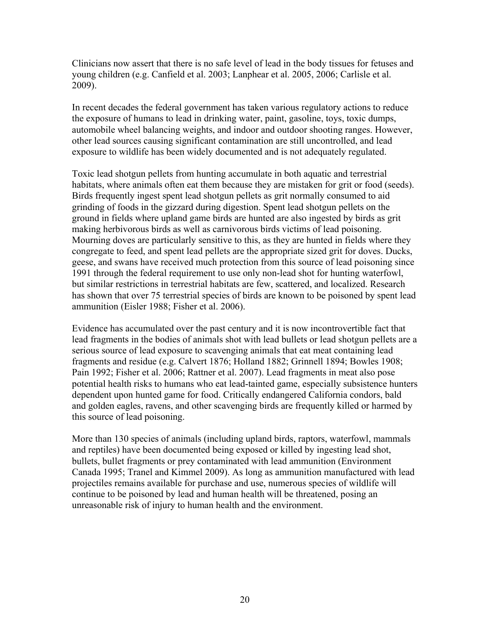Clinicians now assert that there is no safe level of lead in the body tissues for fetuses and young children (e.g. Canfield et al. 2003; Lanphear et al. 2005, 2006; Carlisle et al. 2009).

In recent decades the federal government has taken various regulatory actions to reduce the exposure of humans to lead in drinking water, paint, gasoline, toys, toxic dumps, automobile wheel balancing weights, and indoor and outdoor shooting ranges. However, other lead sources causing significant contamination are still uncontrolled, and lead exposure to wildlife has been widely documented and is not adequately regulated.

Toxic lead shotgun pellets from hunting accumulate in both aquatic and terrestrial habitats, where animals often eat them because they are mistaken for grit or food (seeds). Birds frequently ingest spent lead shotgun pellets as grit normally consumed to aid grinding of foods in the gizzard during digestion. Spent lead shotgun pellets on the ground in fields where upland game birds are hunted are also ingested by birds as grit making herbivorous birds as well as carnivorous birds victims of lead poisoning. Mourning doves are particularly sensitive to this, as they are hunted in fields where they congregate to feed, and spent lead pellets are the appropriate sized grit for doves. Ducks, geese, and swans have received much protection from this source of lead poisoning since 1991 through the federal requirement to use only non-lead shot for hunting waterfowl, but similar restrictions in terrestrial habitats are few, scattered, and localized. Research has shown that over 75 terrestrial species of birds are known to be poisoned by spent lead ammunition (Eisler 1988; Fisher et al. 2006).

Evidence has accumulated over the past century and it is now incontrovertible fact that lead fragments in the bodies of animals shot with lead bullets or lead shotgun pellets are a serious source of lead exposure to scavenging animals that eat meat containing lead fragments and residue (e.g. Calvert 1876; Holland 1882; Grinnell 1894; Bowles 1908; Pain 1992; Fisher et al. 2006; Rattner et al. 2007). Lead fragments in meat also pose potential health risks to humans who eat lead-tainted game, especially subsistence hunters dependent upon hunted game for food. Critically endangered California condors, bald and golden eagles, ravens, and other scavenging birds are frequently killed or harmed by this source of lead poisoning.

More than 130 species of animals (including upland birds, raptors, waterfowl, mammals and reptiles) have been documented being exposed or killed by ingesting lead shot, bullets, bullet fragments or prey contaminated with lead ammunition (Environment Canada 1995; Tranel and Kimmel 2009). As long as ammunition manufactured with lead projectiles remains available for purchase and use, numerous species of wildlife will continue to be poisoned by lead and human health will be threatened, posing an unreasonable risk of injury to human health and the environment.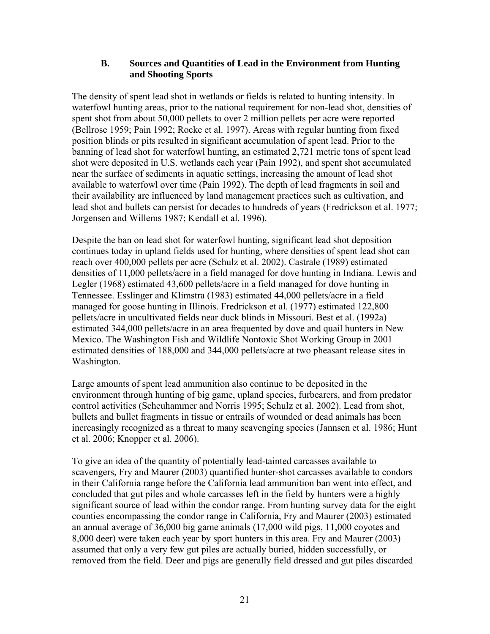#### **B. Sources and Quantities of Lead in the Environment from Hunting and Shooting Sports**

The density of spent lead shot in wetlands or fields is related to hunting intensity. In waterfowl hunting areas, prior to the national requirement for non-lead shot, densities of spent shot from about 50,000 pellets to over 2 million pellets per acre were reported (Bellrose 1959; Pain 1992; Rocke et al. 1997). Areas with regular hunting from fixed position blinds or pits resulted in significant accumulation of spent lead. Prior to the banning of lead shot for waterfowl hunting, an estimated 2,721 metric tons of spent lead shot were deposited in U.S. wetlands each year (Pain 1992), and spent shot accumulated near the surface of sediments in aquatic settings, increasing the amount of lead shot available to waterfowl over time (Pain 1992). The depth of lead fragments in soil and their availability are influenced by land management practices such as cultivation, and lead shot and bullets can persist for decades to hundreds of years (Fredrickson et al. 1977; Jorgensen and Willems 1987; Kendall et al. 1996).

Despite the ban on lead shot for waterfowl hunting, significant lead shot deposition continues today in upland fields used for hunting, where densities of spent lead shot can reach over 400,000 pellets per acre (Schulz et al. 2002). Castrale (1989) estimated densities of 11,000 pellets/acre in a field managed for dove hunting in Indiana. Lewis and Legler (1968) estimated 43,600 pellets/acre in a field managed for dove hunting in Tennessee. Esslinger and Klimstra (1983) estimated 44,000 pellets/acre in a field managed for goose hunting in Illinois. Fredrickson et al. (1977) estimated 122,800 pellets/acre in uncultivated fields near duck blinds in Missouri. Best et al. (1992a) estimated 344,000 pellets/acre in an area frequented by dove and quail hunters in New Mexico. The Washington Fish and Wildlife Nontoxic Shot Working Group in 2001 estimated densities of 188,000 and 344,000 pellets/acre at two pheasant release sites in Washington.

Large amounts of spent lead ammunition also continue to be deposited in the environment through hunting of big game, upland species, furbearers, and from predator control activities (Scheuhammer and Norris 1995; Schulz et al. 2002). Lead from shot, bullets and bullet fragments in tissue or entrails of wounded or dead animals has been increasingly recognized as a threat to many scavenging species (Jannsen et al. 1986; Hunt et al. 2006; Knopper et al. 2006).

To give an idea of the quantity of potentially lead-tainted carcasses available to scavengers, Fry and Maurer (2003) quantified hunter-shot carcasses available to condors in their California range before the California lead ammunition ban went into effect, and concluded that gut piles and whole carcasses left in the field by hunters were a highly significant source of lead within the condor range. From hunting survey data for the eight counties encompassing the condor range in California, Fry and Maurer (2003) estimated an annual average of 36,000 big game animals (17,000 wild pigs, 11,000 coyotes and 8,000 deer) were taken each year by sport hunters in this area. Fry and Maurer (2003) assumed that only a very few gut piles are actually buried, hidden successfully, or removed from the field. Deer and pigs are generally field dressed and gut piles discarded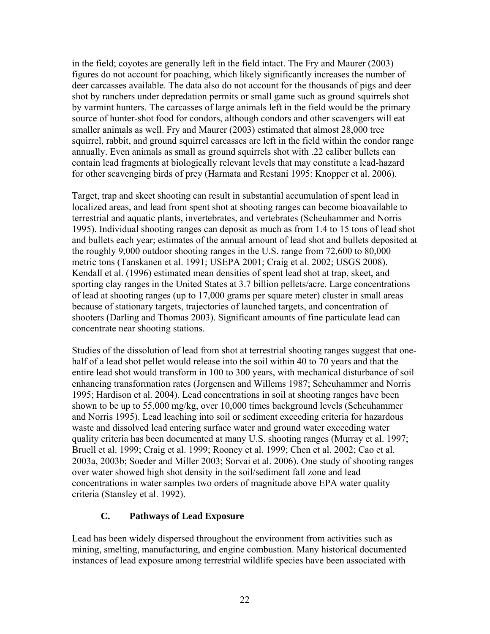in the field; coyotes are generally left in the field intact. The Fry and Maurer (2003) figures do not account for poaching, which likely significantly increases the number of deer carcasses available. The data also do not account for the thousands of pigs and deer shot by ranchers under depredation permits or small game such as ground squirrels shot by varmint hunters. The carcasses of large animals left in the field would be the primary source of hunter-shot food for condors, although condors and other scavengers will eat smaller animals as well. Fry and Maurer (2003) estimated that almost 28,000 tree squirrel, rabbit, and ground squirrel carcasses are left in the field within the condor range annually. Even animals as small as ground squirrels shot with .22 caliber bullets can contain lead fragments at biologically relevant levels that may constitute a lead-hazard for other scavenging birds of prey (Harmata and Restani 1995: Knopper et al. 2006).

Target, trap and skeet shooting can result in substantial accumulation of spent lead in localized areas, and lead from spent shot at shooting ranges can become bioavailable to terrestrial and aquatic plants, invertebrates, and vertebrates (Scheuhammer and Norris 1995). Individual shooting ranges can deposit as much as from 1.4 to 15 tons of lead shot and bullets each year; estimates of the annual amount of lead shot and bullets deposited at the roughly 9,000 outdoor shooting ranges in the U.S. range from 72,600 to 80,000 metric tons (Tanskanen et al. 1991; USEPA 2001; Craig et al. 2002; USGS 2008). Kendall et al. (1996) estimated mean densities of spent lead shot at trap, skeet, and sporting clay ranges in the United States at 3.7 billion pellets/acre. Large concentrations of lead at shooting ranges (up to 17,000 grams per square meter) cluster in small areas because of stationary targets, trajectories of launched targets, and concentration of shooters (Darling and Thomas 2003). Significant amounts of fine particulate lead can concentrate near shooting stations.

Studies of the dissolution of lead from shot at terrestrial shooting ranges suggest that onehalf of a lead shot pellet would release into the soil within 40 to 70 years and that the entire lead shot would transform in 100 to 300 years, with mechanical disturbance of soil enhancing transformation rates (Jorgensen and Willems 1987; Scheuhammer and Norris 1995; Hardison et al. 2004). Lead concentrations in soil at shooting ranges have been shown to be up to 55,000 mg/kg, over 10,000 times background levels (Scheuhammer and Norris 1995). Lead leaching into soil or sediment exceeding criteria for hazardous waste and dissolved lead entering surface water and ground water exceeding water quality criteria has been documented at many U.S. shooting ranges (Murray et al. 1997; Bruell et al. 1999; Craig et al. 1999; Rooney et al. 1999; Chen et al. 2002; Cao et al. 2003a, 2003b; Soeder and Miller 2003; Sorvai et al. 2006). One study of shooting ranges over water showed high shot density in the soil/sediment fall zone and lead concentrations in water samples two orders of magnitude above EPA water quality criteria (Stansley et al. 1992).

# **C. Pathways of Lead Exposure**

Lead has been widely dispersed throughout the environment from activities such as mining, smelting, manufacturing, and engine combustion. Many historical documented instances of lead exposure among terrestrial wildlife species have been associated with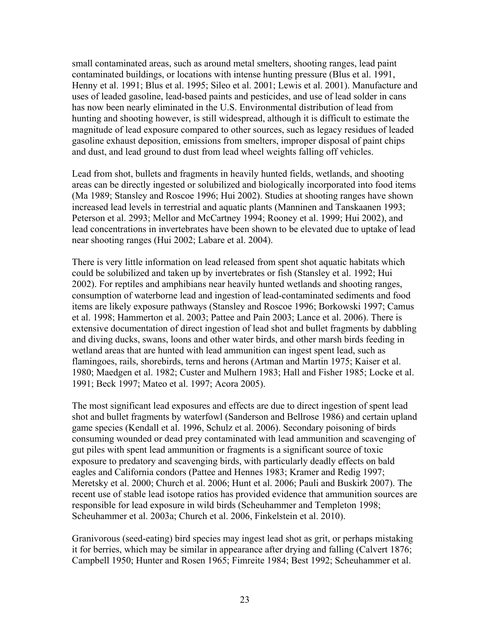small contaminated areas, such as around metal smelters, shooting ranges, lead paint contaminated buildings, or locations with intense hunting pressure (Blus et al. 1991, Henny et al. 1991; Blus et al. 1995; Sileo et al. 2001; Lewis et al. 2001). Manufacture and uses of leaded gasoline, lead-based paints and pesticides, and use of lead solder in cans has now been nearly eliminated in the U.S. Environmental distribution of lead from hunting and shooting however, is still widespread, although it is difficult to estimate the magnitude of lead exposure compared to other sources, such as legacy residues of leaded gasoline exhaust deposition, emissions from smelters, improper disposal of paint chips and dust, and lead ground to dust from lead wheel weights falling off vehicles.

Lead from shot, bullets and fragments in heavily hunted fields, wetlands, and shooting areas can be directly ingested or solubilized and biologically incorporated into food items (Ma 1989; Stansley and Roscoe 1996; Hui 2002). Studies at shooting ranges have shown increased lead levels in terrestrial and aquatic plants (Manninen and Tanskaanen 1993; Peterson et al. 2993; Mellor and McCartney 1994; Rooney et al. 1999; Hui 2002), and lead concentrations in invertebrates have been shown to be elevated due to uptake of lead near shooting ranges (Hui 2002; Labare et al. 2004).

There is very little information on lead released from spent shot aquatic habitats which could be solubilized and taken up by invertebrates or fish (Stansley et al. 1992; Hui 2002). For reptiles and amphibians near heavily hunted wetlands and shooting ranges, consumption of waterborne lead and ingestion of lead-contaminated sediments and food items are likely exposure pathways (Stansley and Roscoe 1996; Borkowski 1997; Camus et al. 1998; Hammerton et al. 2003; Pattee and Pain 2003; Lance et al. 2006). There is extensive documentation of direct ingestion of lead shot and bullet fragments by dabbling and diving ducks, swans, loons and other water birds, and other marsh birds feeding in wetland areas that are hunted with lead ammunition can ingest spent lead, such as flamingoes, rails, shorebirds, terns and herons (Artman and Martin 1975; Kaiser et al. 1980; Maedgen et al. 1982; Custer and Mulhern 1983; Hall and Fisher 1985; Locke et al. 1991; Beck 1997; Mateo et al. 1997; Acora 2005).

The most significant lead exposures and effects are due to direct ingestion of spent lead shot and bullet fragments by waterfowl (Sanderson and Bellrose 1986) and certain upland game species (Kendall et al. 1996, Schulz et al. 2006). Secondary poisoning of birds consuming wounded or dead prey contaminated with lead ammunition and scavenging of gut piles with spent lead ammunition or fragments is a significant source of toxic exposure to predatory and scavenging birds, with particularly deadly effects on bald eagles and California condors (Pattee and Hennes 1983; Kramer and Redig 1997; Meretsky et al. 2000; Church et al. 2006; Hunt et al. 2006; Pauli and Buskirk 2007). The recent use of stable lead isotope ratios has provided evidence that ammunition sources are responsible for lead exposure in wild birds (Scheuhammer and Templeton 1998; Scheuhammer et al. 2003a; Church et al. 2006, Finkelstein et al. 2010).

Granivorous (seed-eating) bird species may ingest lead shot as grit, or perhaps mistaking it for berries, which may be similar in appearance after drying and falling (Calvert 1876; Campbell 1950; Hunter and Rosen 1965; Fimreite 1984; Best 1992; Scheuhammer et al.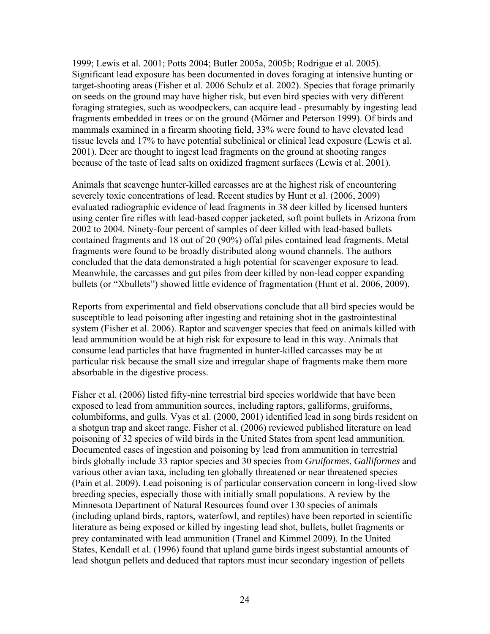1999; Lewis et al. 2001; Potts 2004; Butler 2005a, 2005b; Rodrigue et al. 2005). Significant lead exposure has been documented in doves foraging at intensive hunting or target-shooting areas (Fisher et al. 2006 Schulz et al. 2002). Species that forage primarily on seeds on the ground may have higher risk, but even bird species with very different foraging strategies, such as woodpeckers, can acquire lead - presumably by ingesting lead fragments embedded in trees or on the ground (Mörner and Peterson 1999). Of birds and mammals examined in a firearm shooting field, 33% were found to have elevated lead tissue levels and 17% to have potential subclinical or clinical lead exposure (Lewis et al. 2001). Deer are thought to ingest lead fragments on the ground at shooting ranges because of the taste of lead salts on oxidized fragment surfaces (Lewis et al. 2001).

Animals that scavenge hunter-killed carcasses are at the highest risk of encountering severely toxic concentrations of lead. Recent studies by Hunt et al. (2006, 2009) evaluated radiographic evidence of lead fragments in 38 deer killed by licensed hunters using center fire rifles with lead-based copper jacketed, soft point bullets in Arizona from 2002 to 2004. Ninety-four percent of samples of deer killed with lead-based bullets contained fragments and 18 out of 20 (90%) offal piles contained lead fragments. Metal fragments were found to be broadly distributed along wound channels. The authors concluded that the data demonstrated a high potential for scavenger exposure to lead. Meanwhile, the carcasses and gut piles from deer killed by non-lead copper expanding bullets (or "Xbullets") showed little evidence of fragmentation (Hunt et al. 2006, 2009).

Reports from experimental and field observations conclude that all bird species would be susceptible to lead poisoning after ingesting and retaining shot in the gastrointestinal system (Fisher et al. 2006). Raptor and scavenger species that feed on animals killed with lead ammunition would be at high risk for exposure to lead in this way. Animals that consume lead particles that have fragmented in hunter-killed carcasses may be at particular risk because the small size and irregular shape of fragments make them more absorbable in the digestive process.

Fisher et al. (2006) listed fifty-nine terrestrial bird species worldwide that have been exposed to lead from ammunition sources, including raptors, galliforms, gruiforms, columbiforms, and gulls. Vyas et al. (2000, 2001) identified lead in song birds resident on a shotgun trap and skeet range. Fisher et al. (2006) reviewed published literature on lead poisoning of 32 species of wild birds in the United States from spent lead ammunition. Documented cases of ingestion and poisoning by lead from ammunition in terrestrial birds globally include 33 raptor species and 30 species from *Gruiformes*, *Galliformes* and various other avian taxa, including ten globally threatened or near threatened species (Pain et al. 2009). Lead poisoning is of particular conservation concern in long-lived slow breeding species, especially those with initially small populations. A review by the Minnesota Department of Natural Resources found over 130 species of animals (including upland birds, raptors, waterfowl, and reptiles) have been reported in scientific literature as being exposed or killed by ingesting lead shot, bullets, bullet fragments or prey contaminated with lead ammunition (Tranel and Kimmel 2009). In the United States, Kendall et al. (1996) found that upland game birds ingest substantial amounts of lead shotgun pellets and deduced that raptors must incur secondary ingestion of pellets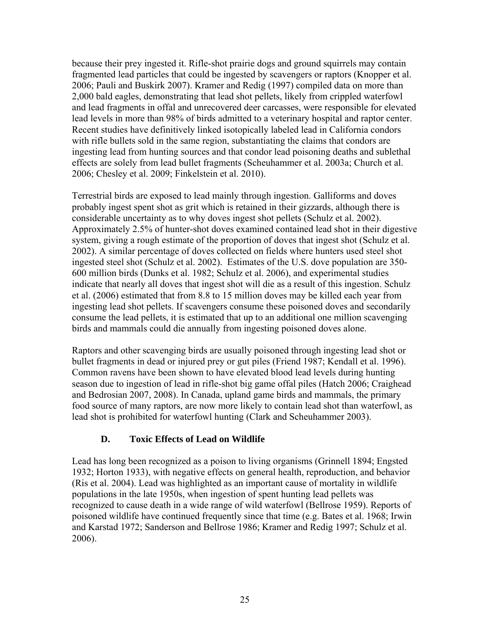because their prey ingested it. Rifle-shot prairie dogs and ground squirrels may contain fragmented lead particles that could be ingested by scavengers or raptors (Knopper et al. 2006; Pauli and Buskirk 2007). Kramer and Redig (1997) compiled data on more than 2,000 bald eagles, demonstrating that lead shot pellets, likely from crippled waterfowl and lead fragments in offal and unrecovered deer carcasses, were responsible for elevated lead levels in more than 98% of birds admitted to a veterinary hospital and raptor center. Recent studies have definitively linked isotopically labeled lead in California condors with rifle bullets sold in the same region, substantiating the claims that condors are ingesting lead from hunting sources and that condor lead poisoning deaths and sublethal effects are solely from lead bullet fragments (Scheuhammer et al. 2003a; Church et al. 2006; Chesley et al. 2009; Finkelstein et al. 2010).

Terrestrial birds are exposed to lead mainly through ingestion. Galliforms and doves probably ingest spent shot as grit which is retained in their gizzards, although there is considerable uncertainty as to why doves ingest shot pellets (Schulz et al. 2002). Approximately 2.5% of hunter-shot doves examined contained lead shot in their digestive system, giving a rough estimate of the proportion of doves that ingest shot (Schulz et al. 2002). A similar percentage of doves collected on fields where hunters used steel shot ingested steel shot (Schulz et al. 2002). Estimates of the U.S. dove population are 350- 600 million birds (Dunks et al. 1982; Schulz et al. 2006), and experimental studies indicate that nearly all doves that ingest shot will die as a result of this ingestion. Schulz et al. (2006) estimated that from 8.8 to 15 million doves may be killed each year from ingesting lead shot pellets. If scavengers consume these poisoned doves and secondarily consume the lead pellets, it is estimated that up to an additional one million scavenging birds and mammals could die annually from ingesting poisoned doves alone.

Raptors and other scavenging birds are usually poisoned through ingesting lead shot or bullet fragments in dead or injured prey or gut piles (Friend 1987; Kendall et al. 1996). Common ravens have been shown to have elevated blood lead levels during hunting season due to ingestion of lead in rifle-shot big game offal piles (Hatch 2006; Craighead and Bedrosian 2007, 2008). In Canada, upland game birds and mammals, the primary food source of many raptors, are now more likely to contain lead shot than waterfowl, as lead shot is prohibited for waterfowl hunting (Clark and Scheuhammer 2003).

# **D. Toxic Effects of Lead on Wildlife**

Lead has long been recognized as a poison to living organisms (Grinnell 1894; Engsted 1932; Horton 1933), with negative effects on general health, reproduction, and behavior (Ris et al. 2004). Lead was highlighted as an important cause of mortality in wildlife populations in the late 1950s, when ingestion of spent hunting lead pellets was recognized to cause death in a wide range of wild waterfowl (Bellrose 1959). Reports of poisoned wildlife have continued frequently since that time (e.g. Bates et al. 1968; Irwin and Karstad 1972; Sanderson and Bellrose 1986; Kramer and Redig 1997; Schulz et al. 2006).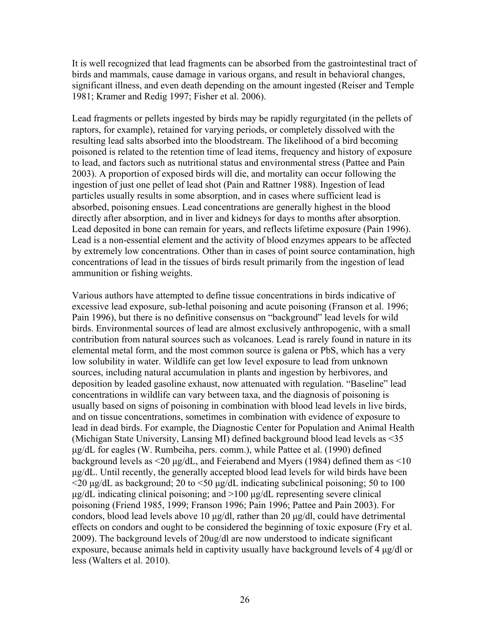It is well recognized that lead fragments can be absorbed from the gastrointestinal tract of birds and mammals, cause damage in various organs, and result in behavioral changes, significant illness, and even death depending on the amount ingested (Reiser and Temple 1981; Kramer and Redig 1997; Fisher et al. 2006).

Lead fragments or pellets ingested by birds may be rapidly regurgitated (in the pellets of raptors, for example), retained for varying periods, or completely dissolved with the resulting lead salts absorbed into the bloodstream. The likelihood of a bird becoming poisoned is related to the retention time of lead items, frequency and history of exposure to lead, and factors such as nutritional status and environmental stress (Pattee and Pain 2003). A proportion of exposed birds will die, and mortality can occur following the ingestion of just one pellet of lead shot (Pain and Rattner 1988). Ingestion of lead particles usually results in some absorption, and in cases where sufficient lead is absorbed, poisoning ensues. Lead concentrations are generally highest in the blood directly after absorption, and in liver and kidneys for days to months after absorption. Lead deposited in bone can remain for years, and reflects lifetime exposure (Pain 1996). Lead is a non-essential element and the activity of blood enzymes appears to be affected by extremely low concentrations. Other than in cases of point source contamination, high concentrations of lead in the tissues of birds result primarily from the ingestion of lead ammunition or fishing weights.

Various authors have attempted to define tissue concentrations in birds indicative of excessive lead exposure, sub-lethal poisoning and acute poisoning (Franson et al. 1996; Pain 1996), but there is no definitive consensus on "background" lead levels for wild birds. Environmental sources of lead are almost exclusively anthropogenic, with a small contribution from natural sources such as volcanoes. Lead is rarely found in nature in its elemental metal form, and the most common source is galena or PbS, which has a very low solubility in water. Wildlife can get low level exposure to lead from unknown sources, including natural accumulation in plants and ingestion by herbivores, and deposition by leaded gasoline exhaust, now attenuated with regulation. "Baseline" lead concentrations in wildlife can vary between taxa, and the diagnosis of poisoning is usually based on signs of poisoning in combination with blood lead levels in live birds, and on tissue concentrations, sometimes in combination with evidence of exposure to lead in dead birds. For example, the Diagnostic Center for Population and Animal Health (Michigan State University, Lansing MI) defined background blood lead levels as <35 μg/dL for eagles (W. Rumbeiha, pers. comm.), while Pattee et al. (1990) defined background levels as  $\leq$ 20  $\mu$ g/dL, and Feierabend and Myers (1984) defined them as  $\leq$ 10 μg/dL. Until recently, the generally accepted blood lead levels for wild birds have been  $\leq$ 20 μg/dL as background; 20 to  $\leq$ 50 μg/dL indicating subclinical poisoning; 50 to 100 μg/dL indicating clinical poisoning; and >100 μg/dL representing severe clinical poisoning (Friend 1985, 1999; Franson 1996; Pain 1996; Pattee and Pain 2003). For condors, blood lead levels above 10 μg/dl, rather than 20 μg/dl, could have detrimental effects on condors and ought to be considered the beginning of toxic exposure (Fry et al. 2009). The background levels of 20ug/dl are now understood to indicate significant exposure, because animals held in captivity usually have background levels of 4 μg/dl or less (Walters et al. 2010).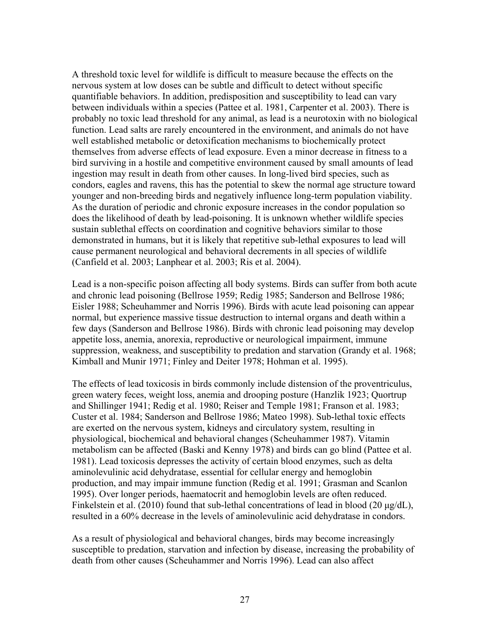A threshold toxic level for wildlife is difficult to measure because the effects on the nervous system at low doses can be subtle and difficult to detect without specific quantifiable behaviors. In addition, predisposition and susceptibility to lead can vary between individuals within a species (Pattee et al. 1981, Carpenter et al. 2003). There is probably no toxic lead threshold for any animal, as lead is a neurotoxin with no biological function. Lead salts are rarely encountered in the environment, and animals do not have well established metabolic or detoxification mechanisms to biochemically protect themselves from adverse effects of lead exposure. Even a minor decrease in fitness to a bird surviving in a hostile and competitive environment caused by small amounts of lead ingestion may result in death from other causes. In long-lived bird species, such as condors, eagles and ravens, this has the potential to skew the normal age structure toward younger and non-breeding birds and negatively influence long-term population viability. As the duration of periodic and chronic exposure increases in the condor population so does the likelihood of death by lead-poisoning. It is unknown whether wildlife species sustain sublethal effects on coordination and cognitive behaviors similar to those demonstrated in humans, but it is likely that repetitive sub-lethal exposures to lead will cause permanent neurological and behavioral decrements in all species of wildlife (Canfield et al. 2003; Lanphear et al. 2003; Ris et al. 2004).

Lead is a non-specific poison affecting all body systems. Birds can suffer from both acute and chronic lead poisoning (Bellrose 1959; Redig 1985; Sanderson and Bellrose 1986; Eisler 1988; Scheuhammer and Norris 1996). Birds with acute lead poisoning can appear normal, but experience massive tissue destruction to internal organs and death within a few days (Sanderson and Bellrose 1986). Birds with chronic lead poisoning may develop appetite loss, anemia, anorexia, reproductive or neurological impairment, immune suppression, weakness, and susceptibility to predation and starvation (Grandy et al. 1968; Kimball and Munir 1971; Finley and Deiter 1978; Hohman et al. 1995).

The effects of lead toxicosis in birds commonly include distension of the proventriculus, green watery feces, weight loss, anemia and drooping posture (Hanzlik 1923; Quortrup and Shillinger 1941; Redig et al. 1980; Reiser and Temple 1981; Franson et al. 1983; Custer et al. 1984; Sanderson and Bellrose 1986; Mateo 1998). Sub-lethal toxic effects are exerted on the nervous system, kidneys and circulatory system, resulting in physiological, biochemical and behavioral changes (Scheuhammer 1987). Vitamin metabolism can be affected (Baski and Kenny 1978) and birds can go blind (Pattee et al. 1981). Lead toxicosis depresses the activity of certain blood enzymes, such as delta aminolevulinic acid dehydratase, essential for cellular energy and hemoglobin production, and may impair immune function (Redig et al. 1991; Grasman and Scanlon 1995). Over longer periods, haematocrit and hemoglobin levels are often reduced. Finkelstein et al. (2010) found that sub-lethal concentrations of lead in blood (20 μg/dL), resulted in a 60% decrease in the levels of aminolevulinic acid dehydratase in condors.

As a result of physiological and behavioral changes, birds may become increasingly susceptible to predation, starvation and infection by disease, increasing the probability of death from other causes (Scheuhammer and Norris 1996). Lead can also affect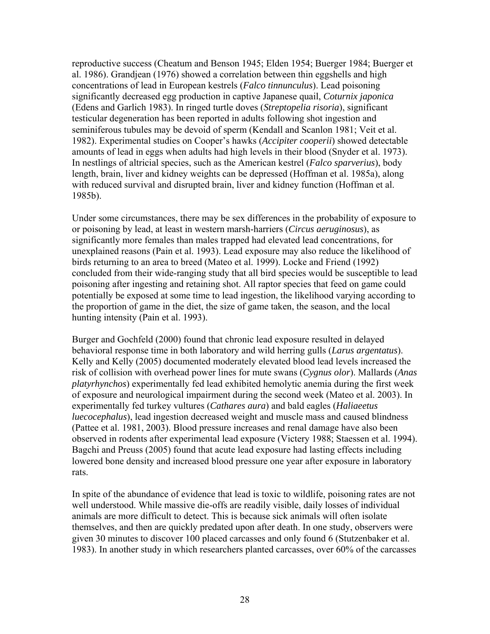reproductive success (Cheatum and Benson 1945; Elden 1954; Buerger 1984; Buerger et al. 1986). Grandjean (1976) showed a correlation between thin eggshells and high concentrations of lead in European kestrels (*Falco tinnunculus*). Lead poisoning significantly decreased egg production in captive Japanese quail, *Coturnix japonica* (Edens and Garlich 1983). In ringed turtle doves (*Streptopelia risoria*), significant testicular degeneration has been reported in adults following shot ingestion and seminiferous tubules may be devoid of sperm (Kendall and Scanlon 1981; Veit et al. 1982). Experimental studies on Cooper's hawks (*Accipiter cooperii*) showed detectable amounts of lead in eggs when adults had high levels in their blood (Snyder et al. 1973). In nestlings of altricial species, such as the American kestrel (*Falco sparverius*), body length, brain, liver and kidney weights can be depressed (Hoffman et al. 1985a), along with reduced survival and disrupted brain, liver and kidney function (Hoffman et al. 1985b).

Under some circumstances, there may be sex differences in the probability of exposure to or poisoning by lead, at least in western marsh-harriers (*Circus aeruginosus*), as significantly more females than males trapped had elevated lead concentrations, for unexplained reasons (Pain et al. 1993). Lead exposure may also reduce the likelihood of birds returning to an area to breed (Mateo et al. 1999). Locke and Friend (1992) concluded from their wide-ranging study that all bird species would be susceptible to lead poisoning after ingesting and retaining shot. All raptor species that feed on game could potentially be exposed at some time to lead ingestion, the likelihood varying according to the proportion of game in the diet, the size of game taken, the season, and the local hunting intensity (Pain et al. 1993).

Burger and Gochfeld (2000) found that chronic lead exposure resulted in delayed behavioral response time in both laboratory and wild herring gulls (*Larus argentatus*). Kelly and Kelly (2005) documented moderately elevated blood lead levels increased the risk of collision with overhead power lines for mute swans (*Cygnus olor*). Mallards (*Anas platyrhynchos*) experimentally fed lead exhibited hemolytic anemia during the first week of exposure and neurological impairment during the second week (Mateo et al. 2003). In experimentally fed turkey vultures (*Cathares aura*) and bald eagles (*Haliaeetus luecocephalus*), lead ingestion decreased weight and muscle mass and caused blindness (Pattee et al. 1981, 2003). Blood pressure increases and renal damage have also been observed in rodents after experimental lead exposure (Victery 1988; Staessen et al. 1994). Bagchi and Preuss (2005) found that acute lead exposure had lasting effects including lowered bone density and increased blood pressure one year after exposure in laboratory rats.

In spite of the abundance of evidence that lead is toxic to wildlife, poisoning rates are not well understood. While massive die-offs are readily visible, daily losses of individual animals are more difficult to detect. This is because sick animals will often isolate themselves, and then are quickly predated upon after death. In one study, observers were given 30 minutes to discover 100 placed carcasses and only found 6 (Stutzenbaker et al. 1983). In another study in which researchers planted carcasses, over 60% of the carcasses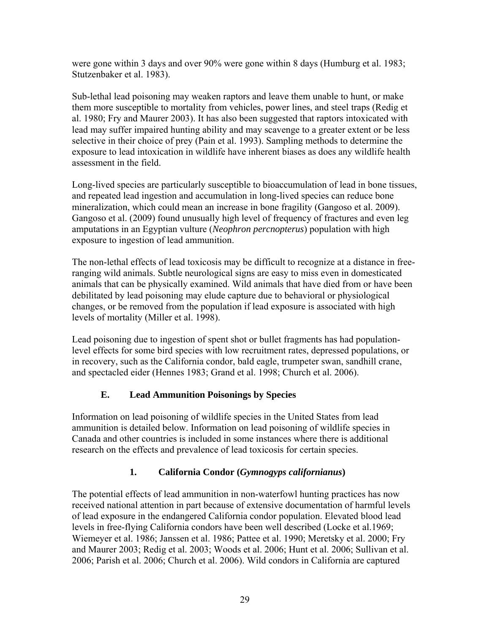were gone within 3 days and over 90% were gone within 8 days (Humburg et al. 1983; Stutzenbaker et al. 1983).

Sub-lethal lead poisoning may weaken raptors and leave them unable to hunt, or make them more susceptible to mortality from vehicles, power lines, and steel traps (Redig et al. 1980; Fry and Maurer 2003). It has also been suggested that raptors intoxicated with lead may suffer impaired hunting ability and may scavenge to a greater extent or be less selective in their choice of prey (Pain et al. 1993). Sampling methods to determine the exposure to lead intoxication in wildlife have inherent biases as does any wildlife health assessment in the field.

Long-lived species are particularly susceptible to bioaccumulation of lead in bone tissues, and repeated lead ingestion and accumulation in long-lived species can reduce bone mineralization, which could mean an increase in bone fragility (Gangoso et al. 2009). Gangoso et al. (2009) found unusually high level of frequency of fractures and even leg amputations in an Egyptian vulture (*Neophron percnopterus*) population with high exposure to ingestion of lead ammunition.

The non-lethal effects of lead toxicosis may be difficult to recognize at a distance in freeranging wild animals. Subtle neurological signs are easy to miss even in domesticated animals that can be physically examined. Wild animals that have died from or have been debilitated by lead poisoning may elude capture due to behavioral or physiological changes, or be removed from the population if lead exposure is associated with high levels of mortality (Miller et al. 1998).

Lead poisoning due to ingestion of spent shot or bullet fragments has had populationlevel effects for some bird species with low recruitment rates, depressed populations, or in recovery, such as the California condor, bald eagle, trumpeter swan, sandhill crane, and spectacled eider (Hennes 1983; Grand et al. 1998; Church et al. 2006).

# **E. Lead Ammunition Poisonings by Species**

Information on lead poisoning of wildlife species in the United States from lead ammunition is detailed below. Information on lead poisoning of wildlife species in Canada and other countries is included in some instances where there is additional research on the effects and prevalence of lead toxicosis for certain species.

# **1. California Condor (***Gymnogyps californianus***)**

The potential effects of lead ammunition in non-waterfowl hunting practices has now received national attention in part because of extensive documentation of harmful levels of lead exposure in the endangered California condor population. Elevated blood lead levels in free-flying California condors have been well described (Locke et al.1969; Wiemeyer et al. 1986; Janssen et al. 1986; Pattee et al. 1990; Meretsky et al. 2000; Fry and Maurer 2003; Redig et al. 2003; Woods et al. 2006; Hunt et al. 2006; Sullivan et al. 2006; Parish et al. 2006; Church et al. 2006). Wild condors in California are captured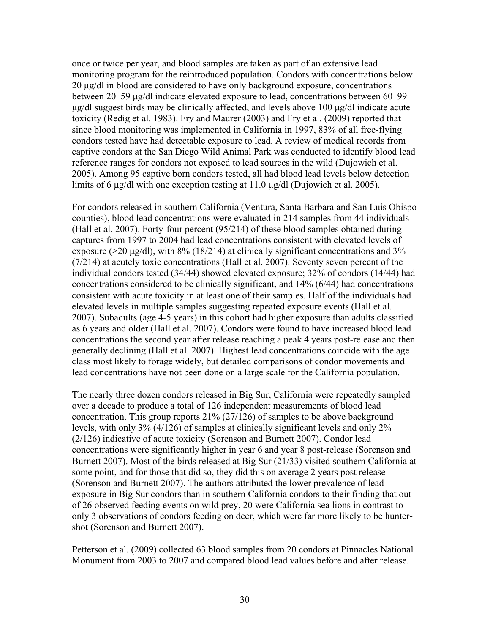once or twice per year, and blood samples are taken as part of an extensive lead monitoring program for the reintroduced population. Condors with concentrations below 20 μg/dl in blood are considered to have only background exposure, concentrations between 20–59 μg/dl indicate elevated exposure to lead, concentrations between 60–99 μg/dl suggest birds may be clinically affected, and levels above 100 μg/dl indicate acute toxicity (Redig et al. 1983). Fry and Maurer (2003) and Fry et al. (2009) reported that since blood monitoring was implemented in California in 1997, 83% of all free-flying condors tested have had detectable exposure to lead. A review of medical records from captive condors at the San Diego Wild Animal Park was conducted to identify blood lead reference ranges for condors not exposed to lead sources in the wild (Dujowich et al. 2005). Among 95 captive born condors tested, all had blood lead levels below detection limits of 6 μg/dl with one exception testing at 11.0 μg/dl (Dujowich et al. 2005).

For condors released in southern California (Ventura, Santa Barbara and San Luis Obispo counties), blood lead concentrations were evaluated in 214 samples from 44 individuals (Hall et al. 2007). Forty-four percent (95/214) of these blood samples obtained during captures from 1997 to 2004 had lead concentrations consistent with elevated levels of exposure ( $>20 \mu$ g/dl), with 8% (18/214) at clinically significant concentrations and 3% (7/214) at acutely toxic concentrations (Hall et al. 2007). Seventy seven percent of the individual condors tested (34/44) showed elevated exposure; 32% of condors (14/44) had concentrations considered to be clinically significant, and 14% (6/44) had concentrations consistent with acute toxicity in at least one of their samples. Half of the individuals had elevated levels in multiple samples suggesting repeated exposure events (Hall et al. 2007). Subadults (age 4-5 years) in this cohort had higher exposure than adults classified as 6 years and older (Hall et al. 2007). Condors were found to have increased blood lead concentrations the second year after release reaching a peak 4 years post-release and then generally declining (Hall et al. 2007). Highest lead concentrations coincide with the age class most likely to forage widely, but detailed comparisons of condor movements and lead concentrations have not been done on a large scale for the California population.

The nearly three dozen condors released in Big Sur, California were repeatedly sampled over a decade to produce a total of 126 independent measurements of blood lead concentration. This group reports 21% (27/126) of samples to be above background levels, with only 3% (4/126) of samples at clinically significant levels and only 2% (2/126) indicative of acute toxicity (Sorenson and Burnett 2007). Condor lead concentrations were significantly higher in year 6 and year 8 post-release (Sorenson and Burnett 2007). Most of the birds released at Big Sur (21/33) visited southern California at some point, and for those that did so, they did this on average 2 years post release (Sorenson and Burnett 2007). The authors attributed the lower prevalence of lead exposure in Big Sur condors than in southern California condors to their finding that out of 26 observed feeding events on wild prey, 20 were California sea lions in contrast to only 3 observations of condors feeding on deer, which were far more likely to be huntershot (Sorenson and Burnett 2007).

Petterson et al. (2009) collected 63 blood samples from 20 condors at Pinnacles National Monument from 2003 to 2007 and compared blood lead values before and after release.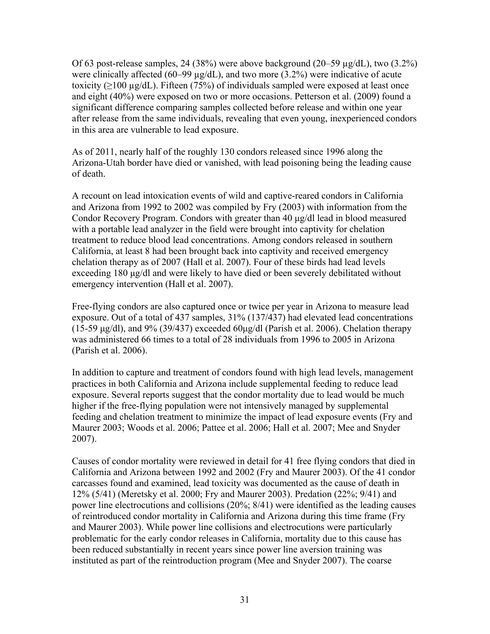Of 63 post-release samples, 24 (38%) were above background (20–59  $\mu$ g/dL), two (3.2%) were clinically affected (60–99 µg/dL), and two more (3.2%) were indicative of acute toxicity ( $\geq$ 100 µg/dL). Fifteen (75%) of individuals sampled were exposed at least once and eight (40%) were exposed on two or more occasions. Petterson et al. (2009) found a significant difference comparing samples collected before release and within one year after release from the same individuals, revealing that even young, inexperienced condors in this area are vulnerable to lead exposure.

As of 2011, nearly half of the roughly 130 condors released since 1996 along the Arizona-Utah border have died or vanished, with lead poisoning being the leading cause of death.

A recount on lead intoxication events of wild and captive-reared condors in California and Arizona from 1992 to 2002 was compiled by Fry (2003) with information from the Condor Recovery Program. Condors with greater than 40 μg/dl lead in blood measured with a portable lead analyzer in the field were brought into captivity for chelation treatment to reduce blood lead concentrations. Among condors released in southern California, at least 8 had been brought back into captivity and received emergency chelation therapy as of 2007 (Hall et al. 2007). Four of these birds had lead levels exceeding 180 μg/dl and were likely to have died or been severely debilitated without emergency intervention (Hall et al. 2007).

Free-flying condors are also captured once or twice per year in Arizona to measure lead exposure. Out of a total of 437 samples, 31% (137/437) had elevated lead concentrations (15-59  $\mu$ g/dl), and 9% (39/437) exceeded 60 $\mu$ g/dl (Parish et al. 2006). Chelation therapy was administered 66 times to a total of 28 individuals from 1996 to 2005 in Arizona (Parish et al. 2006).

In addition to capture and treatment of condors found with high lead levels, management practices in both California and Arizona include supplemental feeding to reduce lead exposure. Several reports suggest that the condor mortality due to lead would be much higher if the free-flying population were not intensively managed by supplemental feeding and chelation treatment to minimize the impact of lead exposure events (Fry and Maurer 2003; Woods et al. 2006; Pattee et al. 2006; Hall et al. 2007; Mee and Snyder 2007).

Causes of condor mortality were reviewed in detail for 41 free flying condors that died in California and Arizona between 1992 and 2002 (Fry and Maurer 2003). Of the 41 condor carcasses found and examined, lead toxicity was documented as the cause of death in 12% (5/41) (Meretsky et al. 2000; Fry and Maurer 2003). Predation (22%; 9/41) and power line electrocutions and collisions (20%; 8/41) were identified as the leading causes of reintroduced condor mortality in California and Arizona during this time frame (Fry and Maurer 2003). While power line collisions and electrocutions were particularly problematic for the early condor releases in California, mortality due to this cause has been reduced substantially in recent years since power line aversion training was instituted as part of the reintroduction program (Mee and Snyder 2007). The coarse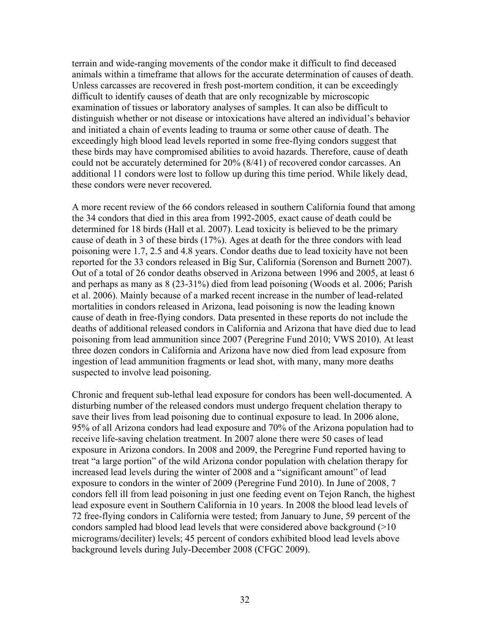terrain and wide-ranging movements of the condor make it difficult to find deceased animals within a timeframe that allows for the accurate determination of causes of death. Unless carcasses are recovered in fresh post-mortem condition, it can be exceedingly difficult to identify causes of death that are only recognizable by microscopic examination of tissues or laboratory analyses of samples. It can also be difficult to distinguish whether or not disease or intoxications have altered an individual's behavior and initiated a chain of events leading to trauma or some other cause of death. The exceedingly high blood lead levels reported in some free-flying condors suggest that these birds may have compromised abilities to avoid hazards. Therefore, cause of death could not be accurately determined for 20% (8/41) of recovered condor carcasses. An additional 11 condors were lost to follow up during this time period. While likely dead, these condors were never recovered.

A more recent review of the 66 condors released in southern California found that among the 34 condors that died in this area from 1992-2005, exact cause of death could be determined for 18 birds (Hall et al. 2007). Lead toxicity is believed to be the primary cause of death in 3 of these birds (17%). Ages at death for the three condors with lead poisoning were 1.7, 2.5 and 4.8 years. Condor deaths due to lead toxicity have not been reported for the 33 condors released in Big Sur, California (Sorenson and Burnett 2007). Out of a total of 26 condor deaths observed in Arizona between 1996 and 2005, at least 6 and perhaps as many as 8 (23-31%) died from lead poisoning (Woods et al. 2006; Parish et al. 2006). Mainly because of a marked recent increase in the number of lead-related mortalities in condors released in Arizona, lead poisoning is now the leading known cause of death in free-flying condors. Data presented in these reports do not include the deaths of additional released condors in California and Arizona that have died due to lead poisoning from lead ammunition since 2007 (Peregrine Fund 2010; VWS 2010). At least three dozen condors in California and Arizona have now died from lead exposure from ingestion of lead ammunition fragments or lead shot, with many, many more deaths suspected to involve lead poisoning.

Chronic and frequent sub-lethal lead exposure for condors has been well-documented. A disturbing number of the released condors must undergo frequent chelation therapy to save their lives from lead poisoning due to continual exposure to lead. In 2006 alone, 95% of all Arizona condors had lead exposure and 70% of the Arizona population had to receive life-saving chelation treatment. In 2007 alone there were 50 cases of lead exposure in Arizona condors. In 2008 and 2009, the Peregrine Fund reported having to treat "a large portion" of the wild Arizona condor population with chelation therapy for increased lead levels during the winter of 2008 and a "significant amount" of lead exposure to condors in the winter of 2009 (Peregrine Fund 2010). In June of 2008, 7 condors fell ill from lead poisoning in just one feeding event on Tejon Ranch, the highest lead exposure event in Southern California in 10 years. In 2008 the blood lead levels of 72 free-flying condors in California were tested; from January to June, 59 percent of the condors sampled had blood lead levels that were considered above background (>10 micrograms/deciliter) levels; 45 percent of condors exhibited blood lead levels above background levels during July-December 2008 (CFGC 2009).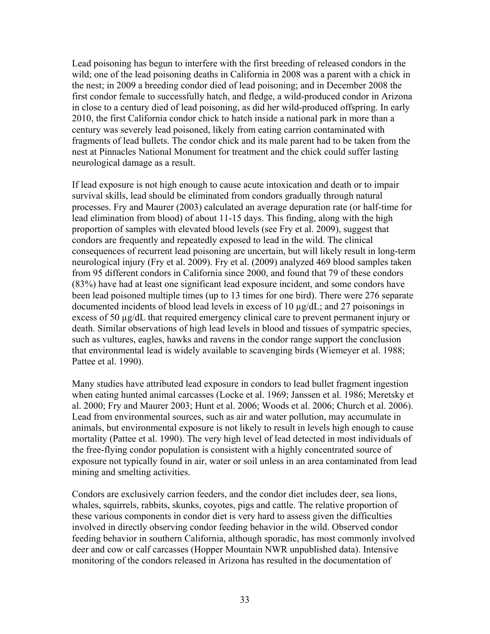Lead poisoning has begun to interfere with the first breeding of released condors in the wild; one of the lead poisoning deaths in California in 2008 was a parent with a chick in the nest; in 2009 a breeding condor died of lead poisoning; and in December 2008 the first condor female to successfully hatch, and fledge, a wild-produced condor in Arizona in close to a century died of lead poisoning, as did her wild-produced offspring. In early 2010, the first California condor chick to hatch inside a national park in more than a century was severely lead poisoned, likely from eating carrion contaminated with fragments of lead bullets. The condor chick and its male parent had to be taken from the nest at Pinnacles National Monument for treatment and the chick could suffer lasting neurological damage as a result.

If lead exposure is not high enough to cause acute intoxication and death or to impair survival skills, lead should be eliminated from condors gradually through natural processes. Fry and Maurer (2003) calculated an average depuration rate (or half-time for lead elimination from blood) of about 11-15 days. This finding, along with the high proportion of samples with elevated blood levels (see Fry et al. 2009), suggest that condors are frequently and repeatedly exposed to lead in the wild. The clinical consequences of recurrent lead poisoning are uncertain, but will likely result in long-term neurological injury (Fry et al. 2009). Fry et al. (2009) analyzed 469 blood samples taken from 95 different condors in California since 2000, and found that 79 of these condors (83%) have had at least one significant lead exposure incident, and some condors have been lead poisoned multiple times (up to 13 times for one bird). There were 276 separate documented incidents of blood lead levels in excess of 10 µg/dL; and 27 poisonings in excess of 50 µg/dL that required emergency clinical care to prevent permanent injury or death. Similar observations of high lead levels in blood and tissues of sympatric species, such as vultures, eagles, hawks and ravens in the condor range support the conclusion that environmental lead is widely available to scavenging birds (Wiemeyer et al. 1988; Pattee et al. 1990).

Many studies have attributed lead exposure in condors to lead bullet fragment ingestion when eating hunted animal carcasses (Locke et al. 1969; Janssen et al. 1986; Meretsky et al. 2000; Fry and Maurer 2003; Hunt et al. 2006; Woods et al. 2006; Church et al. 2006). Lead from environmental sources, such as air and water pollution, may accumulate in animals, but environmental exposure is not likely to result in levels high enough to cause mortality (Pattee et al. 1990). The very high level of lead detected in most individuals of the free-flying condor population is consistent with a highly concentrated source of exposure not typically found in air, water or soil unless in an area contaminated from lead mining and smelting activities.

Condors are exclusively carrion feeders, and the condor diet includes deer, sea lions, whales, squirrels, rabbits, skunks, coyotes, pigs and cattle. The relative proportion of these various components in condor diet is very hard to assess given the difficulties involved in directly observing condor feeding behavior in the wild. Observed condor feeding behavior in southern California, although sporadic, has most commonly involved deer and cow or calf carcasses (Hopper Mountain NWR unpublished data). Intensive monitoring of the condors released in Arizona has resulted in the documentation of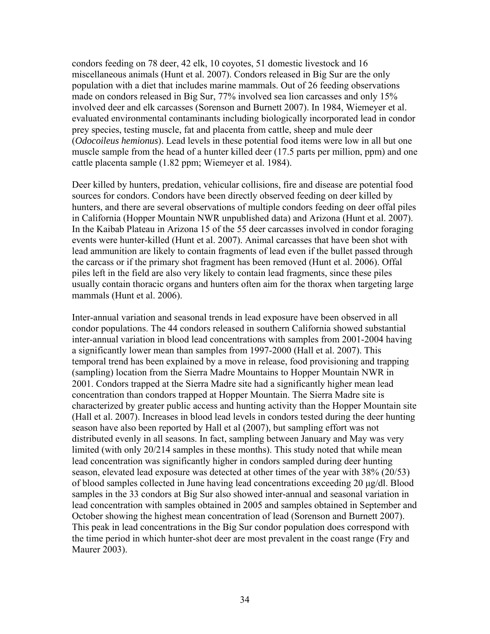condors feeding on 78 deer, 42 elk, 10 coyotes, 51 domestic livestock and 16 miscellaneous animals (Hunt et al. 2007). Condors released in Big Sur are the only population with a diet that includes marine mammals. Out of 26 feeding observations made on condors released in Big Sur, 77% involved sea lion carcasses and only 15% involved deer and elk carcasses (Sorenson and Burnett 2007). In 1984, Wiemeyer et al. evaluated environmental contaminants including biologically incorporated lead in condor prey species, testing muscle, fat and placenta from cattle, sheep and mule deer (*Odocoileus hemionus*). Lead levels in these potential food items were low in all but one muscle sample from the head of a hunter killed deer (17.5 parts per million, ppm) and one cattle placenta sample (1.82 ppm; Wiemeyer et al. 1984).

Deer killed by hunters, predation, vehicular collisions, fire and disease are potential food sources for condors. Condors have been directly observed feeding on deer killed by hunters, and there are several observations of multiple condors feeding on deer offal piles in California (Hopper Mountain NWR unpublished data) and Arizona (Hunt et al. 2007). In the Kaibab Plateau in Arizona 15 of the 55 deer carcasses involved in condor foraging events were hunter-killed (Hunt et al. 2007). Animal carcasses that have been shot with lead ammunition are likely to contain fragments of lead even if the bullet passed through the carcass or if the primary shot fragment has been removed (Hunt et al. 2006). Offal piles left in the field are also very likely to contain lead fragments, since these piles usually contain thoracic organs and hunters often aim for the thorax when targeting large mammals (Hunt et al. 2006).

Inter-annual variation and seasonal trends in lead exposure have been observed in all condor populations. The 44 condors released in southern California showed substantial inter-annual variation in blood lead concentrations with samples from 2001-2004 having a significantly lower mean than samples from 1997-2000 (Hall et al. 2007). This temporal trend has been explained by a move in release, food provisioning and trapping (sampling) location from the Sierra Madre Mountains to Hopper Mountain NWR in 2001. Condors trapped at the Sierra Madre site had a significantly higher mean lead concentration than condors trapped at Hopper Mountain. The Sierra Madre site is characterized by greater public access and hunting activity than the Hopper Mountain site (Hall et al. 2007). Increases in blood lead levels in condors tested during the deer hunting season have also been reported by Hall et al (2007), but sampling effort was not distributed evenly in all seasons. In fact, sampling between January and May was very limited (with only 20/214 samples in these months). This study noted that while mean lead concentration was significantly higher in condors sampled during deer hunting season, elevated lead exposure was detected at other times of the year with 38% (20/53) of blood samples collected in June having lead concentrations exceeding 20 μg/dl. Blood samples in the 33 condors at Big Sur also showed inter-annual and seasonal variation in lead concentration with samples obtained in 2005 and samples obtained in September and October showing the highest mean concentration of lead (Sorenson and Burnett 2007). This peak in lead concentrations in the Big Sur condor population does correspond with the time period in which hunter-shot deer are most prevalent in the coast range (Fry and Maurer 2003).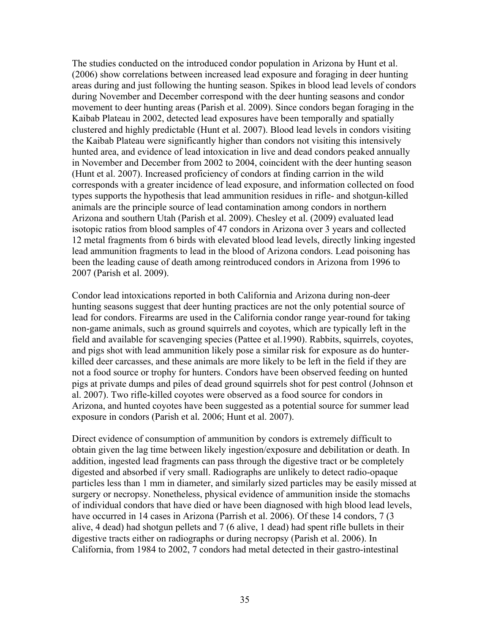The studies conducted on the introduced condor population in Arizona by Hunt et al. (2006) show correlations between increased lead exposure and foraging in deer hunting areas during and just following the hunting season. Spikes in blood lead levels of condors during November and December correspond with the deer hunting seasons and condor movement to deer hunting areas (Parish et al. 2009). Since condors began foraging in the Kaibab Plateau in 2002, detected lead exposures have been temporally and spatially clustered and highly predictable (Hunt et al. 2007). Blood lead levels in condors visiting the Kaibab Plateau were significantly higher than condors not visiting this intensively hunted area, and evidence of lead intoxication in live and dead condors peaked annually in November and December from 2002 to 2004, coincident with the deer hunting season (Hunt et al. 2007). Increased proficiency of condors at finding carrion in the wild corresponds with a greater incidence of lead exposure, and information collected on food types supports the hypothesis that lead ammunition residues in rifle- and shotgun-killed animals are the principle source of lead contamination among condors in northern Arizona and southern Utah (Parish et al. 2009). Chesley et al. (2009) evaluated lead isotopic ratios from blood samples of 47 condors in Arizona over 3 years and collected 12 metal fragments from 6 birds with elevated blood lead levels, directly linking ingested lead ammunition fragments to lead in the blood of Arizona condors. Lead poisoning has been the leading cause of death among reintroduced condors in Arizona from 1996 to 2007 (Parish et al. 2009).

Condor lead intoxications reported in both California and Arizona during non-deer hunting seasons suggest that deer hunting practices are not the only potential source of lead for condors. Firearms are used in the California condor range year-round for taking non-game animals, such as ground squirrels and coyotes, which are typically left in the field and available for scavenging species (Pattee et al.1990). Rabbits, squirrels, coyotes, and pigs shot with lead ammunition likely pose a similar risk for exposure as do hunterkilled deer carcasses, and these animals are more likely to be left in the field if they are not a food source or trophy for hunters. Condors have been observed feeding on hunted pigs at private dumps and piles of dead ground squirrels shot for pest control (Johnson et al. 2007). Two rifle-killed coyotes were observed as a food source for condors in Arizona, and hunted coyotes have been suggested as a potential source for summer lead exposure in condors (Parish et al*.* 2006; Hunt et al. 2007).

Direct evidence of consumption of ammunition by condors is extremely difficult to obtain given the lag time between likely ingestion/exposure and debilitation or death. In addition, ingested lead fragments can pass through the digestive tract or be completely digested and absorbed if very small. Radiographs are unlikely to detect radio-opaque particles less than 1 mm in diameter, and similarly sized particles may be easily missed at surgery or necropsy. Nonetheless, physical evidence of ammunition inside the stomachs of individual condors that have died or have been diagnosed with high blood lead levels, have occurred in 14 cases in Arizona (Parrish et al. 2006). Of these 14 condors, 7 (3) alive, 4 dead) had shotgun pellets and 7 (6 alive, 1 dead) had spent rifle bullets in their digestive tracts either on radiographs or during necropsy (Parish et al. 2006). In California, from 1984 to 2002, 7 condors had metal detected in their gastro-intestinal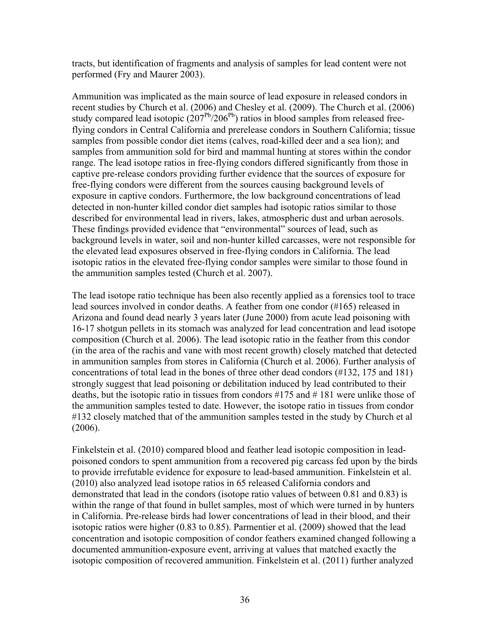tracts, but identification of fragments and analysis of samples for lead content were not performed (Fry and Maurer 2003).

Ammunition was implicated as the main source of lead exposure in released condors in recent studies by Church et al. (2006) and Chesley et al. (2009). The Church et al. (2006) study compared lead isotopic  $(207<sup>Pb</sup>/206<sup>Pb</sup>)$  ratios in blood samples from released freeflying condors in Central California and prerelease condors in Southern California; tissue samples from possible condor diet items (calves, road-killed deer and a sea lion); and samples from ammunition sold for bird and mammal hunting at stores within the condor range. The lead isotope ratios in free-flying condors differed significantly from those in captive pre-release condors providing further evidence that the sources of exposure for free-flying condors were different from the sources causing background levels of exposure in captive condors. Furthermore, the low background concentrations of lead detected in non-hunter killed condor diet samples had isotopic ratios similar to those described for environmental lead in rivers, lakes, atmospheric dust and urban aerosols. These findings provided evidence that "environmental" sources of lead, such as background levels in water, soil and non-hunter killed carcasses, were not responsible for the elevated lead exposures observed in free-flying condors in California. The lead isotopic ratios in the elevated free-flying condor samples were similar to those found in the ammunition samples tested (Church et al. 2007).

The lead isotope ratio technique has been also recently applied as a forensics tool to trace lead sources involved in condor deaths. A feather from one condor (#165) released in Arizona and found dead nearly 3 years later (June 2000) from acute lead poisoning with 16-17 shotgun pellets in its stomach was analyzed for lead concentration and lead isotope composition (Church et al. 2006). The lead isotopic ratio in the feather from this condor (in the area of the rachis and vane with most recent growth) closely matched that detected in ammunition samples from stores in California (Church et al. 2006). Further analysis of concentrations of total lead in the bones of three other dead condors (#132, 175 and 181) strongly suggest that lead poisoning or debilitation induced by lead contributed to their deaths, but the isotopic ratio in tissues from condors  $\#175$  and  $\#181$  were unlike those of the ammunition samples tested to date. However, the isotope ratio in tissues from condor #132 closely matched that of the ammunition samples tested in the study by Church et al (2006).

Finkelstein et al. (2010) compared blood and feather lead isotopic composition in leadpoisoned condors to spent ammunition from a recovered pig carcass fed upon by the birds to provide irrefutable evidence for exposure to lead-based ammunition. Finkelstein et al. (2010) also analyzed lead isotope ratios in 65 released California condors and demonstrated that lead in the condors (isotope ratio values of between 0.81 and 0.83) is within the range of that found in bullet samples, most of which were turned in by hunters in California. Pre-release birds had lower concentrations of lead in their blood, and their isotopic ratios were higher (0.83 to 0.85). Parmentier et al. (2009) showed that the lead concentration and isotopic composition of condor feathers examined changed following a documented ammunition-exposure event, arriving at values that matched exactly the isotopic composition of recovered ammunition. Finkelstein et al. (2011) further analyzed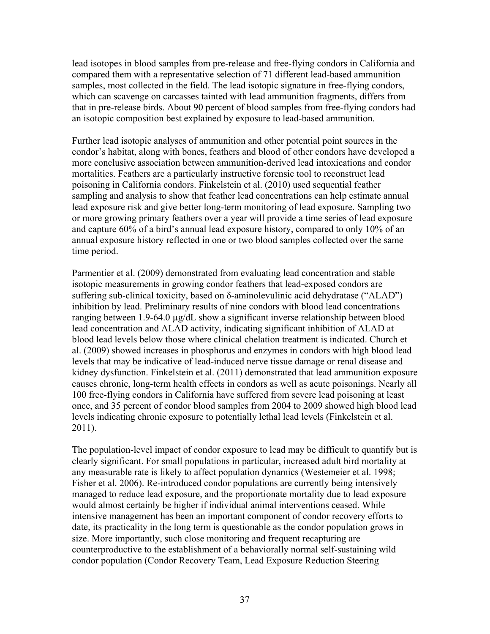lead isotopes in blood samples from pre-release and free-flying condors in California and compared them with a representative selection of 71 different lead-based ammunition samples, most collected in the field. The lead isotopic signature in free-flying condors, which can scavenge on carcasses tainted with lead ammunition fragments, differs from that in pre-release birds. About 90 percent of blood samples from free-flying condors had an isotopic composition best explained by exposure to lead-based ammunition.

Further lead isotopic analyses of ammunition and other potential point sources in the condor's habitat, along with bones, feathers and blood of other condors have developed a more conclusive association between ammunition-derived lead intoxications and condor mortalities. Feathers are a particularly instructive forensic tool to reconstruct lead poisoning in California condors. Finkelstein et al. (2010) used sequential feather sampling and analysis to show that feather lead concentrations can help estimate annual lead exposure risk and give better long-term monitoring of lead exposure. Sampling two or more growing primary feathers over a year will provide a time series of lead exposure and capture 60% of a bird's annual lead exposure history, compared to only 10% of an annual exposure history reflected in one or two blood samples collected over the same time period.

Parmentier et al. (2009) demonstrated from evaluating lead concentration and stable isotopic measurements in growing condor feathers that lead-exposed condors are suffering sub-clinical toxicity, based on δ-aminolevulinic acid dehydratase ("ALAD") inhibition by lead. Preliminary results of nine condors with blood lead concentrations ranging between 1.9-64.0 µg/dL show a significant inverse relationship between blood lead concentration and ALAD activity, indicating significant inhibition of ALAD at blood lead levels below those where clinical chelation treatment is indicated. Church et al. (2009) showed increases in phosphorus and enzymes in condors with high blood lead levels that may be indicative of lead-induced nerve tissue damage or renal disease and kidney dysfunction. Finkelstein et al. (2011) demonstrated that lead ammunition exposure causes chronic, long-term health effects in condors as well as acute poisonings. Nearly all 100 free-flying condors in California have suffered from severe lead poisoning at least once, and 35 percent of condor blood samples from 2004 to 2009 showed high blood lead levels indicating chronic exposure to potentially lethal lead levels (Finkelstein et al. 2011).

The population-level impact of condor exposure to lead may be difficult to quantify but is clearly significant. For small populations in particular, increased adult bird mortality at any measurable rate is likely to affect population dynamics (Westemeier et al. 1998; Fisher et al. 2006). Re-introduced condor populations are currently being intensively managed to reduce lead exposure, and the proportionate mortality due to lead exposure would almost certainly be higher if individual animal interventions ceased. While intensive management has been an important component of condor recovery efforts to date, its practicality in the long term is questionable as the condor population grows in size. More importantly, such close monitoring and frequent recapturing are counterproductive to the establishment of a behaviorally normal self-sustaining wild condor population (Condor Recovery Team, Lead Exposure Reduction Steering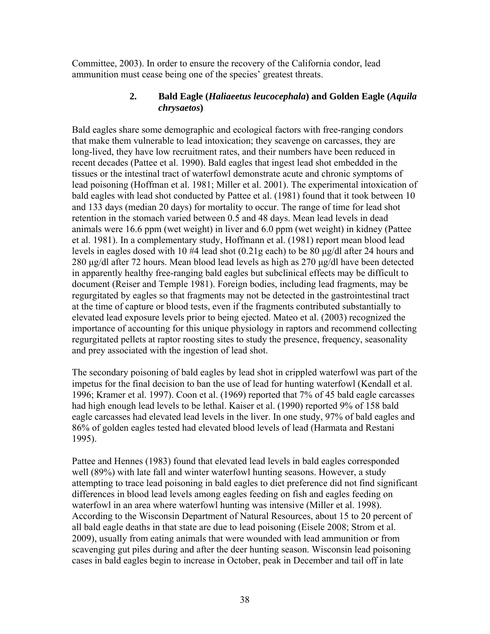Committee, 2003). In order to ensure the recovery of the California condor, lead ammunition must cease being one of the species' greatest threats.

## **2. Bald Eagle (***Haliaeetus leucocephala***) and Golden Eagle (***Aquila chrysaetos***)**

Bald eagles share some demographic and ecological factors with free-ranging condors that make them vulnerable to lead intoxication; they scavenge on carcasses, they are long-lived, they have low recruitment rates, and their numbers have been reduced in recent decades (Pattee et al. 1990). Bald eagles that ingest lead shot embedded in the tissues or the intestinal tract of waterfowl demonstrate acute and chronic symptoms of lead poisoning (Hoffman et al. 1981; Miller et al. 2001). The experimental intoxication of bald eagles with lead shot conducted by Pattee et al. (1981) found that it took between 10 and 133 days (median 20 days) for mortality to occur. The range of time for lead shot retention in the stomach varied between 0.5 and 48 days. Mean lead levels in dead animals were 16.6 ppm (wet weight) in liver and 6.0 ppm (wet weight) in kidney (Pattee et al. 1981). In a complementary study, Hoffmann et al. (1981) report mean blood lead levels in eagles dosed with 10 #4 lead shot (0.21g each) to be 80 μg/dl after 24 hours and 280 μg/dl after 72 hours. Mean blood lead levels as high as 270 μg/dl have been detected in apparently healthy free-ranging bald eagles but subclinical effects may be difficult to document (Reiser and Temple 1981). Foreign bodies, including lead fragments, may be regurgitated by eagles so that fragments may not be detected in the gastrointestinal tract at the time of capture or blood tests, even if the fragments contributed substantially to elevated lead exposure levels prior to being ejected. Mateo et al. (2003) recognized the importance of accounting for this unique physiology in raptors and recommend collecting regurgitated pellets at raptor roosting sites to study the presence, frequency, seasonality and prey associated with the ingestion of lead shot.

The secondary poisoning of bald eagles by lead shot in crippled waterfowl was part of the impetus for the final decision to ban the use of lead for hunting waterfowl (Kendall et al. 1996; Kramer et al. 1997). Coon et al. (1969) reported that 7% of 45 bald eagle carcasses had high enough lead levels to be lethal. Kaiser et al. (1990) reported 9% of 158 bald eagle carcasses had elevated lead levels in the liver. In one study, 97% of bald eagles and 86% of golden eagles tested had elevated blood levels of lead (Harmata and Restani 1995).

Pattee and Hennes (1983) found that elevated lead levels in bald eagles corresponded well (89%) with late fall and winter waterfowl hunting seasons. However, a study attempting to trace lead poisoning in bald eagles to diet preference did not find significant differences in blood lead levels among eagles feeding on fish and eagles feeding on waterfowl in an area where waterfowl hunting was intensive (Miller et al. 1998). According to the Wisconsin Department of Natural Resources, about 15 to 20 percent of all bald eagle deaths in that state are due to lead poisoning (Eisele 2008; Strom et al. 2009), usually from eating animals that were wounded with lead ammunition or from scavenging gut piles during and after the deer hunting season. Wisconsin lead poisoning cases in bald eagles begin to increase in October, peak in December and tail off in late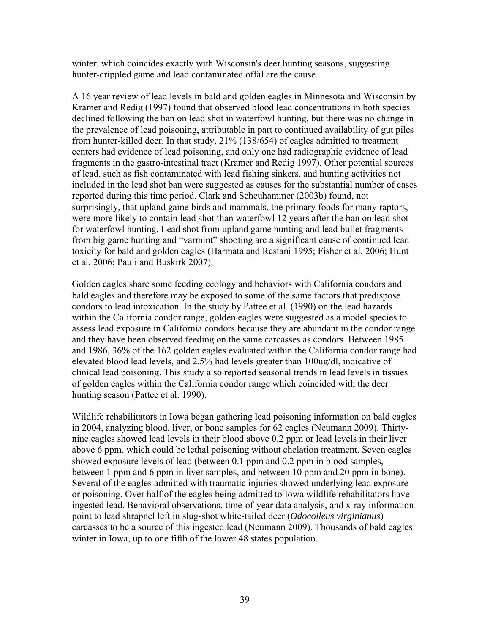winter, which coincides exactly with Wisconsin's deer hunting seasons, suggesting hunter-crippled game and lead contaminated offal are the cause.

A 16 year review of lead levels in bald and golden eagles in Minnesota and Wisconsin by Kramer and Redig (1997) found that observed blood lead concentrations in both species declined following the ban on lead shot in waterfowl hunting, but there was no change in the prevalence of lead poisoning, attributable in part to continued availability of gut piles from hunter-killed deer. In that study, 21% (138/654) of eagles admitted to treatment centers had evidence of lead poisoning, and only one had radiographic evidence of lead fragments in the gastro-intestinal tract (Kramer and Redig 1997). Other potential sources of lead, such as fish contaminated with lead fishing sinkers, and hunting activities not included in the lead shot ban were suggested as causes for the substantial number of cases reported during this time period. Clark and Scheuhammer (2003b) found, not surprisingly, that upland game birds and mammals, the primary foods for many raptors, were more likely to contain lead shot than waterfowl 12 years after the ban on lead shot for waterfowl hunting. Lead shot from upland game hunting and lead bullet fragments from big game hunting and "varmint" shooting are a significant cause of continued lead toxicity for bald and golden eagles (Harmata and Restani 1995; Fisher et al. 2006; Hunt et al. 2006; Pauli and Buskirk 2007).

Golden eagles share some feeding ecology and behaviors with California condors and bald eagles and therefore may be exposed to some of the same factors that predispose condors to lead intoxication. In the study by Pattee et al. (1990) on the lead hazards within the California condor range, golden eagles were suggested as a model species to assess lead exposure in California condors because they are abundant in the condor range and they have been observed feeding on the same carcasses as condors. Between 1985 and 1986, 36% of the 162 golden eagles evaluated within the California condor range had elevated blood lead levels, and 2.5% had levels greater than 100ug/dl, indicative of clinical lead poisoning. This study also reported seasonal trends in lead levels in tissues of golden eagles within the California condor range which coincided with the deer hunting season (Pattee et al. 1990).

Wildlife rehabilitators in Iowa began gathering lead poisoning information on bald eagles in 2004, analyzing blood, liver, or bone samples for 62 eagles (Neumann 2009). Thirtynine eagles showed lead levels in their blood above 0.2 ppm or lead levels in their liver above 6 ppm, which could be lethal poisoning without chelation treatment. Seven eagles showed exposure levels of lead (between 0.1 ppm and 0.2 ppm in blood samples, between 1 ppm and 6 ppm in liver samples, and between 10 ppm and 20 ppm in bone). Several of the eagles admitted with traumatic injuries showed underlying lead exposure or poisoning. Over half of the eagles being admitted to Iowa wildlife rehabilitators have ingested lead. Behavioral observations, time-of-year data analysis, and x-ray information point to lead shrapnel left in slug-shot white-tailed deer (*Odocoileus virginianus*) carcasses to be a source of this ingested lead (Neumann 2009). Thousands of bald eagles winter in Iowa, up to one fifth of the lower 48 states population.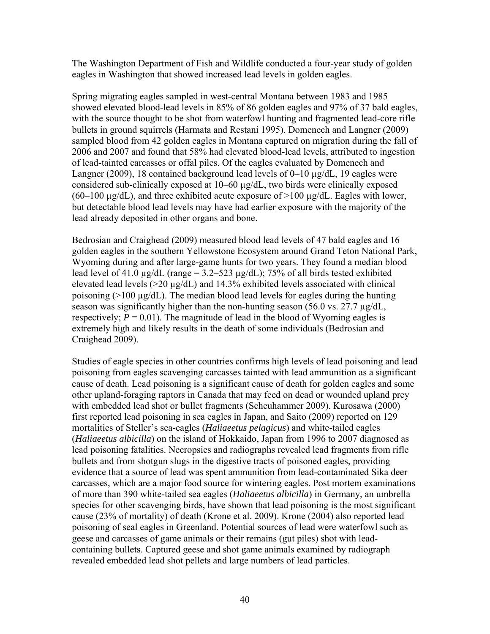The Washington Department of Fish and Wildlife conducted a four-year study of golden eagles in Washington that showed increased lead levels in golden eagles.

Spring migrating eagles sampled in west-central Montana between 1983 and 1985 showed elevated blood-lead levels in 85% of 86 golden eagles and 97% of 37 bald eagles, with the source thought to be shot from waterfowl hunting and fragmented lead-core rifle bullets in ground squirrels (Harmata and Restani 1995). Domenech and Langner (2009) sampled blood from 42 golden eagles in Montana captured on migration during the fall of 2006 and 2007 and found that 58% had elevated blood-lead levels, attributed to ingestion of lead-tainted carcasses or offal piles. Of the eagles evaluated by Domenech and Langner (2009), 18 contained background lead levels of 0–10 µg/dL, 19 eagles were considered sub-clinically exposed at 10–60 µg/dL, two birds were clinically exposed  $(60-100 \text{ µg/dL})$ , and three exhibited acute exposure of  $>100 \text{ µg/dL}$ . Eagles with lower, but detectable blood lead levels may have had earlier exposure with the majority of the lead already deposited in other organs and bone.

Bedrosian and Craighead (2009) measured blood lead levels of 47 bald eagles and 16 golden eagles in the southern Yellowstone Ecosystem around Grand Teton National Park, Wyoming during and after large-game hunts for two years. They found a median blood lead level of 41.0  $\mu$ g/dL (range = 3.2–523  $\mu$ g/dL); 75% of all birds tested exhibited elevated lead levels (>20 µg/dL) and 14.3% exhibited levels associated with clinical poisoning (>100 µg/dL). The median blood lead levels for eagles during the hunting season was significantly higher than the non-hunting season  $(56.0 \text{ vs. } 27.7 \text{ µg/dL})$ , respectively;  $P = 0.01$ ). The magnitude of lead in the blood of Wyoming eagles is extremely high and likely results in the death of some individuals (Bedrosian and Craighead 2009).

Studies of eagle species in other countries confirms high levels of lead poisoning and lead poisoning from eagles scavenging carcasses tainted with lead ammunition as a significant cause of death. Lead poisoning is a significant cause of death for golden eagles and some other upland-foraging raptors in Canada that may feed on dead or wounded upland prey with embedded lead shot or bullet fragments (Scheuhammer 2009). Kurosawa (2000) first reported lead poisoning in sea eagles in Japan, and Saito (2009) reported on 129 mortalities of Steller's sea-eagles (*Haliaeetus pelagicus*) and white-tailed eagles (*Haliaeetus albicilla*) on the island of Hokkaido, Japan from 1996 to 2007 diagnosed as lead poisoning fatalities. Necropsies and radiographs revealed lead fragments from rifle bullets and from shotgun slugs in the digestive tracts of poisoned eagles, providing evidence that a source of lead was spent ammunition from lead-contaminated Sika deer carcasses, which are a major food source for wintering eagles. Post mortem examinations of more than 390 white-tailed sea eagles (*Haliaeetus albicilla*) in Germany, an umbrella species for other scavenging birds, have shown that lead poisoning is the most significant cause (23% of mortality) of death (Krone et al. 2009). Krone (2004) also reported lead poisoning of seal eagles in Greenland. Potential sources of lead were waterfowl such as geese and carcasses of game animals or their remains (gut piles) shot with leadcontaining bullets. Captured geese and shot game animals examined by radiograph revealed embedded lead shot pellets and large numbers of lead particles.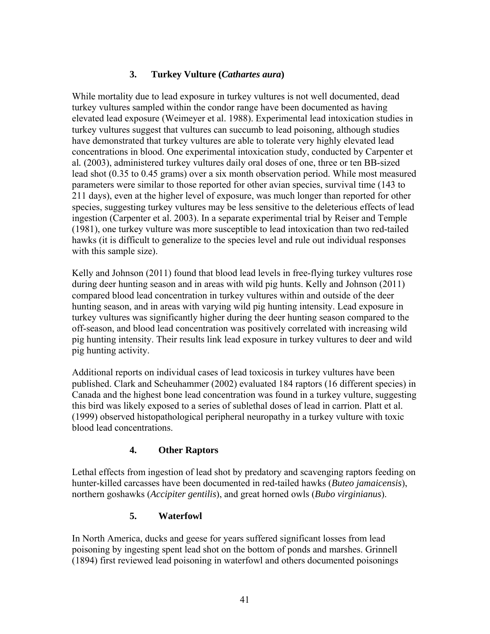# **3. Turkey Vulture (***Cathartes aura***)**

While mortality due to lead exposure in turkey vultures is not well documented, dead turkey vultures sampled within the condor range have been documented as having elevated lead exposure (Weimeyer et al. 1988). Experimental lead intoxication studies in turkey vultures suggest that vultures can succumb to lead poisoning, although studies have demonstrated that turkey vultures are able to tolerate very highly elevated lead concentrations in blood. One experimental intoxication study, conducted by Carpenter et al*.* (2003), administered turkey vultures daily oral doses of one, three or ten BB-sized lead shot (0.35 to 0.45 grams) over a six month observation period. While most measured parameters were similar to those reported for other avian species, survival time (143 to 211 days), even at the higher level of exposure, was much longer than reported for other species, suggesting turkey vultures may be less sensitive to the deleterious effects of lead ingestion (Carpenter et al. 2003). In a separate experimental trial by Reiser and Temple (1981), one turkey vulture was more susceptible to lead intoxication than two red-tailed hawks (it is difficult to generalize to the species level and rule out individual responses with this sample size).

Kelly and Johnson (2011) found that blood lead levels in free-flying turkey vultures rose during deer hunting season and in areas with wild pig hunts. Kelly and Johnson (2011) compared blood lead concentration in turkey vultures within and outside of the deer hunting season, and in areas with varying wild pig hunting intensity. Lead exposure in turkey vultures was significantly higher during the deer hunting season compared to the off-season, and blood lead concentration was positively correlated with increasing wild pig hunting intensity. Their results link lead exposure in turkey vultures to deer and wild pig hunting activity.

Additional reports on individual cases of lead toxicosis in turkey vultures have been published. Clark and Scheuhammer (2002) evaluated 184 raptors (16 different species) in Canada and the highest bone lead concentration was found in a turkey vulture, suggesting this bird was likely exposed to a series of sublethal doses of lead in carrion. Platt et al. (1999) observed histopathological peripheral neuropathy in a turkey vulture with toxic blood lead concentrations.

# **4. Other Raptors**

Lethal effects from ingestion of lead shot by predatory and scavenging raptors feeding on hunter-killed carcasses have been documented in red-tailed hawks (*Buteo jamaicensis*), northern goshawks (*Accipiter gentilis*), and great horned owls (*Bubo virginianus*).

# **5. Waterfowl**

In North America, ducks and geese for years suffered significant losses from lead poisoning by ingesting spent lead shot on the bottom of ponds and marshes. Grinnell (1894) first reviewed lead poisoning in waterfowl and others documented poisonings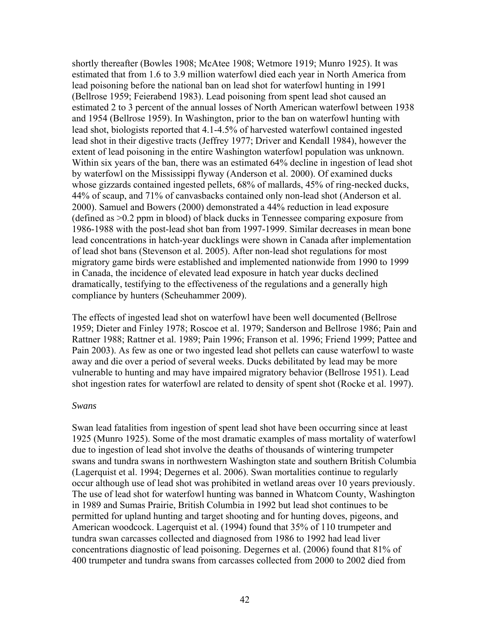shortly thereafter (Bowles 1908; McAtee 1908; Wetmore 1919; Munro 1925). It was estimated that from 1.6 to 3.9 million waterfowl died each year in North America from lead poisoning before the national ban on lead shot for waterfowl hunting in 1991 (Bellrose 1959; Feierabend 1983). Lead poisoning from spent lead shot caused an estimated 2 to 3 percent of the annual losses of North American waterfowl between 1938 and 1954 (Bellrose 1959). In Washington, prior to the ban on waterfowl hunting with lead shot, biologists reported that 4.1-4.5% of harvested waterfowl contained ingested lead shot in their digestive tracts (Jeffrey 1977; Driver and Kendall 1984), however the extent of lead poisoning in the entire Washington waterfowl population was unknown. Within six years of the ban, there was an estimated 64% decline in ingestion of lead shot by waterfowl on the Mississippi flyway (Anderson et al. 2000). Of examined ducks whose gizzards contained ingested pellets, 68% of mallards, 45% of ring-necked ducks, 44% of scaup, and 71% of canvasbacks contained only non-lead shot (Anderson et al. 2000). Samuel and Bowers (2000) demonstrated a 44% reduction in lead exposure (defined as >0.2 ppm in blood) of black ducks in Tennessee comparing exposure from 1986-1988 with the post-lead shot ban from 1997-1999. Similar decreases in mean bone lead concentrations in hatch-year ducklings were shown in Canada after implementation of lead shot bans (Stevenson et al. 2005). After non-lead shot regulations for most migratory game birds were established and implemented nationwide from 1990 to 1999 in Canada, the incidence of elevated lead exposure in hatch year ducks declined dramatically, testifying to the effectiveness of the regulations and a generally high compliance by hunters (Scheuhammer 2009).

The effects of ingested lead shot on waterfowl have been well documented (Bellrose 1959; Dieter and Finley 1978; Roscoe et al. 1979; Sanderson and Bellrose 1986; Pain and Rattner 1988; Rattner et al. 1989; Pain 1996; Franson et al. 1996; Friend 1999; Pattee and Pain 2003). As few as one or two ingested lead shot pellets can cause waterfowl to waste away and die over a period of several weeks. Ducks debilitated by lead may be more vulnerable to hunting and may have impaired migratory behavior (Bellrose 1951). Lead shot ingestion rates for waterfowl are related to density of spent shot (Rocke et al. 1997).

#### *Swans*

Swan lead fatalities from ingestion of spent lead shot have been occurring since at least 1925 (Munro 1925). Some of the most dramatic examples of mass mortality of waterfowl due to ingestion of lead shot involve the deaths of thousands of wintering trumpeter swans and tundra swans in northwestern Washington state and southern British Columbia (Lagerquist et al. 1994; Degernes et al. 2006). Swan mortalities continue to regularly occur although use of lead shot was prohibited in wetland areas over 10 years previously. The use of lead shot for waterfowl hunting was banned in Whatcom County, Washington in 1989 and Sumas Prairie, British Columbia in 1992 but lead shot continues to be permitted for upland hunting and target shooting and for hunting doves, pigeons, and American woodcock. Lagerquist et al. (1994) found that 35% of 110 trumpeter and tundra swan carcasses collected and diagnosed from 1986 to 1992 had lead liver concentrations diagnostic of lead poisoning. Degernes et al. (2006) found that 81% of 400 trumpeter and tundra swans from carcasses collected from 2000 to 2002 died from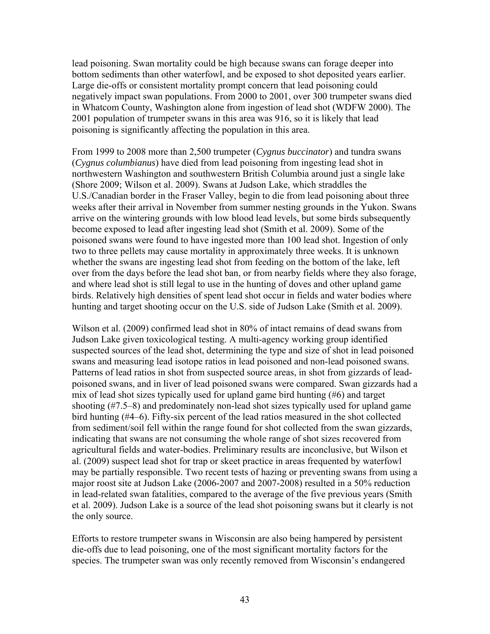lead poisoning. Swan mortality could be high because swans can forage deeper into bottom sediments than other waterfowl, and be exposed to shot deposited years earlier. Large die-offs or consistent mortality prompt concern that lead poisoning could negatively impact swan populations. From 2000 to 2001, over 300 trumpeter swans died in Whatcom County, Washington alone from ingestion of lead shot (WDFW 2000). The 2001 population of trumpeter swans in this area was 916, so it is likely that lead poisoning is significantly affecting the population in this area.

From 1999 to 2008 more than 2,500 trumpeter (*Cygnus buccinator*) and tundra swans (*Cygnus columbianus*) have died from lead poisoning from ingesting lead shot in northwestern Washington and southwestern British Columbia around just a single lake (Shore 2009; Wilson et al. 2009). Swans at Judson Lake, which straddles the U.S./Canadian border in the Fraser Valley, begin to die from lead poisoning about three weeks after their arrival in November from summer nesting grounds in the Yukon. Swans arrive on the wintering grounds with low blood lead levels, but some birds subsequently become exposed to lead after ingesting lead shot (Smith et al. 2009). Some of the poisoned swans were found to have ingested more than 100 lead shot. Ingestion of only two to three pellets may cause mortality in approximately three weeks. It is unknown whether the swans are ingesting lead shot from feeding on the bottom of the lake, left over from the days before the lead shot ban, or from nearby fields where they also forage, and where lead shot is still legal to use in the hunting of doves and other upland game birds. Relatively high densities of spent lead shot occur in fields and water bodies where hunting and target shooting occur on the U.S. side of Judson Lake (Smith et al. 2009).

Wilson et al. (2009) confirmed lead shot in 80% of intact remains of dead swans from Judson Lake given toxicological testing. A multi-agency working group identified suspected sources of the lead shot, determining the type and size of shot in lead poisoned swans and measuring lead isotope ratios in lead poisoned and non-lead poisoned swans. Patterns of lead ratios in shot from suspected source areas, in shot from gizzards of leadpoisoned swans, and in liver of lead poisoned swans were compared. Swan gizzards had a mix of lead shot sizes typically used for upland game bird hunting (#6) and target shooting (#7.5–8) and predominately non-lead shot sizes typically used for upland game bird hunting (#4–6). Fifty-six percent of the lead ratios measured in the shot collected from sediment/soil fell within the range found for shot collected from the swan gizzards, indicating that swans are not consuming the whole range of shot sizes recovered from agricultural fields and water-bodies. Preliminary results are inconclusive, but Wilson et al. (2009) suspect lead shot for trap or skeet practice in areas frequented by waterfowl may be partially responsible. Two recent tests of hazing or preventing swans from using a major roost site at Judson Lake (2006-2007 and 2007-2008) resulted in a 50% reduction in lead-related swan fatalities, compared to the average of the five previous years (Smith et al. 2009). Judson Lake is a source of the lead shot poisoning swans but it clearly is not the only source.

Efforts to restore trumpeter swans in Wisconsin are also being hampered by persistent die-offs due to lead poisoning, one of the most significant mortality factors for the species. The trumpeter swan was only recently removed from Wisconsin's endangered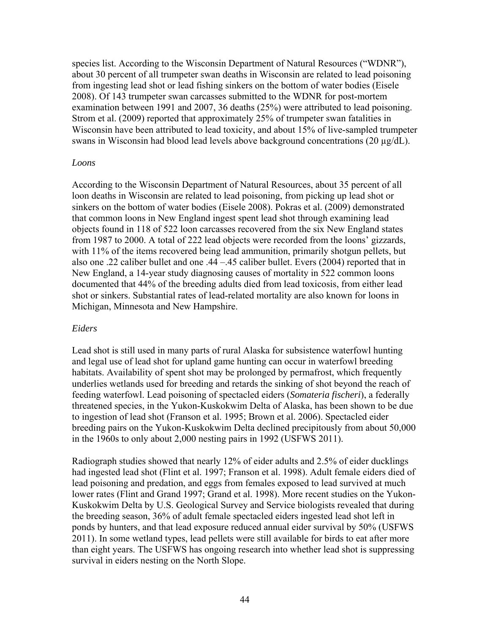species list. According to the Wisconsin Department of Natural Resources ("WDNR"), about 30 percent of all trumpeter swan deaths in Wisconsin are related to lead poisoning from ingesting lead shot or lead fishing sinkers on the bottom of water bodies (Eisele 2008). Of 143 trumpeter swan carcasses submitted to the WDNR for post-mortem examination between 1991 and 2007, 36 deaths (25%) were attributed to lead poisoning. Strom et al. (2009) reported that approximately 25% of trumpeter swan fatalities in Wisconsin have been attributed to lead toxicity, and about 15% of live-sampled trumpeter swans in Wisconsin had blood lead levels above background concentrations (20 µg/dL).

#### *Loons*

According to the Wisconsin Department of Natural Resources, about 35 percent of all loon deaths in Wisconsin are related to lead poisoning, from picking up lead shot or sinkers on the bottom of water bodies (Eisele 2008). Pokras et al. (2009) demonstrated that common loons in New England ingest spent lead shot through examining lead objects found in 118 of 522 loon carcasses recovered from the six New England states from 1987 to 2000. A total of 222 lead objects were recorded from the loons' gizzards, with 11% of the items recovered being lead ammunition, primarily shotgun pellets, but also one .22 caliber bullet and one .44 –.45 caliber bullet. Evers (2004) reported that in New England, a 14-year study diagnosing causes of mortality in 522 common loons documented that 44% of the breeding adults died from lead toxicosis, from either lead shot or sinkers. Substantial rates of lead-related mortality are also known for loons in Michigan, Minnesota and New Hampshire.

## *Eiders*

Lead shot is still used in many parts of rural Alaska for subsistence waterfowl hunting and legal use of lead shot for upland game hunting can occur in waterfowl breeding habitats. Availability of spent shot may be prolonged by permafrost, which frequently underlies wetlands used for breeding and retards the sinking of shot beyond the reach of feeding waterfowl. Lead poisoning of spectacled eiders (*Somateria fischeri*), a federally threatened species, in the Yukon-Kuskokwim Delta of Alaska, has been shown to be due to ingestion of lead shot (Franson et al. 1995; Brown et al. 2006). Spectacled eider breeding pairs on the Yukon-Kuskokwim Delta declined precipitously from about 50,000 in the 1960s to only about 2,000 nesting pairs in 1992 (USFWS 2011).

Radiograph studies showed that nearly 12% of eider adults and 2.5% of eider ducklings had ingested lead shot (Flint et al. 1997; Franson et al. 1998). Adult female eiders died of lead poisoning and predation, and eggs from females exposed to lead survived at much lower rates (Flint and Grand 1997; Grand et al. 1998). More recent studies on the Yukon-Kuskokwim Delta by U.S. Geological Survey and Service biologists revealed that during the breeding season, 36% of adult female spectacled eiders ingested lead shot left in ponds by hunters, and that lead exposure reduced annual eider survival by 50% (USFWS 2011). In some wetland types, lead pellets were still available for birds to eat after more than eight years. The USFWS has ongoing research into whether lead shot is suppressing survival in eiders nesting on the North Slope.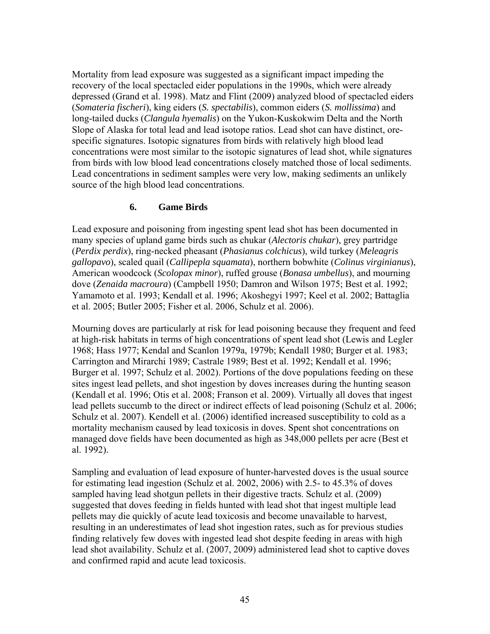Mortality from lead exposure was suggested as a significant impact impeding the recovery of the local spectacled eider populations in the 1990s, which were already depressed (Grand et al. 1998). Matz and Flint (2009) analyzed blood of spectacled eiders (*Somateria fischeri*), king eiders (*S. spectabilis*), common eiders (*S. mollissima*) and long-tailed ducks (*Clangula hyemalis*) on the Yukon-Kuskokwim Delta and the North Slope of Alaska for total lead and lead isotope ratios. Lead shot can have distinct, orespecific signatures. Isotopic signatures from birds with relatively high blood lead concentrations were most similar to the isotopic signatures of lead shot, while signatures from birds with low blood lead concentrations closely matched those of local sediments. Lead concentrations in sediment samples were very low, making sediments an unlikely source of the high blood lead concentrations.

## **6. Game Birds**

Lead exposure and poisoning from ingesting spent lead shot has been documented in many species of upland game birds such as chukar (*Alectoris chukar*), grey partridge (*Perdix perdix*), ring-necked pheasant (*Phasianus colchicus*), wild turkey (*Meleagris gallopavo*), scaled quail (*Callipepla squamata*), northern bobwhite (*Colinus virginianus*), American woodcock (*Scolopax minor*), ruffed grouse (*Bonasa umbellus*), and mourning dove (*Zenaida macroura*) (Campbell 1950; Damron and Wilson 1975; Best et al. 1992; Yamamoto et al. 1993; Kendall et al. 1996; Akoshegyi 1997; Keel et al. 2002; Battaglia et al. 2005; Butler 2005; Fisher et al. 2006, Schulz et al. 2006).

Mourning doves are particularly at risk for lead poisoning because they frequent and feed at high-risk habitats in terms of high concentrations of spent lead shot (Lewis and Legler 1968; Hass 1977; Kendal and Scanlon 1979a, 1979b; Kendall 1980; Burger et al. 1983; Carrington and Mirarchi 1989; Castrale 1989; Best et al. 1992; Kendall et al. 1996; Burger et al. 1997; Schulz et al. 2002). Portions of the dove populations feeding on these sites ingest lead pellets, and shot ingestion by doves increases during the hunting season (Kendall et al. 1996; Otis et al. 2008; Franson et al. 2009). Virtually all doves that ingest lead pellets succumb to the direct or indirect effects of lead poisoning (Schulz et al. 2006; Schulz et al. 2007). Kendell et al. (2006) identified increased susceptibility to cold as a mortality mechanism caused by lead toxicosis in doves. Spent shot concentrations on managed dove fields have been documented as high as 348,000 pellets per acre (Best et al. 1992).

Sampling and evaluation of lead exposure of hunter-harvested doves is the usual source for estimating lead ingestion (Schulz et al. 2002, 2006) with 2.5- to 45.3% of doves sampled having lead shotgun pellets in their digestive tracts. Schulz et al. (2009) suggested that doves feeding in fields hunted with lead shot that ingest multiple lead pellets may die quickly of acute lead toxicosis and become unavailable to harvest, resulting in an underestimates of lead shot ingestion rates, such as for previous studies finding relatively few doves with ingested lead shot despite feeding in areas with high lead shot availability. Schulz et al. (2007, 2009) administered lead shot to captive doves and confirmed rapid and acute lead toxicosis.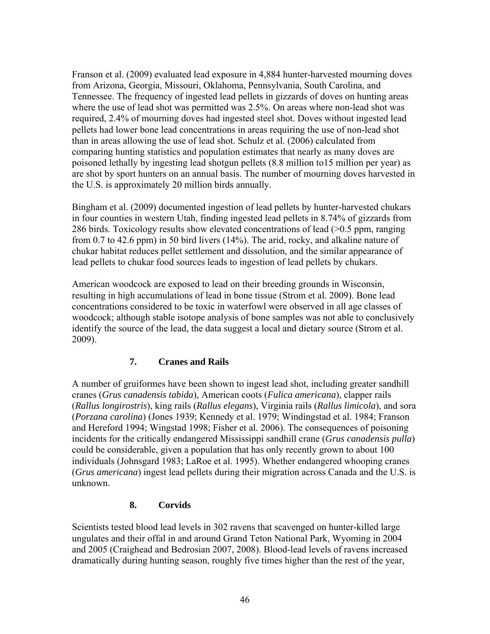Franson et al. (2009) evaluated lead exposure in 4,884 hunter-harvested mourning doves from Arizona, Georgia, Missouri, Oklahoma, Pennsylvania, South Carolina, and Tennessee. The frequency of ingested lead pellets in gizzards of doves on hunting areas where the use of lead shot was permitted was 2.5%. On areas where non-lead shot was required, 2.4% of mourning doves had ingested steel shot. Doves without ingested lead pellets had lower bone lead concentrations in areas requiring the use of non-lead shot than in areas allowing the use of lead shot. Schulz et al. (2006) calculated from comparing hunting statistics and population estimates that nearly as many doves are poisoned lethally by ingesting lead shotgun pellets (8.8 million to15 million per year) as are shot by sport hunters on an annual basis. The number of mourning doves harvested in the U.S. is approximately 20 million birds annually.

Bingham et al. (2009) documented ingestion of lead pellets by hunter-harvested chukars in four counties in western Utah, finding ingested lead pellets in 8.74% of gizzards from 286 birds. Toxicology results show elevated concentrations of lead (>0.5 ppm, ranging from 0.7 to 42.6 ppm) in 50 bird livers (14%). The arid, rocky, and alkaline nature of chukar habitat reduces pellet settlement and dissolution, and the similar appearance of lead pellets to chukar food sources leads to ingestion of lead pellets by chukars.

American woodcock are exposed to lead on their breeding grounds in Wisconsin, resulting in high accumulations of lead in bone tissue (Strom et al. 2009). Bone lead concentrations considered to be toxic in waterfowl were observed in all age classes of woodcock; although stable isotope analysis of bone samples was not able to conclusively identify the source of the lead, the data suggest a local and dietary source (Strom et al. 2009).

# **7. Cranes and Rails**

A number of gruiformes have been shown to ingest lead shot, including greater sandhill cranes (*Grus canadensis tabida*), American coots (*Fulica americana*), clapper rails (*Rallus longirostris*), king rails (*Rallus elegans*), Virginia rails (*Rallus limicola*), and sora (*Porzana carolina*) (Jones 1939; Kennedy et al. 1979; Windingstad et al. 1984; Franson and Hereford 1994; Wingstad 1998; Fisher et al. 2006). The consequences of poisoning incidents for the critically endangered Mississippi sandhill crane (*Grus canadensis pulla*) could be considerable, given a population that has only recently grown to about 100 individuals (Johnsgard 1983; LaRoe et al. 1995). Whether endangered whooping cranes (*Grus americana*) ingest lead pellets during their migration across Canada and the U.S. is unknown.

## **8. Corvids**

Scientists tested blood lead levels in 302 ravens that scavenged on hunter-killed large ungulates and their offal in and around Grand Teton National Park, Wyoming in 2004 and 2005 (Craighead and Bedrosian 2007, 2008). Blood-lead levels of ravens increased dramatically during hunting season, roughly five times higher than the rest of the year,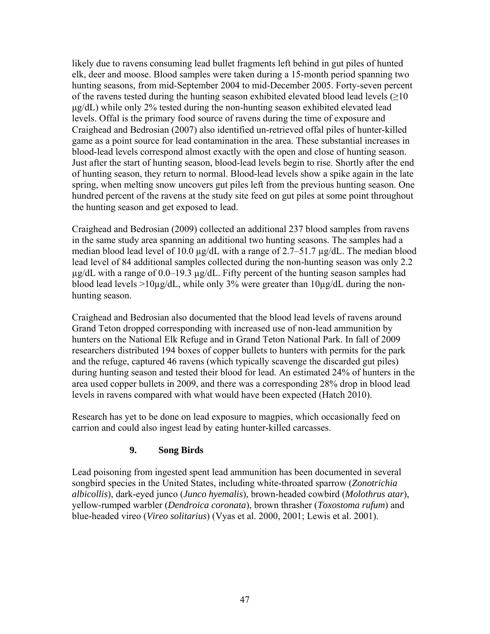likely due to ravens consuming lead bullet fragments left behind in gut piles of hunted elk, deer and moose. Blood samples were taken during a 15-month period spanning two hunting seasons, from mid-September 2004 to mid-December 2005. Forty-seven percent of the ravens tested during the hunting season exhibited elevated blood lead levels ( $\geq$ 10 μg/dL) while only 2% tested during the non-hunting season exhibited elevated lead levels. Offal is the primary food source of ravens during the time of exposure and Craighead and Bedrosian (2007) also identified un-retrieved offal piles of hunter-killed game as a point source for lead contamination in the area. These substantial increases in blood-lead levels correspond almost exactly with the open and close of hunting season. Just after the start of hunting season, blood-lead levels begin to rise. Shortly after the end of hunting season, they return to normal. Blood-lead levels show a spike again in the late spring, when melting snow uncovers gut piles left from the previous hunting season. One hundred percent of the ravens at the study site feed on gut piles at some point throughout the hunting season and get exposed to lead.

Craighead and Bedrosian (2009) collected an additional 237 blood samples from ravens in the same study area spanning an additional two hunting seasons. The samples had a median blood lead level of 10.0  $\mu$ g/dL with a range of 2.7–51.7  $\mu$ g/dL. The median blood lead level of 84 additional samples collected during the non-hunting season was only 2.2  $\mu$ g/dL with a range of 0.0–19.3  $\mu$ g/dL. Fifty percent of the hunting season samples had blood lead levels >10µg/dL, while only 3% were greater than  $10\mu$ g/dL during the nonhunting season.

Craighead and Bedrosian also documented that the blood lead levels of ravens around Grand Teton dropped corresponding with increased use of non-lead ammunition by hunters on the National Elk Refuge and in Grand Teton National Park. In fall of 2009 researchers distributed 194 boxes of copper bullets to hunters with permits for the park and the refuge, captured 46 ravens (which typically scavenge the discarded gut piles) during hunting season and tested their blood for lead. An estimated 24% of hunters in the area used copper bullets in 2009, and there was a corresponding 28% drop in blood lead levels in ravens compared with what would have been expected (Hatch 2010).

Research has yet to be done on lead exposure to magpies, which occasionally feed on carrion and could also ingest lead by eating hunter-killed carcasses.

## **9. Song Birds**

Lead poisoning from ingested spent lead ammunition has been documented in several songbird species in the United States, including white-throated sparrow (*Zonotrichia albicollis*), dark-eyed junco (*Junco hyemalis*), brown-headed cowbird (*Molothrus atar*), yellow-rumped warbler (*Dendroica coronata*), brown thrasher (*Toxostoma rufum*) and blue-headed vireo (*Vireo solitarius*) (Vyas et al. 2000, 2001; Lewis et al. 2001).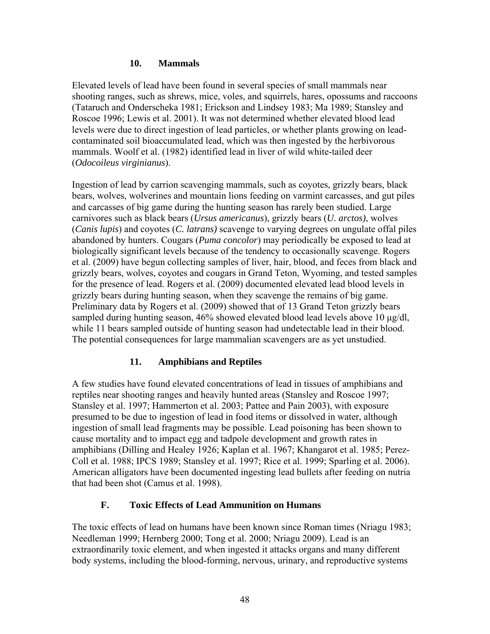#### **10. Mammals**

Elevated levels of lead have been found in several species of small mammals near shooting ranges, such as shrews, mice, voles, and squirrels, hares, opossums and raccoons (Tataruch and Onderscheka 1981; Erickson and Lindsey 1983; Ma 1989; Stansley and Roscoe 1996; Lewis et al. 2001). It was not determined whether elevated blood lead levels were due to direct ingestion of lead particles, or whether plants growing on leadcontaminated soil bioaccumulated lead, which was then ingested by the herbivorous mammals. Woolf et al. (1982) identified lead in liver of wild white-tailed deer (*Odocoileus virginianus*).

Ingestion of lead by carrion scavenging mammals, such as coyotes, grizzly bears, black bears, wolves, wolverines and mountain lions feeding on varmint carcasses, and gut piles and carcasses of big game during the hunting season has rarely been studied. Large carnivores such as black bears (*Ursus americanus*), grizzly bears (*U. arctos)*, wolves (*Canis lupis*) and coyotes (*C. latrans)* scavenge to varying degrees on ungulate offal piles abandoned by hunters. Cougars (*Puma concolor*) may periodically be exposed to lead at biologically significant levels because of the tendency to occasionally scavenge. Rogers et al. (2009) have begun collecting samples of liver, hair, blood, and feces from black and grizzly bears, wolves, coyotes and cougars in Grand Teton, Wyoming, and tested samples for the presence of lead. Rogers et al. (2009) documented elevated lead blood levels in grizzly bears during hunting season, when they scavenge the remains of big game. Preliminary data by Rogers et al. (2009) showed that of 13 Grand Teton grizzly bears sampled during hunting season, 46% showed elevated blood lead levels above 10 μg/dl, while 11 bears sampled outside of hunting season had undetectable lead in their blood. The potential consequences for large mammalian scavengers are as yet unstudied.

# **11. Amphibians and Reptiles**

A few studies have found elevated concentrations of lead in tissues of amphibians and reptiles near shooting ranges and heavily hunted areas (Stansley and Roscoe 1997; Stansley et al. 1997; Hammerton et al. 2003; Pattee and Pain 2003), with exposure presumed to be due to ingestion of lead in food items or dissolved in water, although ingestion of small lead fragments may be possible. Lead poisoning has been shown to cause mortality and to impact egg and tadpole development and growth rates in amphibians (Dilling and Healey 1926; Kaplan et al. 1967; Khangarot et al. 1985; Perez-Coll et al. 1988; IPCS 1989; Stansley et al. 1997; Rice et al. 1999; Sparling et al. 2006). American alligators have been documented ingesting lead bullets after feeding on nutria that had been shot (Camus et al. 1998).

## **F. Toxic Effects of Lead Ammunition on Humans**

The toxic effects of lead on humans have been known since Roman times (Nriagu 1983; Needleman 1999; Hernberg 2000; Tong et al. 2000; Nriagu 2009). Lead is an extraordinarily toxic element, and when ingested it attacks organs and many different body systems, including the blood-forming, nervous, urinary, and reproductive systems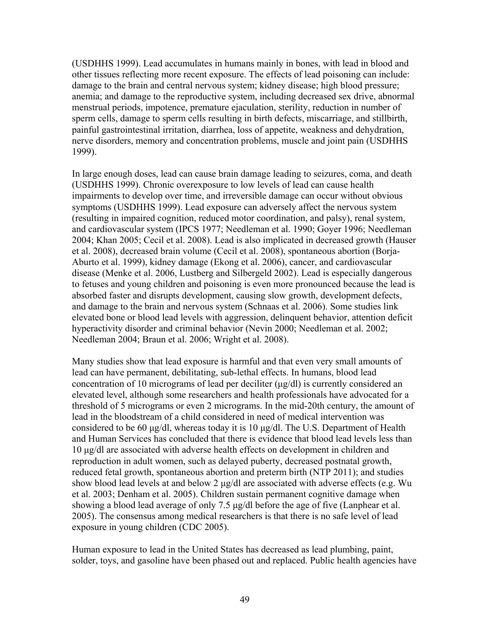(USDHHS 1999). Lead accumulates in humans mainly in bones, with lead in blood and other tissues reflecting more recent exposure. The effects of lead poisoning can include: damage to the brain and central nervous system; kidney disease; high blood pressure; anemia; and damage to the reproductive system, including decreased sex drive, abnormal menstrual periods, impotence, premature ejaculation, sterility, reduction in number of sperm cells, damage to sperm cells resulting in birth defects, miscarriage, and stillbirth, painful gastrointestinal irritation, diarrhea, loss of appetite, weakness and dehydration, nerve disorders, memory and concentration problems, muscle and joint pain (USDHHS 1999).

In large enough doses, lead can cause brain damage leading to seizures, coma, and death (USDHHS 1999). Chronic overexposure to low levels of lead can cause health impairments to develop over time, and irreversible damage can occur without obvious symptoms (USDHHS 1999). Lead exposure can adversely affect the nervous system (resulting in impaired cognition, reduced motor coordination, and palsy), renal system, and cardiovascular system (IPCS 1977; Needleman et al. 1990; Goyer 1996; Needleman 2004; Khan 2005; Cecil et al. 2008). Lead is also implicated in decreased growth (Hauser et al. 2008), decreased brain volume (Cecil et al. 2008), spontaneous abortion (Borja-Aburto et al. 1999), kidney damage (Ekong et al. 2006), cancer, and cardiovascular disease (Menke et al. 2006, Lustberg and Silbergeld 2002). Lead is especially dangerous to fetuses and young children and poisoning is even more pronounced because the lead is absorbed faster and disrupts development, causing slow growth, development defects, and damage to the brain and nervous system (Schnaas et al. 2006). Some studies link elevated bone or blood lead levels with aggression, delinquent behavior, attention deficit hyperactivity disorder and criminal behavior (Nevin 2000; Needleman et al. 2002; Needleman 2004; Braun et al. 2006; Wright et al. 2008).

Many studies show that lead exposure is harmful and that even very small amounts of lead can have permanent, debilitating, sub-lethal effects. In humans, blood lead concentration of 10 micrograms of lead per deciliter (μg/dl) is currently considered an elevated level, although some researchers and health professionals have advocated for a threshold of 5 micrograms or even 2 micrograms. In the mid-20th century, the amount of lead in the bloodstream of a child considered in need of medical intervention was considered to be 60 μg/dl, whereas today it is 10 μg/dl. The U.S. Department of Health and Human Services has concluded that there is evidence that blood lead levels less than 10 μg/dl are associated with adverse health effects on development in children and reproduction in adult women, such as delayed puberty, decreased postnatal growth, reduced fetal growth, spontaneous abortion and preterm birth (NTP 2011); and studies show blood lead levels at and below 2 μg/dl are associated with adverse effects (e.g. Wu et al. 2003; Denham et al. 2005). Children sustain permanent cognitive damage when showing a blood lead average of only 7.5 μg/dl before the age of five (Lanphear et al. 2005). The consensus among medical researchers is that there is no safe level of lead exposure in young children (CDC 2005).

Human exposure to lead in the United States has decreased as lead plumbing, paint, solder, toys, and gasoline have been phased out and replaced. Public health agencies have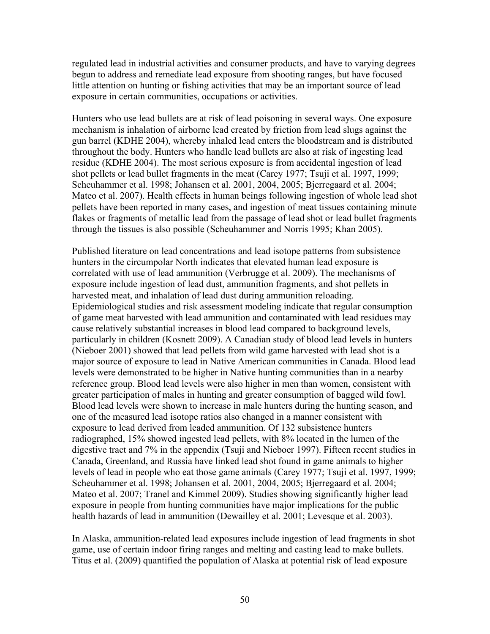regulated lead in industrial activities and consumer products, and have to varying degrees begun to address and remediate lead exposure from shooting ranges, but have focused little attention on hunting or fishing activities that may be an important source of lead exposure in certain communities, occupations or activities.

Hunters who use lead bullets are at risk of lead poisoning in several ways. One exposure mechanism is inhalation of airborne lead created by friction from lead slugs against the gun barrel (KDHE 2004), whereby inhaled lead enters the bloodstream and is distributed throughout the body. Hunters who handle lead bullets are also at risk of ingesting lead residue (KDHE 2004). The most serious exposure is from accidental ingestion of lead shot pellets or lead bullet fragments in the meat (Carey 1977; Tsuji et al. 1997, 1999; Scheuhammer et al. 1998; Johansen et al. 2001, 2004, 2005; Bjerregaard et al. 2004; Mateo et al. 2007). Health effects in human beings following ingestion of whole lead shot pellets have been reported in many cases, and ingestion of meat tissues containing minute flakes or fragments of metallic lead from the passage of lead shot or lead bullet fragments through the tissues is also possible (Scheuhammer and Norris 1995; Khan 2005).

Published literature on lead concentrations and lead isotope patterns from subsistence hunters in the circumpolar North indicates that elevated human lead exposure is correlated with use of lead ammunition (Verbrugge et al. 2009). The mechanisms of exposure include ingestion of lead dust, ammunition fragments, and shot pellets in harvested meat, and inhalation of lead dust during ammunition reloading. Epidemiological studies and risk assessment modeling indicate that regular consumption of game meat harvested with lead ammunition and contaminated with lead residues may cause relatively substantial increases in blood lead compared to background levels, particularly in children (Kosnett 2009). A Canadian study of blood lead levels in hunters (Nieboer 2001) showed that lead pellets from wild game harvested with lead shot is a major source of exposure to lead in Native American communities in Canada. Blood lead levels were demonstrated to be higher in Native hunting communities than in a nearby reference group. Blood lead levels were also higher in men than women, consistent with greater participation of males in hunting and greater consumption of bagged wild fowl. Blood lead levels were shown to increase in male hunters during the hunting season, and one of the measured lead isotope ratios also changed in a manner consistent with exposure to lead derived from leaded ammunition. Of 132 subsistence hunters radiographed, 15% showed ingested lead pellets, with 8% located in the lumen of the digestive tract and 7% in the appendix (Tsuji and Nieboer 1997). Fifteen recent studies in Canada, Greenland, and Russia have linked lead shot found in game animals to higher levels of lead in people who eat those game animals (Carey 1977; Tsuji et al. 1997, 1999; Scheuhammer et al. 1998; Johansen et al. 2001, 2004, 2005; Bjerregaard et al. 2004; Mateo et al. 2007; Tranel and Kimmel 2009). Studies showing significantly higher lead exposure in people from hunting communities have major implications for the public health hazards of lead in ammunition (Dewailley et al. 2001; Levesque et al. 2003).

In Alaska, ammunition-related lead exposures include ingestion of lead fragments in shot game, use of certain indoor firing ranges and melting and casting lead to make bullets. Titus et al. (2009) quantified the population of Alaska at potential risk of lead exposure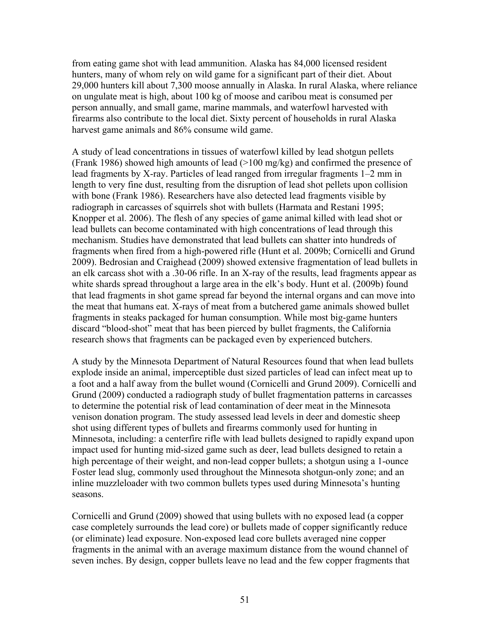from eating game shot with lead ammunition. Alaska has 84,000 licensed resident hunters, many of whom rely on wild game for a significant part of their diet. About 29,000 hunters kill about 7,300 moose annually in Alaska. In rural Alaska, where reliance on ungulate meat is high, about 100 kg of moose and caribou meat is consumed per person annually, and small game, marine mammals, and waterfowl harvested with firearms also contribute to the local diet. Sixty percent of households in rural Alaska harvest game animals and 86% consume wild game.

A study of lead concentrations in tissues of waterfowl killed by lead shotgun pellets (Frank 1986) showed high amounts of lead  $(>100 \text{ mg/kg})$  and confirmed the presence of lead fragments by X-ray. Particles of lead ranged from irregular fragments 1–2 mm in length to very fine dust, resulting from the disruption of lead shot pellets upon collision with bone (Frank 1986). Researchers have also detected lead fragments visible by radiograph in carcasses of squirrels shot with bullets (Harmata and Restani 1995; Knopper et al. 2006). The flesh of any species of game animal killed with lead shot or lead bullets can become contaminated with high concentrations of lead through this mechanism. Studies have demonstrated that lead bullets can shatter into hundreds of fragments when fired from a high-powered rifle (Hunt et al. 2009b; Cornicelli and Grund 2009). Bedrosian and Craighead (2009) showed extensive fragmentation of lead bullets in an elk carcass shot with a .30-06 rifle. In an X-ray of the results, lead fragments appear as white shards spread throughout a large area in the elk's body. Hunt et al. (2009b) found that lead fragments in shot game spread far beyond the internal organs and can move into the meat that humans eat. X-rays of meat from a butchered game animals showed bullet fragments in steaks packaged for human consumption. While most big-game hunters discard "blood-shot" meat that has been pierced by bullet fragments, the California research shows that fragments can be packaged even by experienced butchers.

A study by the Minnesota Department of Natural Resources found that when lead bullets explode inside an animal, imperceptible dust sized particles of lead can infect meat up to a foot and a half away from the bullet wound (Cornicelli and Grund 2009). Cornicelli and Grund (2009) conducted a radiograph study of bullet fragmentation patterns in carcasses to determine the potential risk of lead contamination of deer meat in the Minnesota venison donation program. The study assessed lead levels in deer and domestic sheep shot using different types of bullets and firearms commonly used for hunting in Minnesota, including: a centerfire rifle with lead bullets designed to rapidly expand upon impact used for hunting mid-sized game such as deer, lead bullets designed to retain a high percentage of their weight, and non-lead copper bullets; a shotgun using a 1-ounce Foster lead slug, commonly used throughout the Minnesota shotgun-only zone; and an inline muzzleloader with two common bullets types used during Minnesota's hunting seasons.

Cornicelli and Grund (2009) showed that using bullets with no exposed lead (a copper case completely surrounds the lead core) or bullets made of copper significantly reduce (or eliminate) lead exposure. Non-exposed lead core bullets averaged nine copper fragments in the animal with an average maximum distance from the wound channel of seven inches. By design, copper bullets leave no lead and the few copper fragments that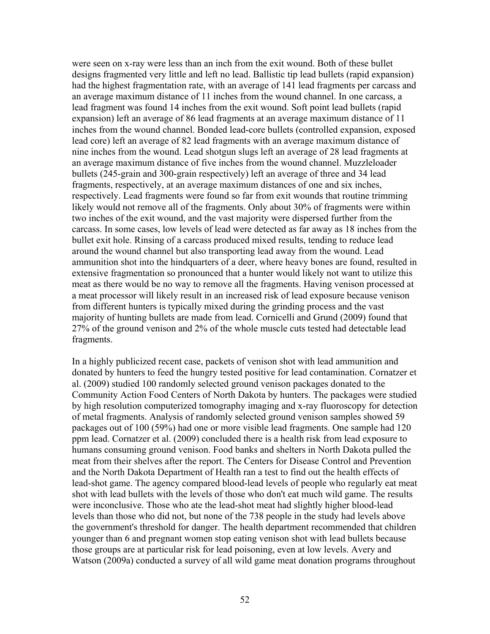were seen on x-ray were less than an inch from the exit wound. Both of these bullet designs fragmented very little and left no lead. Ballistic tip lead bullets (rapid expansion) had the highest fragmentation rate, with an average of 141 lead fragments per carcass and an average maximum distance of 11 inches from the wound channel. In one carcass, a lead fragment was found 14 inches from the exit wound. Soft point lead bullets (rapid expansion) left an average of 86 lead fragments at an average maximum distance of 11 inches from the wound channel. Bonded lead-core bullets (controlled expansion, exposed lead core) left an average of 82 lead fragments with an average maximum distance of nine inches from the wound. Lead shotgun slugs left an average of 28 lead fragments at an average maximum distance of five inches from the wound channel. Muzzleloader bullets (245-grain and 300-grain respectively) left an average of three and 34 lead fragments, respectively, at an average maximum distances of one and six inches, respectively. Lead fragments were found so far from exit wounds that routine trimming likely would not remove all of the fragments. Only about 30% of fragments were within two inches of the exit wound, and the vast majority were dispersed further from the carcass. In some cases, low levels of lead were detected as far away as 18 inches from the bullet exit hole. Rinsing of a carcass produced mixed results, tending to reduce lead around the wound channel but also transporting lead away from the wound. Lead ammunition shot into the hindquarters of a deer, where heavy bones are found, resulted in extensive fragmentation so pronounced that a hunter would likely not want to utilize this meat as there would be no way to remove all the fragments. Having venison processed at a meat processor will likely result in an increased risk of lead exposure because venison from different hunters is typically mixed during the grinding process and the vast majority of hunting bullets are made from lead. Cornicelli and Grund (2009) found that 27% of the ground venison and 2% of the whole muscle cuts tested had detectable lead fragments.

In a highly publicized recent case, packets of venison shot with lead ammunition and donated by hunters to feed the hungry tested positive for lead contamination. Cornatzer et al. (2009) studied 100 randomly selected ground venison packages donated to the Community Action Food Centers of North Dakota by hunters. The packages were studied by high resolution computerized tomography imaging and x-ray fluoroscopy for detection of metal fragments. Analysis of randomly selected ground venison samples showed 59 packages out of 100 (59%) had one or more visible lead fragments. One sample had 120 ppm lead. Cornatzer et al. (2009) concluded there is a health risk from lead exposure to humans consuming ground venison. Food banks and shelters in North Dakota pulled the meat from their shelves after the report. The Centers for Disease Control and Prevention and the North Dakota Department of Health ran a test to find out the health effects of lead-shot game. The agency compared blood-lead levels of people who regularly eat meat shot with lead bullets with the levels of those who don't eat much wild game. The results were inconclusive. Those who ate the lead-shot meat had slightly higher blood-lead levels than those who did not, but none of the 738 people in the study had levels above the government's threshold for danger. The health department recommended that children younger than 6 and pregnant women stop eating venison shot with lead bullets because those groups are at particular risk for lead poisoning, even at low levels. Avery and Watson (2009a) conducted a survey of all wild game meat donation programs throughout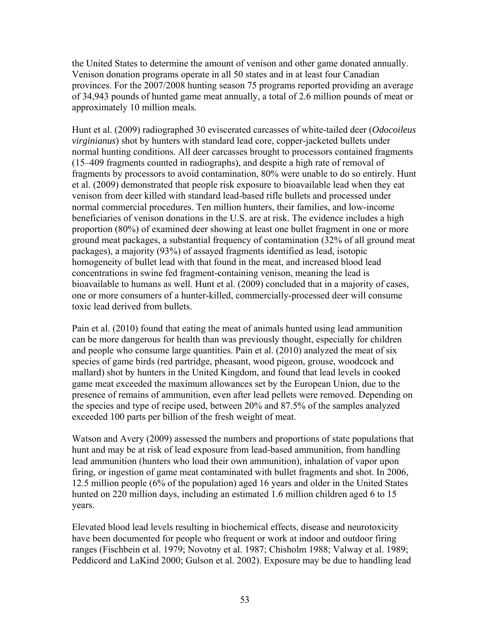the United States to determine the amount of venison and other game donated annually. Venison donation programs operate in all 50 states and in at least four Canadian provinces. For the 2007/2008 hunting season 75 programs reported providing an average of 34,943 pounds of hunted game meat annually, a total of 2.6 million pounds of meat or approximately 10 million meals.

Hunt et al. (2009) radiographed 30 eviscerated carcasses of white-tailed deer (*Odocoileus virginianus*) shot by hunters with standard lead core, copper-jacketed bullets under normal hunting conditions. All deer carcasses brought to processors contained fragments (15–409 fragments counted in radiographs), and despite a high rate of removal of fragments by processors to avoid contamination, 80% were unable to do so entirely. Hunt et al. (2009) demonstrated that people risk exposure to bioavailable lead when they eat venison from deer killed with standard lead-based rifle bullets and processed under normal commercial procedures. Ten million hunters, their families, and low-income beneficiaries of venison donations in the U.S. are at risk. The evidence includes a high proportion (80%) of examined deer showing at least one bullet fragment in one or more ground meat packages, a substantial frequency of contamination (32% of all ground meat packages), a majority (93%) of assayed fragments identified as lead, isotopic homogeneity of bullet lead with that found in the meat, and increased blood lead concentrations in swine fed fragment-containing venison, meaning the lead is bioavailable to humans as well. Hunt et al. (2009) concluded that in a majority of cases, one or more consumers of a hunter-killed, commercially-processed deer will consume toxic lead derived from bullets.

Pain et al. (2010) found that eating the meat of animals hunted using lead ammunition can be more dangerous for health than was previously thought, especially for children and people who consume large quantities. Pain et al. (2010) analyzed the meat of six species of game birds (red partridge, pheasant, wood pigeon, grouse, woodcock and mallard) shot by hunters in the United Kingdom, and found that lead levels in cooked game meat exceeded the maximum allowances set by the European Union, due to the presence of remains of ammunition, even after lead pellets were removed. Depending on the species and type of recipe used, between 20% and 87.5% of the samples analyzed exceeded 100 parts per billion of the fresh weight of meat.

Watson and Avery (2009) assessed the numbers and proportions of state populations that hunt and may be at risk of lead exposure from lead-based ammunition, from handling lead ammunition (hunters who load their own ammunition), inhalation of vapor upon firing, or ingestion of game meat contaminated with bullet fragments and shot. In 2006, 12.5 million people (6% of the population) aged 16 years and older in the United States hunted on 220 million days, including an estimated 1.6 million children aged 6 to 15 years.

Elevated blood lead levels resulting in biochemical effects, disease and neurotoxicity have been documented for people who frequent or work at indoor and outdoor firing ranges (Fischbein et al. 1979; Novotny et al. 1987; Chisholm 1988; Valway et al. 1989; Peddicord and LaKind 2000; Gulson et al. 2002). Exposure may be due to handling lead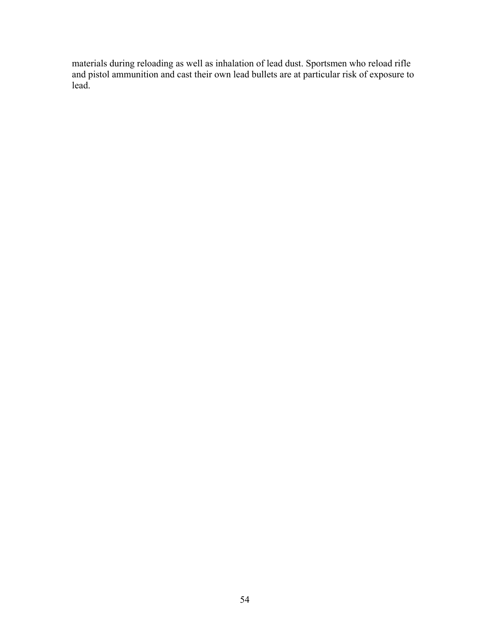materials during reloading as well as inhalation of lead dust. Sportsmen who reload rifle and pistol ammunition and cast their own lead bullets are at particular risk of exposure to lead.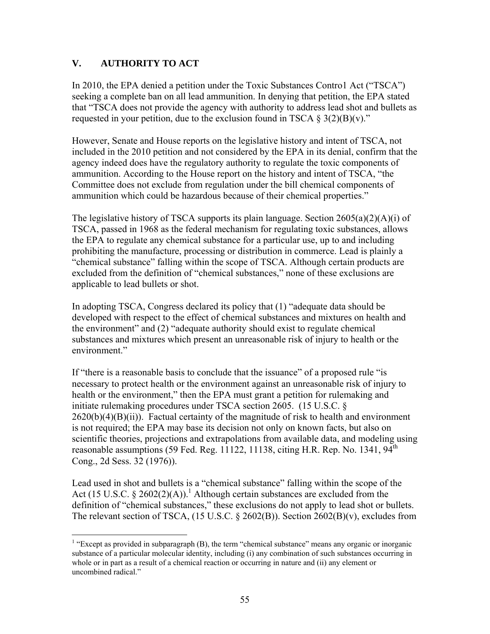# **V. AUTHORITY TO ACT**

 $\overline{a}$ 

In 2010, the EPA denied a petition under the Toxic Substances Contro1 Act ("TSCA") seeking a complete ban on all lead ammunition. In denying that petition, the EPA stated that "TSCA does not provide the agency with authority to address lead shot and bullets as requested in your petition, due to the exclusion found in TSCA  $\S 3(2)(B)(v)$ ."

However, Senate and House reports on the legislative history and intent of TSCA, not included in the 2010 petition and not considered by the EPA in its denial, confirm that the agency indeed does have the regulatory authority to regulate the toxic components of ammunition. According to the House report on the history and intent of TSCA, "the Committee does not exclude from regulation under the bill chemical components of ammunition which could be hazardous because of their chemical properties."

The legislative history of TSCA supports its plain language. Section  $2605(a)(2)(A)(i)$  of TSCA, passed in 1968 as the federal mechanism for regulating toxic substances, allows the EPA to regulate any chemical substance for a particular use, up to and including prohibiting the manufacture, processing or distribution in commerce. Lead is plainly a "chemical substance" falling within the scope of TSCA. Although certain products are excluded from the definition of "chemical substances," none of these exclusions are applicable to lead bullets or shot.

In adopting TSCA, Congress declared its policy that (1) "adequate data should be developed with respect to the effect of chemical substances and mixtures on health and the environment" and (2) "adequate authority should exist to regulate chemical substances and mixtures which present an unreasonable risk of injury to health or the environment."

If "there is a reasonable basis to conclude that the issuance" of a proposed rule "is necessary to protect health or the environment against an unreasonable risk of injury to health or the environment," then the EPA must grant a petition for rulemaking and initiate rulemaking procedures under TSCA section 2605. (15 U.S.C. §  $2620(b)(4)(B)(ii)$ . Factual certainty of the magnitude of risk to health and environment is not required; the EPA may base its decision not only on known facts, but also on scientific theories, projections and extrapolations from available data, and modeling using reasonable assumptions (59 Fed. Reg. 11122, 11138, citing H.R. Rep. No. 1341,  $94<sup>th</sup>$ Cong., 2d Sess. 32 (1976)).

Lead used in shot and bullets is a "chemical substance" falling within the scope of the Act (15 U.S.C. § 2602(2)(A)).<sup>1</sup> Although certain substances are excluded from the definition of "chemical substances," these exclusions do not apply to lead shot or bullets. The relevant section of TSCA, (15 U.S.C. § 2602(B)). Section 2602(B)(v), excludes from

<sup>&</sup>lt;sup>1</sup> "Except as provided in subparagraph  $(B)$ , the term "chemical substance" means any organic or inorganic substance of a particular molecular identity, including (i) any combination of such substances occurring in whole or in part as a result of a chemical reaction or occurring in nature and (ii) any element or uncombined radical."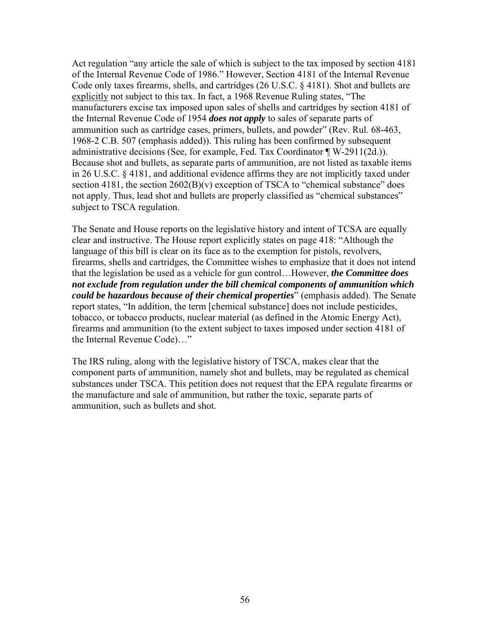Act regulation "any article the sale of which is subject to the tax imposed by section 4181 of the Internal Revenue Code of 1986." However, Section 4181 of the Internal Revenue Code only taxes firearms, shells, and cartridges (26 U.S.C. § 4181). Shot and bullets are explicitly not subject to this tax. In fact, a 1968 Revenue Ruling states, "The manufacturers excise tax imposed upon sales of shells and cartridges by section 4181 of the Internal Revenue Code of 1954 *does not apply* to sales of separate parts of ammunition such as cartridge cases, primers, bullets, and powder" (Rev. Rul. 68-463, 1968-2 C.B. 507 (emphasis added)). This ruling has been confirmed by subsequent administrative decisions (See, for example, Fed. Tax Coordinator ¶ W-2911(2d.)). Because shot and bullets, as separate parts of ammunition, are not listed as taxable items in 26 U.S.C. § 4181, and additional evidence affirms they are not implicitly taxed under section 4181, the section 2602(B)(v) exception of TSCA to "chemical substance" does not apply. Thus, lead shot and bullets are properly classified as "chemical substances" subject to TSCA regulation.

The Senate and House reports on the legislative history and intent of TCSA are equally clear and instructive. The House report explicitly states on page 418: "Although the language of this bill is clear on its face as to the exemption for pistols, revolvers, firearms, shells and cartridges, the Committee wishes to emphasize that it does not intend that the legislation be used as a vehicle for gun control…However, *the Committee does not exclude from regulation under the bill chemical components of ammunition which could be hazardous because of their chemical properties*" (emphasis added). The Senate report states, "In addition, the term [chemical substance] does not include pesticides, tobacco, or tobacco products, nuclear material (as defined in the Atomic Energy Act), firearms and ammunition (to the extent subject to taxes imposed under section 4181 of the Internal Revenue Code)…"

The IRS ruling, along with the legislative history of TSCA, makes clear that the component parts of ammunition, namely shot and bullets, may be regulated as chemical substances under TSCA. This petition does not request that the EPA regulate firearms or the manufacture and sale of ammunition, but rather the toxic, separate parts of ammunition, such as bullets and shot.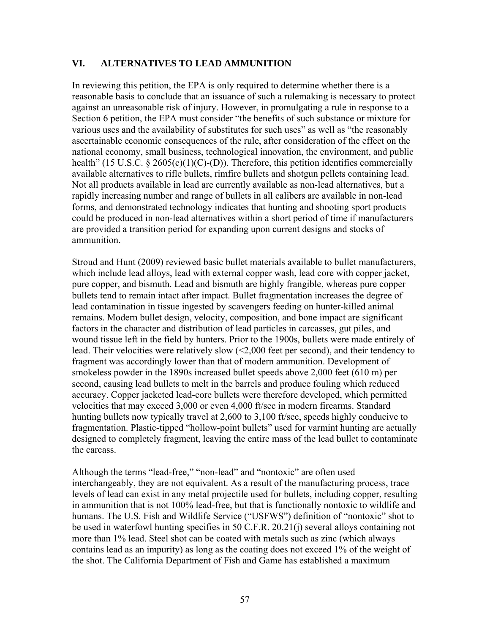## **VI. ALTERNATIVES TO LEAD AMMUNITION**

In reviewing this petition, the EPA is only required to determine whether there is a reasonable basis to conclude that an issuance of such a rulemaking is necessary to protect against an unreasonable risk of injury. However, in promulgating a rule in response to a Section 6 petition, the EPA must consider "the benefits of such substance or mixture for various uses and the availability of substitutes for such uses" as well as "the reasonably ascertainable economic consequences of the rule, after consideration of the effect on the national economy, small business, technological innovation, the environment, and public health" (15 U.S.C. § 2605(c)(1)(C)-(D)). Therefore, this petition identifies commercially available alternatives to rifle bullets, rimfire bullets and shotgun pellets containing lead. Not all products available in lead are currently available as non-lead alternatives, but a rapidly increasing number and range of bullets in all calibers are available in non-lead forms, and demonstrated technology indicates that hunting and shooting sport products could be produced in non-lead alternatives within a short period of time if manufacturers are provided a transition period for expanding upon current designs and stocks of ammunition.

Stroud and Hunt (2009) reviewed basic bullet materials available to bullet manufacturers, which include lead alloys, lead with external copper wash, lead core with copper jacket, pure copper, and bismuth. Lead and bismuth are highly frangible, whereas pure copper bullets tend to remain intact after impact. Bullet fragmentation increases the degree of lead contamination in tissue ingested by scavengers feeding on hunter-killed animal remains. Modern bullet design, velocity, composition, and bone impact are significant factors in the character and distribution of lead particles in carcasses, gut piles, and wound tissue left in the field by hunters. Prior to the 1900s, bullets were made entirely of lead. Their velocities were relatively slow (<2,000 feet per second), and their tendency to fragment was accordingly lower than that of modern ammunition. Development of smokeless powder in the 1890s increased bullet speeds above 2,000 feet (610 m) per second, causing lead bullets to melt in the barrels and produce fouling which reduced accuracy. Copper jacketed lead-core bullets were therefore developed, which permitted velocities that may exceed 3,000 or even 4,000 ft/sec in modern firearms. Standard hunting bullets now typically travel at 2,600 to 3,100 ft/sec, speeds highly conducive to fragmentation. Plastic-tipped "hollow-point bullets" used for varmint hunting are actually designed to completely fragment, leaving the entire mass of the lead bullet to contaminate the carcass.

Although the terms "lead-free," "non-lead" and "nontoxic" are often used interchangeably, they are not equivalent. As a result of the manufacturing process, trace levels of lead can exist in any metal projectile used for bullets, including copper, resulting in ammunition that is not 100% lead-free, but that is functionally nontoxic to wildlife and humans. The U.S. Fish and Wildlife Service ("USFWS") definition of "nontoxic" shot to be used in waterfowl hunting specifies in 50 C.F.R. 20.21(j) several alloys containing not more than 1% lead. Steel shot can be coated with metals such as zinc (which always contains lead as an impurity) as long as the coating does not exceed 1% of the weight of the shot. The California Department of Fish and Game has established a maximum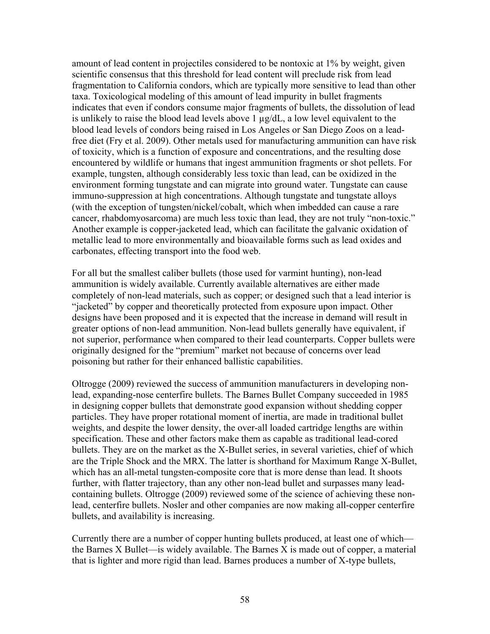amount of lead content in projectiles considered to be nontoxic at 1% by weight, given scientific consensus that this threshold for lead content will preclude risk from lead fragmentation to California condors, which are typically more sensitive to lead than other taxa. Toxicological modeling of this amount of lead impurity in bullet fragments indicates that even if condors consume major fragments of bullets, the dissolution of lead is unlikely to raise the blood lead levels above 1 µg/dL, a low level equivalent to the blood lead levels of condors being raised in Los Angeles or San Diego Zoos on a leadfree diet (Fry et al. 2009). Other metals used for manufacturing ammunition can have risk of toxicity, which is a function of exposure and concentrations, and the resulting dose encountered by wildlife or humans that ingest ammunition fragments or shot pellets. For example, tungsten, although considerably less toxic than lead, can be oxidized in the environment forming tungstate and can migrate into ground water. Tungstate can cause immuno-suppression at high concentrations. Although tungstate and tungstate alloys (with the exception of tungsten/nickel/cobalt, which when imbedded can cause a rare cancer, rhabdomyosarcoma) are much less toxic than lead, they are not truly "non-toxic." Another example is copper-jacketed lead, which can facilitate the galvanic oxidation of metallic lead to more environmentally and bioavailable forms such as lead oxides and carbonates, effecting transport into the food web.

For all but the smallest caliber bullets (those used for varmint hunting), non-lead ammunition is widely available. Currently available alternatives are either made completely of non-lead materials, such as copper; or designed such that a lead interior is "jacketed" by copper and theoretically protected from exposure upon impact. Other designs have been proposed and it is expected that the increase in demand will result in greater options of non-lead ammunition. Non-lead bullets generally have equivalent, if not superior, performance when compared to their lead counterparts. Copper bullets were originally designed for the "premium" market not because of concerns over lead poisoning but rather for their enhanced ballistic capabilities.

Oltrogge (2009) reviewed the success of ammunition manufacturers in developing nonlead, expanding-nose centerfire bullets. The Barnes Bullet Company succeeded in 1985 in designing copper bullets that demonstrate good expansion without shedding copper particles. They have proper rotational moment of inertia, are made in traditional bullet weights, and despite the lower density, the over-all loaded cartridge lengths are within specification. These and other factors make them as capable as traditional lead-cored bullets. They are on the market as the X-Bullet series, in several varieties, chief of which are the Triple Shock and the MRX. The latter is shorthand for Maximum Range X-Bullet, which has an all-metal tungsten-composite core that is more dense than lead. It shoots further, with flatter trajectory, than any other non-lead bullet and surpasses many leadcontaining bullets. Oltrogge (2009) reviewed some of the science of achieving these nonlead, centerfire bullets. Nosler and other companies are now making all-copper centerfire bullets, and availability is increasing.

Currently there are a number of copper hunting bullets produced, at least one of which the Barnes X Bullet—is widely available. The Barnes X is made out of copper, a material that is lighter and more rigid than lead. Barnes produces a number of X-type bullets,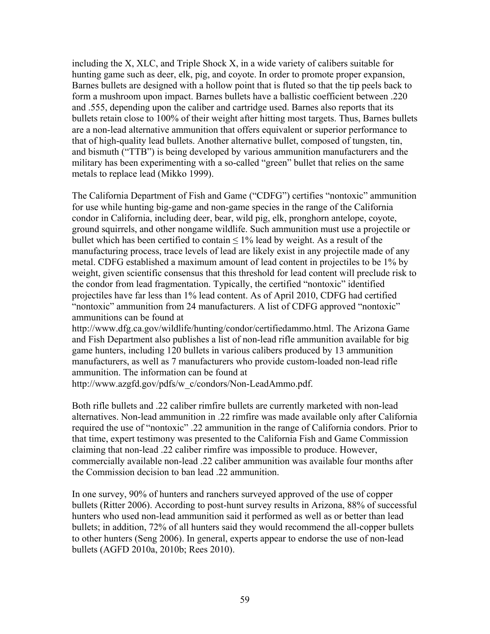including the X, XLC, and Triple Shock X, in a wide variety of calibers suitable for hunting game such as deer, elk, pig, and coyote. In order to promote proper expansion, Barnes bullets are designed with a hollow point that is fluted so that the tip peels back to form a mushroom upon impact. Barnes bullets have a ballistic coefficient between .220 and .555, depending upon the caliber and cartridge used. Barnes also reports that its bullets retain close to 100% of their weight after hitting most targets. Thus, Barnes bullets are a non-lead alternative ammunition that offers equivalent or superior performance to that of high-quality lead bullets. Another alternative bullet, composed of tungsten, tin, and bismuth ("TTB") is being developed by various ammunition manufacturers and the military has been experimenting with a so-called "green" bullet that relies on the same metals to replace lead (Mikko 1999).

The California Department of Fish and Game ("CDFG") certifies "nontoxic" ammunition for use while hunting big-game and non-game species in the range of the California condor in California, including deer, bear, wild pig, elk, pronghorn antelope, coyote, ground squirrels, and other nongame wildlife. Such ammunition must use a projectile or bullet which has been certified to contain  $\leq 1\%$  lead by weight. As a result of the manufacturing process, trace levels of lead are likely exist in any projectile made of any metal. CDFG established a maximum amount of lead content in projectiles to be 1% by weight, given scientific consensus that this threshold for lead content will preclude risk to the condor from lead fragmentation. Typically, the certified "nontoxic" identified projectiles have far less than 1% lead content. As of April 2010, CDFG had certified "nontoxic" ammunition from 24 manufacturers. A list of CDFG approved "nontoxic" ammunitions can be found at

http://www.dfg.ca.gov/wildlife/hunting/condor/certifiedammo.html. The Arizona Game and Fish Department also publishes a list of non-lead rifle ammunition available for big game hunters, including 120 bullets in various calibers produced by 13 ammunition manufacturers, as well as 7 manufacturers who provide custom-loaded non-lead rifle ammunition. The information can be found at

http://www.azgfd.gov/pdfs/w\_c/condors/Non-LeadAmmo.pdf.

Both rifle bullets and .22 caliber rimfire bullets are currently marketed with non-lead alternatives. Non-lead ammunition in .22 rimfire was made available only after California required the use of "nontoxic" .22 ammunition in the range of California condors. Prior to that time, expert testimony was presented to the California Fish and Game Commission claiming that non-lead .22 caliber rimfire was impossible to produce. However, commercially available non-lead .22 caliber ammunition was available four months after the Commission decision to ban lead .22 ammunition.

In one survey, 90% of hunters and ranchers surveyed approved of the use of copper bullets (Ritter 2006). According to post-hunt survey results in Arizona, 88% of successful hunters who used non-lead ammunition said it performed as well as or better than lead bullets; in addition, 72% of all hunters said they would recommend the all-copper bullets to other hunters (Seng 2006). In general, experts appear to endorse the use of non-lead bullets (AGFD 2010a, 2010b; Rees 2010).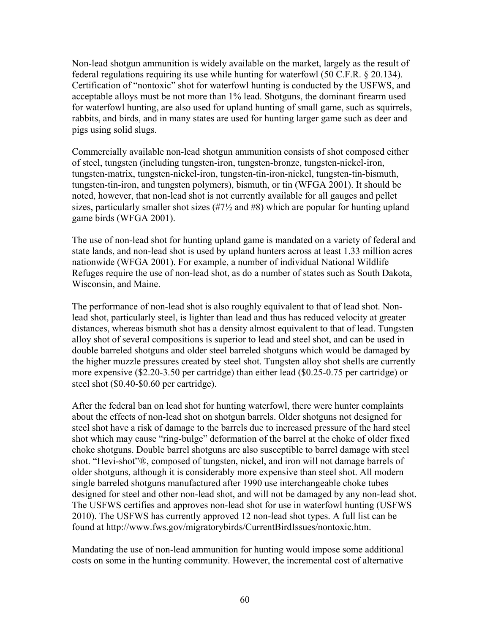Non-lead shotgun ammunition is widely available on the market, largely as the result of federal regulations requiring its use while hunting for waterfowl (50 C.F.R. § 20.134). Certification of "nontoxic" shot for waterfowl hunting is conducted by the USFWS, and acceptable alloys must be not more than 1% lead. Shotguns, the dominant firearm used for waterfowl hunting, are also used for upland hunting of small game, such as squirrels, rabbits, and birds, and in many states are used for hunting larger game such as deer and pigs using solid slugs.

Commercially available non-lead shotgun ammunition consists of shot composed either of steel, tungsten (including tungsten-iron, tungsten-bronze, tungsten-nickel-iron, tungsten-matrix, tungsten-nickel-iron, tungsten-tin-iron-nickel, tungsten-tin-bismuth, tungsten-tin-iron, and tungsten polymers), bismuth, or tin (WFGA 2001). It should be noted, however, that non-lead shot is not currently available for all gauges and pellet sizes, particularly smaller shot sizes  $(\#7\frac{1}{2})$  and  $\#8$ ) which are popular for hunting upland game birds (WFGA 2001).

The use of non-lead shot for hunting upland game is mandated on a variety of federal and state lands, and non-lead shot is used by upland hunters across at least 1.33 million acres nationwide (WFGA 2001). For example, a number of individual National Wildlife Refuges require the use of non-lead shot, as do a number of states such as South Dakota, Wisconsin, and Maine.

The performance of non-lead shot is also roughly equivalent to that of lead shot. Nonlead shot, particularly steel, is lighter than lead and thus has reduced velocity at greater distances, whereas bismuth shot has a density almost equivalent to that of lead. Tungsten alloy shot of several compositions is superior to lead and steel shot, and can be used in double barreled shotguns and older steel barreled shotguns which would be damaged by the higher muzzle pressures created by steel shot. Tungsten alloy shot shells are currently more expensive (\$2.20-3.50 per cartridge) than either lead (\$0.25-0.75 per cartridge) or steel shot (\$0.40-\$0.60 per cartridge).

After the federal ban on lead shot for hunting waterfowl, there were hunter complaints about the effects of non-lead shot on shotgun barrels. Older shotguns not designed for steel shot have a risk of damage to the barrels due to increased pressure of the hard steel shot which may cause "ring-bulge" deformation of the barrel at the choke of older fixed choke shotguns. Double barrel shotguns are also susceptible to barrel damage with steel shot. "Hevi-shot"®, composed of tungsten, nickel, and iron will not damage barrels of older shotguns, although it is considerably more expensive than steel shot. All modern single barreled shotguns manufactured after 1990 use interchangeable choke tubes designed for steel and other non-lead shot, and will not be damaged by any non-lead shot. The USFWS certifies and approves non-lead shot for use in waterfowl hunting (USFWS 2010). The USFWS has currently approved 12 non-lead shot types. A full list can be found at http://www.fws.gov/migratorybirds/CurrentBirdIssues/nontoxic.htm.

Mandating the use of non-lead ammunition for hunting would impose some additional costs on some in the hunting community. However, the incremental cost of alternative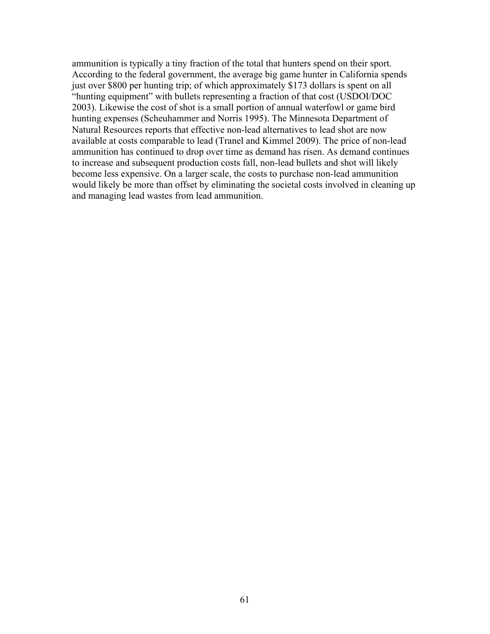ammunition is typically a tiny fraction of the total that hunters spend on their sport. According to the federal government, the average big game hunter in California spends just over \$800 per hunting trip; of which approximately \$173 dollars is spent on all "hunting equipment" with bullets representing a fraction of that cost (USDOI/DOC 2003). Likewise the cost of shot is a small portion of annual waterfowl or game bird hunting expenses (Scheuhammer and Norris 1995). The Minnesota Department of Natural Resources reports that effective non-lead alternatives to lead shot are now available at costs comparable to lead (Tranel and Kimmel 2009). The price of non-lead ammunition has continued to drop over time as demand has risen. As demand continues to increase and subsequent production costs fall, non-lead bullets and shot will likely become less expensive. On a larger scale, the costs to purchase non-lead ammunition would likely be more than offset by eliminating the societal costs involved in cleaning up and managing lead wastes from lead ammunition.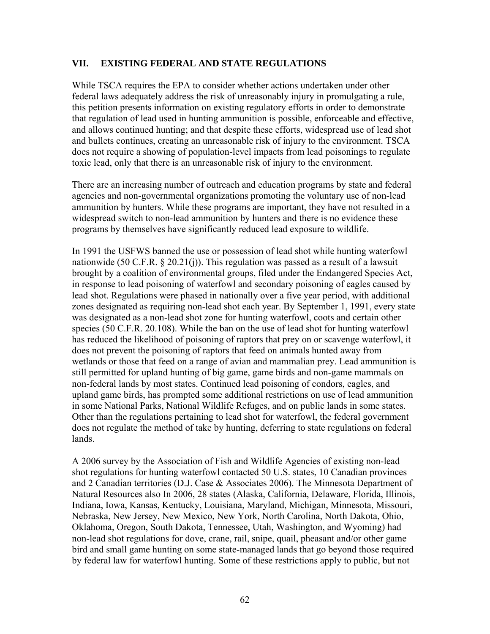## **VII. EXISTING FEDERAL AND STATE REGULATIONS**

While TSCA requires the EPA to consider whether actions undertaken under other federal laws adequately address the risk of unreasonably injury in promulgating a rule, this petition presents information on existing regulatory efforts in order to demonstrate that regulation of lead used in hunting ammunition is possible, enforceable and effective, and allows continued hunting; and that despite these efforts, widespread use of lead shot and bullets continues, creating an unreasonable risk of injury to the environment. TSCA does not require a showing of population-level impacts from lead poisonings to regulate toxic lead, only that there is an unreasonable risk of injury to the environment.

There are an increasing number of outreach and education programs by state and federal agencies and non-governmental organizations promoting the voluntary use of non-lead ammunition by hunters. While these programs are important, they have not resulted in a widespread switch to non-lead ammunition by hunters and there is no evidence these programs by themselves have significantly reduced lead exposure to wildlife.

In 1991 the USFWS banned the use or possession of lead shot while hunting waterfowl nationwide (50 C.F.R. § 20.21(j)). This regulation was passed as a result of a lawsuit brought by a coalition of environmental groups, filed under the Endangered Species Act, in response to lead poisoning of waterfowl and secondary poisoning of eagles caused by lead shot. Regulations were phased in nationally over a five year period, with additional zones designated as requiring non-lead shot each year. By September 1, 1991, every state was designated as a non-lead shot zone for hunting waterfowl, coots and certain other species (50 C.F.R. 20.108). While the ban on the use of lead shot for hunting waterfowl has reduced the likelihood of poisoning of raptors that prey on or scavenge waterfowl, it does not prevent the poisoning of raptors that feed on animals hunted away from wetlands or those that feed on a range of avian and mammalian prey. Lead ammunition is still permitted for upland hunting of big game, game birds and non-game mammals on non-federal lands by most states. Continued lead poisoning of condors, eagles, and upland game birds, has prompted some additional restrictions on use of lead ammunition in some National Parks, National Wildlife Refuges, and on public lands in some states. Other than the regulations pertaining to lead shot for waterfowl, the federal government does not regulate the method of take by hunting, deferring to state regulations on federal lands.

A 2006 survey by the Association of Fish and Wildlife Agencies of existing non-lead shot regulations for hunting waterfowl contacted 50 U.S. states, 10 Canadian provinces and 2 Canadian territories (D.J. Case & Associates 2006). The Minnesota Department of Natural Resources also In 2006, 28 states (Alaska, California, Delaware, Florida, Illinois, Indiana, Iowa, Kansas, Kentucky, Louisiana, Maryland, Michigan, Minnesota, Missouri, Nebraska, New Jersey, New Mexico, New York, North Carolina, North Dakota, Ohio, Oklahoma, Oregon, South Dakota, Tennessee, Utah, Washington, and Wyoming) had non-lead shot regulations for dove, crane, rail, snipe, quail, pheasant and/or other game bird and small game hunting on some state-managed lands that go beyond those required by federal law for waterfowl hunting. Some of these restrictions apply to public, but not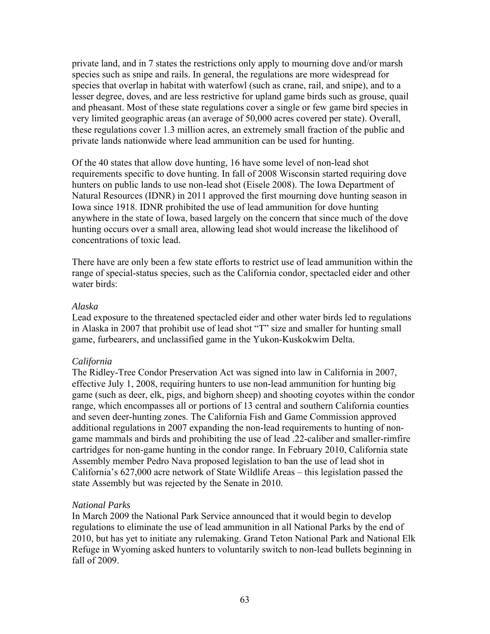private land, and in 7 states the restrictions only apply to mourning dove and/or marsh species such as snipe and rails. In general, the regulations are more widespread for species that overlap in habitat with waterfowl (such as crane, rail, and snipe), and to a lesser degree, doves, and are less restrictive for upland game birds such as grouse, quail and pheasant. Most of these state regulations cover a single or few game bird species in very limited geographic areas (an average of 50,000 acres covered per state). Overall, these regulations cover 1.3 million acres, an extremely small fraction of the public and private lands nationwide where lead ammunition can be used for hunting.

Of the 40 states that allow dove hunting, 16 have some level of non-lead shot requirements specific to dove hunting. In fall of 2008 Wisconsin started requiring dove hunters on public lands to use non-lead shot (Eisele 2008). The Iowa Department of Natural Resources (IDNR) in 2011 approved the first mourning dove hunting season in Iowa since 1918. IDNR prohibited the use of lead ammunition for dove hunting anywhere in the state of Iowa, based largely on the concern that since much of the dove hunting occurs over a small area, allowing lead shot would increase the likelihood of concentrations of toxic lead.

There have are only been a few state efforts to restrict use of lead ammunition within the range of special-status species, such as the California condor, spectacled eider and other water birds:

#### *Alaska*

Lead exposure to the threatened spectacled eider and other water birds led to regulations in Alaska in 2007 that prohibit use of lead shot "T" size and smaller for hunting small game, furbearers, and unclassified game in the Yukon-Kuskokwim Delta.

## *California*

The Ridley-Tree Condor Preservation Act was signed into law in California in 2007, effective July 1, 2008, requiring hunters to use non-lead ammunition for hunting big game (such as deer, elk, pigs, and bighorn sheep) and shooting coyotes within the condor range, which encompasses all or portions of 13 central and southern California counties and seven deer-hunting zones. The California Fish and Game Commission approved additional regulations in 2007 expanding the non-lead requirements to hunting of nongame mammals and birds and prohibiting the use of lead .22-caliber and smaller-rimfire cartridges for non-game hunting in the condor range. In February 2010, California state Assembly member Pedro Nava proposed legislation to ban the use of lead shot in California's 627,000 acre network of State Wildlife Areas – this legislation passed the state Assembly but was rejected by the Senate in 2010.

#### *National Parks*

In March 2009 the National Park Service announced that it would begin to develop regulations to eliminate the use of lead ammunition in all National Parks by the end of 2010, but has yet to initiate any rulemaking. Grand Teton National Park and National Elk Refuge in Wyoming asked hunters to voluntarily switch to non-lead bullets beginning in fall of 2009.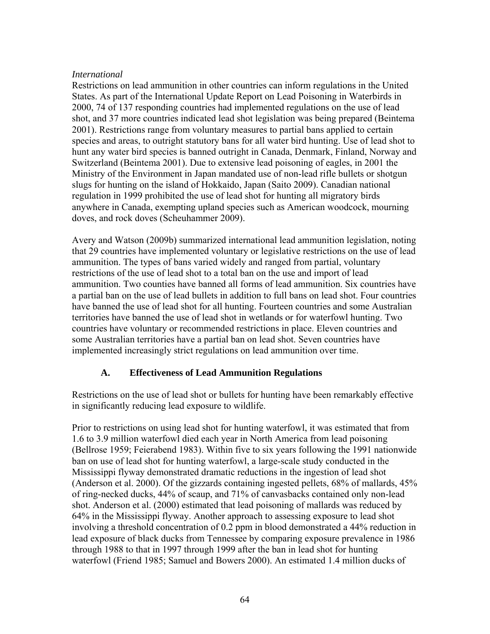#### *International*

Restrictions on lead ammunition in other countries can inform regulations in the United States. As part of the International Update Report on Lead Poisoning in Waterbirds in 2000, 74 of 137 responding countries had implemented regulations on the use of lead shot, and 37 more countries indicated lead shot legislation was being prepared (Beintema 2001). Restrictions range from voluntary measures to partial bans applied to certain species and areas, to outright statutory bans for all water bird hunting. Use of lead shot to hunt any water bird species is banned outright in Canada, Denmark, Finland, Norway and Switzerland (Beintema 2001). Due to extensive lead poisoning of eagles, in 2001 the Ministry of the Environment in Japan mandated use of non-lead rifle bullets or shotgun slugs for hunting on the island of Hokkaido, Japan (Saito 2009). Canadian national regulation in 1999 prohibited the use of lead shot for hunting all migratory birds anywhere in Canada, exempting upland species such as American woodcock, mourning doves, and rock doves (Scheuhammer 2009).

Avery and Watson (2009b) summarized international lead ammunition legislation, noting that 29 countries have implemented voluntary or legislative restrictions on the use of lead ammunition. The types of bans varied widely and ranged from partial, voluntary restrictions of the use of lead shot to a total ban on the use and import of lead ammunition. Two counties have banned all forms of lead ammunition. Six countries have a partial ban on the use of lead bullets in addition to full bans on lead shot. Four countries have banned the use of lead shot for all hunting. Fourteen countries and some Australian territories have banned the use of lead shot in wetlands or for waterfowl hunting. Two countries have voluntary or recommended restrictions in place. Eleven countries and some Australian territories have a partial ban on lead shot. Seven countries have implemented increasingly strict regulations on lead ammunition over time.

## **A. Effectiveness of Lead Ammunition Regulations**

Restrictions on the use of lead shot or bullets for hunting have been remarkably effective in significantly reducing lead exposure to wildlife.

Prior to restrictions on using lead shot for hunting waterfowl, it was estimated that from 1.6 to 3.9 million waterfowl died each year in North America from lead poisoning (Bellrose 1959; Feierabend 1983). Within five to six years following the 1991 nationwide ban on use of lead shot for hunting waterfowl, a large-scale study conducted in the Mississippi flyway demonstrated dramatic reductions in the ingestion of lead shot (Anderson et al. 2000). Of the gizzards containing ingested pellets, 68% of mallards, 45% of ring-necked ducks, 44% of scaup, and 71% of canvasbacks contained only non-lead shot. Anderson et al. (2000) estimated that lead poisoning of mallards was reduced by 64% in the Mississippi flyway. Another approach to assessing exposure to lead shot involving a threshold concentration of 0.2 ppm in blood demonstrated a 44% reduction in lead exposure of black ducks from Tennessee by comparing exposure prevalence in 1986 through 1988 to that in 1997 through 1999 after the ban in lead shot for hunting waterfowl (Friend 1985; Samuel and Bowers 2000). An estimated 1.4 million ducks of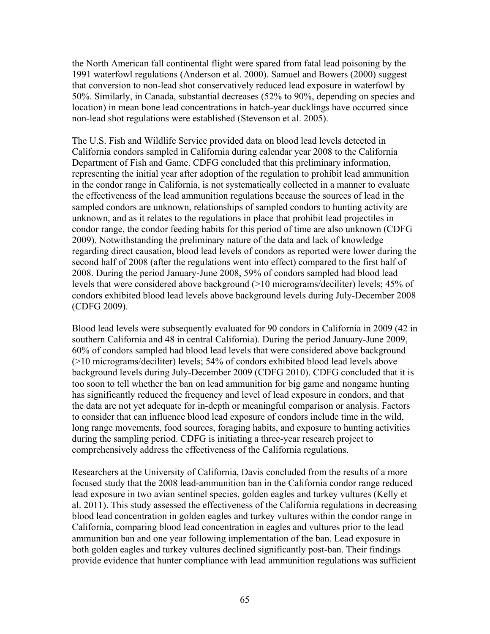the North American fall continental flight were spared from fatal lead poisoning by the 1991 waterfowl regulations (Anderson et al. 2000). Samuel and Bowers (2000) suggest that conversion to non-lead shot conservatively reduced lead exposure in waterfowl by 50%. Similarly, in Canada, substantial decreases (52% to 90%, depending on species and location) in mean bone lead concentrations in hatch-year ducklings have occurred since non-lead shot regulations were established (Stevenson et al. 2005).

The U.S. Fish and Wildlife Service provided data on blood lead levels detected in California condors sampled in California during calendar year 2008 to the California Department of Fish and Game. CDFG concluded that this preliminary information, representing the initial year after adoption of the regulation to prohibit lead ammunition in the condor range in California, is not systematically collected in a manner to evaluate the effectiveness of the lead ammunition regulations because the sources of lead in the sampled condors are unknown, relationships of sampled condors to hunting activity are unknown, and as it relates to the regulations in place that prohibit lead projectiles in condor range, the condor feeding habits for this period of time are also unknown (CDFG 2009). Notwithstanding the preliminary nature of the data and lack of knowledge regarding direct causation, blood lead levels of condors as reported were lower during the second half of 2008 (after the regulations went into effect) compared to the first half of 2008. During the period January-June 2008, 59% of condors sampled had blood lead levels that were considered above background (>10 micrograms/deciliter) levels; 45% of condors exhibited blood lead levels above background levels during July-December 2008 (CDFG 2009).

Blood lead levels were subsequently evaluated for 90 condors in California in 2009 (42 in southern California and 48 in central California). During the period January-June 2009, 60% of condors sampled had blood lead levels that were considered above background (>10 micrograms/deciliter) levels; 54% of condors exhibited blood lead levels above background levels during July-December 2009 (CDFG 2010). CDFG concluded that it is too soon to tell whether the ban on lead ammunition for big game and nongame hunting has significantly reduced the frequency and level of lead exposure in condors, and that the data are not yet adequate for in-depth or meaningful comparison or analysis. Factors to consider that can influence blood lead exposure of condors include time in the wild, long range movements, food sources, foraging habits, and exposure to hunting activities during the sampling period. CDFG is initiating a three-year research project to comprehensively address the effectiveness of the California regulations.

Researchers at the University of California, Davis concluded from the results of a more focused study that the 2008 lead-ammunition ban in the California condor range reduced lead exposure in two avian sentinel species, golden eagles and turkey vultures (Kelly et al. 2011). This study assessed the effectiveness of the California regulations in decreasing blood lead concentration in golden eagles and turkey vultures within the condor range in California, comparing blood lead concentration in eagles and vultures prior to the lead ammunition ban and one year following implementation of the ban. Lead exposure in both golden eagles and turkey vultures declined significantly post-ban. Their findings provide evidence that hunter compliance with lead ammunition regulations was sufficient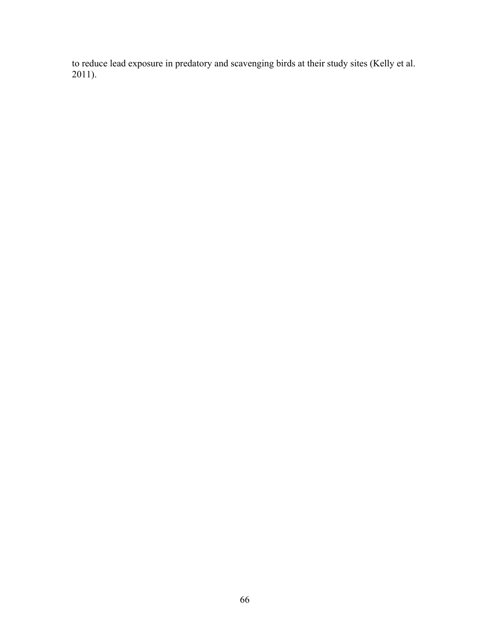to reduce lead exposure in predatory and scavenging birds at their study sites (Kelly et al. 2011).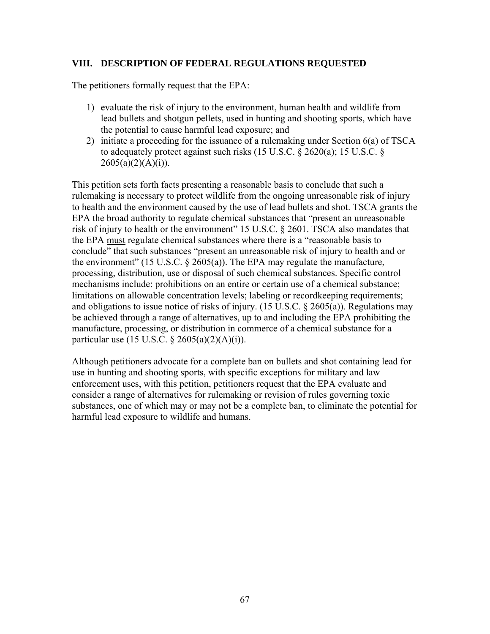## **VIII. DESCRIPTION OF FEDERAL REGULATIONS REQUESTED**

The petitioners formally request that the EPA:

- 1) evaluate the risk of injury to the environment, human health and wildlife from lead bullets and shotgun pellets, used in hunting and shooting sports, which have the potential to cause harmful lead exposure; and
- 2) initiate a proceeding for the issuance of a rulemaking under Section 6(a) of TSCA to adequately protect against such risks (15 U.S.C. § 2620(a); 15 U.S.C. §  $2605(a)(2)(A)(i)).$

This petition sets forth facts presenting a reasonable basis to conclude that such a rulemaking is necessary to protect wildlife from the ongoing unreasonable risk of injury to health and the environment caused by the use of lead bullets and shot. TSCA grants the EPA the broad authority to regulate chemical substances that "present an unreasonable risk of injury to health or the environment" 15 U.S.C. § 2601. TSCA also mandates that the EPA must regulate chemical substances where there is a "reasonable basis to conclude" that such substances "present an unreasonable risk of injury to health and or the environment" (15 U.S.C.  $\S$  2605(a)). The EPA may regulate the manufacture, processing, distribution, use or disposal of such chemical substances. Specific control mechanisms include: prohibitions on an entire or certain use of a chemical substance; limitations on allowable concentration levels; labeling or recordkeeping requirements; and obligations to issue notice of risks of injury. (15 U.S.C.  $\S$  2605(a)). Regulations may be achieved through a range of alternatives, up to and including the EPA prohibiting the manufacture, processing, or distribution in commerce of a chemical substance for a particular use  $(15 \text{ U.S.C. } § 2605(a)(2)(A)(i))$ .

Although petitioners advocate for a complete ban on bullets and shot containing lead for use in hunting and shooting sports, with specific exceptions for military and law enforcement uses, with this petition, petitioners request that the EPA evaluate and consider a range of alternatives for rulemaking or revision of rules governing toxic substances, one of which may or may not be a complete ban, to eliminate the potential for harmful lead exposure to wildlife and humans.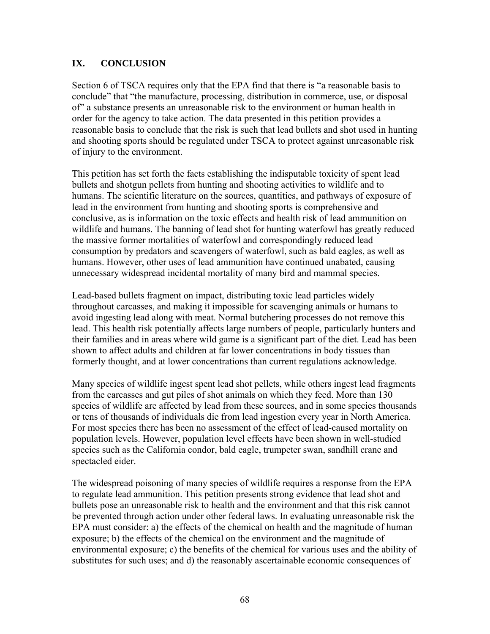# **IX. CONCLUSION**

Section 6 of TSCA requires only that the EPA find that there is "a reasonable basis to conclude" that "the manufacture, processing, distribution in commerce, use, or disposal of" a substance presents an unreasonable risk to the environment or human health in order for the agency to take action. The data presented in this petition provides a reasonable basis to conclude that the risk is such that lead bullets and shot used in hunting and shooting sports should be regulated under TSCA to protect against unreasonable risk of injury to the environment.

This petition has set forth the facts establishing the indisputable toxicity of spent lead bullets and shotgun pellets from hunting and shooting activities to wildlife and to humans. The scientific literature on the sources, quantities, and pathways of exposure of lead in the environment from hunting and shooting sports is comprehensive and conclusive, as is information on the toxic effects and health risk of lead ammunition on wildlife and humans. The banning of lead shot for hunting waterfowl has greatly reduced the massive former mortalities of waterfowl and correspondingly reduced lead consumption by predators and scavengers of waterfowl, such as bald eagles, as well as humans. However, other uses of lead ammunition have continued unabated, causing unnecessary widespread incidental mortality of many bird and mammal species.

Lead-based bullets fragment on impact, distributing toxic lead particles widely throughout carcasses, and making it impossible for scavenging animals or humans to avoid ingesting lead along with meat. Normal butchering processes do not remove this lead. This health risk potentially affects large numbers of people, particularly hunters and their families and in areas where wild game is a significant part of the diet. Lead has been shown to affect adults and children at far lower concentrations in body tissues than formerly thought, and at lower concentrations than current regulations acknowledge.

Many species of wildlife ingest spent lead shot pellets, while others ingest lead fragments from the carcasses and gut piles of shot animals on which they feed. More than 130 species of wildlife are affected by lead from these sources, and in some species thousands or tens of thousands of individuals die from lead ingestion every year in North America. For most species there has been no assessment of the effect of lead-caused mortality on population levels. However, population level effects have been shown in well-studied species such as the California condor, bald eagle, trumpeter swan, sandhill crane and spectacled eider.

The widespread poisoning of many species of wildlife requires a response from the EPA to regulate lead ammunition. This petition presents strong evidence that lead shot and bullets pose an unreasonable risk to health and the environment and that this risk cannot be prevented through action under other federal laws. In evaluating unreasonable risk the EPA must consider: a) the effects of the chemical on health and the magnitude of human exposure; b) the effects of the chemical on the environment and the magnitude of environmental exposure; c) the benefits of the chemical for various uses and the ability of substitutes for such uses; and d) the reasonably ascertainable economic consequences of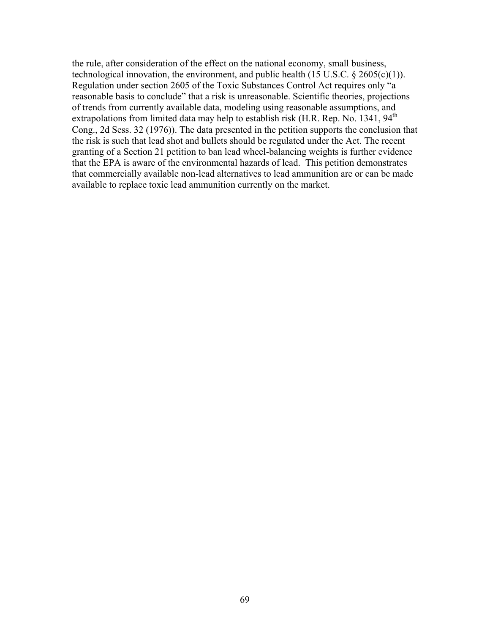the rule, after consideration of the effect on the national economy, small business, technological innovation, the environment, and public health  $(15 \text{ U.S.C.} \S 2605(c)(1))$ . Regulation under section 2605 of the Toxic Substances Control Act requires only "a reasonable basis to conclude" that a risk is unreasonable. Scientific theories, projections of trends from currently available data, modeling using reasonable assumptions, and extrapolations from limited data may help to establish risk (H.R. Rep. No. 1341, 94<sup>th</sup> Cong., 2d Sess. 32 (1976)). The data presented in the petition supports the conclusion that the risk is such that lead shot and bullets should be regulated under the Act. The recent granting of a Section 21 petition to ban lead wheel-balancing weights is further evidence that the EPA is aware of the environmental hazards of lead. This petition demonstrates that commercially available non-lead alternatives to lead ammunition are or can be made available to replace toxic lead ammunition currently on the market.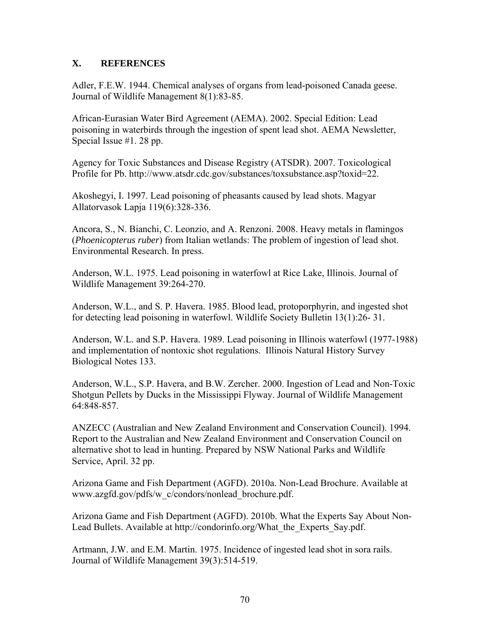## **X. REFERENCES**

Adler, F.E.W. 1944. Chemical analyses of organs from lead-poisoned Canada geese. Journal of Wildlife Management 8(1):83-85.

African-Eurasian Water Bird Agreement (AEMA). 2002. Special Edition: Lead poisoning in waterbirds through the ingestion of spent lead shot. AEMA Newsletter, Special Issue #1. 28 pp.

Agency for Toxic Substances and Disease Registry (ATSDR). 2007. Toxicological Profile for Pb. http://www.atsdr.cdc.gov/substances/toxsubstance.asp?toxid=22.

Akoshegyi, I. 1997. Lead poisoning of pheasants caused by lead shots. Magyar Allatorvasok Lapja 119(6):328-336.

Ancora, S., N. Bianchi, C. Leonzio, and A. Renzoni. 2008. Heavy metals in flamingos (*Phoenicopterus ruber*) from Italian wetlands: The problem of ingestion of lead shot. Environmental Research. In press.

Anderson, W.L. 1975. Lead poisoning in waterfowl at Rice Lake, Illinois. Journal of Wildlife Management 39:264-270.

Anderson, W.L., and S. P. Havera. 1985. Blood lead, protoporphyrin, and ingested shot for detecting lead poisoning in waterfowl. Wildlife Society Bulletin 13(1):26- 31.

Anderson, W.L. and S.P. Havera. 1989. Lead poisoning in Illinois waterfowl (1977-1988) and implementation of nontoxic shot regulations. Illinois Natural History Survey Biological Notes 133.

Anderson, W.L., S.P. Havera, and B.W. Zercher. 2000. Ingestion of Lead and Non-Toxic Shotgun Pellets by Ducks in the Mississippi Flyway. Journal of Wildlife Management 64:848-857.

ANZECC (Australian and New Zealand Environment and Conservation Council). 1994. Report to the Australian and New Zealand Environment and Conservation Council on alternative shot to lead in hunting. Prepared by NSW National Parks and Wildlife Service, April. 32 pp.

Arizona Game and Fish Department (AGFD). 2010a. Non-Lead Brochure. Available at www.azgfd.gov/pdfs/w\_c/condors/nonlead\_brochure.pdf.

Arizona Game and Fish Department (AGFD). 2010b. What the Experts Say About Non-Lead Bullets. Available at http://condorinfo.org/What\_the\_Experts\_Say.pdf.

Artmann, J.W. and E.M. Martin. 1975. Incidence of ingested lead shot in sora rails. Journal of Wildlife Management 39(3):514-519.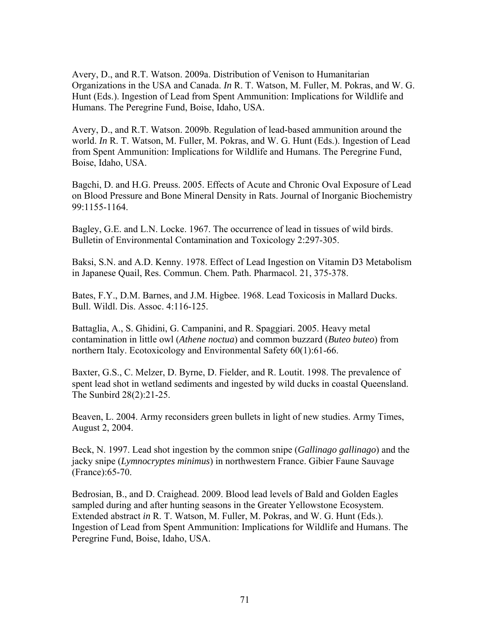Avery, D., and R.T. Watson. 2009a. Distribution of Venison to Humanitarian Organizations in the USA and Canada. *In* R. T. Watson, M. Fuller, M. Pokras, and W. G. Hunt (Eds.). Ingestion of Lead from Spent Ammunition: Implications for Wildlife and Humans. The Peregrine Fund, Boise, Idaho, USA.

Avery, D., and R.T. Watson. 2009b. Regulation of lead-based ammunition around the world. *In* R. T. Watson, M. Fuller, M. Pokras, and W. G. Hunt (Eds.). Ingestion of Lead from Spent Ammunition: Implications for Wildlife and Humans. The Peregrine Fund, Boise, Idaho, USA.

Bagchi, D. and H.G. Preuss. 2005. Effects of Acute and Chronic Oval Exposure of Lead on Blood Pressure and Bone Mineral Density in Rats. Journal of Inorganic Biochemistry 99:1155-1164.

Bagley, G.E. and L.N. Locke. 1967. The occurrence of lead in tissues of wild birds. Bulletin of Environmental Contamination and Toxicology 2:297-305.

Baksi, S.N. and A.D. Kenny. 1978. Effect of Lead Ingestion on Vitamin D3 Metabolism in Japanese Quail, Res. Commun. Chem. Path. Pharmacol. 21, 375-378.

Bates, F.Y., D.M. Barnes, and J.M. Higbee. 1968. Lead Toxicosis in Mallard Ducks. Bull. Wildl. Dis. Assoc. 4:116-125.

Battaglia, A., S. Ghidini, G. Campanini, and R. Spaggiari. 2005. Heavy metal contamination in little owl (*Athene noctua*) and common buzzard (*Buteo buteo*) from northern Italy. Ecotoxicology and Environmental Safety 60(1):61-66.

Baxter, G.S., C. Melzer, D. Byrne, D. Fielder, and R. Loutit. 1998. The prevalence of spent lead shot in wetland sediments and ingested by wild ducks in coastal Queensland. The Sunbird 28(2):21-25.

Beaven, L. 2004. Army reconsiders green bullets in light of new studies. Army Times, August 2, 2004.

Beck, N. 1997. Lead shot ingestion by the common snipe (*Gallinago gallinago*) and the jacky snipe (*Lymnocryptes minimus*) in northwestern France. Gibier Faune Sauvage (France):65-70.

Bedrosian, B., and D. Craighead. 2009. Blood lead levels of Bald and Golden Eagles sampled during and after hunting seasons in the Greater Yellowstone Ecosystem. Extended abstract *in* R. T. Watson, M. Fuller, M. Pokras, and W. G. Hunt (Eds.). Ingestion of Lead from Spent Ammunition: Implications for Wildlife and Humans. The Peregrine Fund, Boise, Idaho, USA.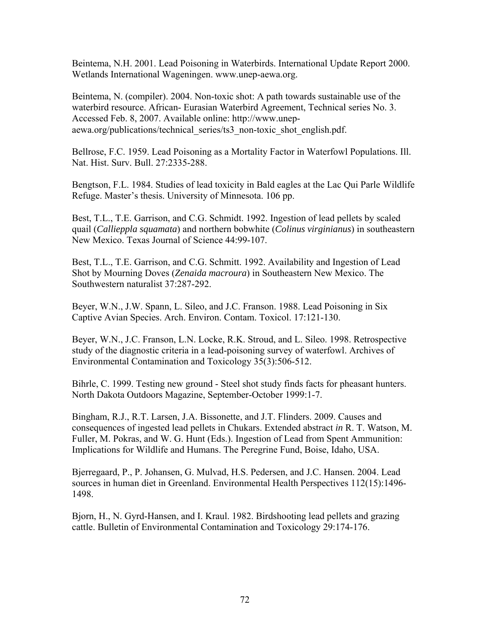Beintema, N.H. 2001. Lead Poisoning in Waterbirds. International Update Report 2000. Wetlands International Wageningen. www.unep-aewa.org.

Beintema, N. (compiler). 2004. Non-toxic shot: A path towards sustainable use of the waterbird resource. African- Eurasian Waterbird Agreement, Technical series No. 3. Accessed Feb. 8, 2007. Available online: http://www.unepaewa.org/publications/technical\_series/ts3\_non-toxic\_shot\_english.pdf.

Bellrose, F.C. 1959. Lead Poisoning as a Mortality Factor in Waterfowl Populations. Ill. Nat. Hist. Surv. Bull. 27:2335-288.

Bengtson, F.L. 1984. Studies of lead toxicity in Bald eagles at the Lac Qui Parle Wildlife Refuge. Master's thesis. University of Minnesota. 106 pp.

Best, T.L., T.E. Garrison, and C.G. Schmidt. 1992. Ingestion of lead pellets by scaled quail (*Callieppla squamata*) and northern bobwhite (*Colinus virginianus*) in southeastern New Mexico. Texas Journal of Science 44:99-107.

Best, T.L., T.E. Garrison, and C.G. Schmitt. 1992. Availability and Ingestion of Lead Shot by Mourning Doves (*Zenaida macroura*) in Southeastern New Mexico. The Southwestern naturalist 37:287-292.

Beyer, W.N., J.W. Spann, L. Sileo, and J.C. Franson. 1988. Lead Poisoning in Six Captive Avian Species. Arch. Environ. Contam. Toxicol. 17:121-130.

Beyer, W.N., J.C. Franson, L.N. Locke, R.K. Stroud, and L. Sileo. 1998. Retrospective study of the diagnostic criteria in a lead-poisoning survey of waterfowl. Archives of Environmental Contamination and Toxicology 35(3):506-512.

Bihrle, C. 1999. Testing new ground - Steel shot study finds facts for pheasant hunters. North Dakota Outdoors Magazine, September-October 1999:1-7.

Bingham, R.J., R.T. Larsen, J.A. Bissonette, and J.T. Flinders. 2009. Causes and consequences of ingested lead pellets in Chukars. Extended abstract *in* R. T. Watson, M. Fuller, M. Pokras, and W. G. Hunt (Eds.). Ingestion of Lead from Spent Ammunition: Implications for Wildlife and Humans. The Peregrine Fund, Boise, Idaho, USA.

Bjerregaard, P., P. Johansen, G. Mulvad, H.S. Pedersen, and J.C. Hansen. 2004. Lead sources in human diet in Greenland. Environmental Health Perspectives 112(15):1496- 1498.

Bjorn, H., N. Gyrd-Hansen, and I. Kraul. 1982. Birdshooting lead pellets and grazing cattle. Bulletin of Environmental Contamination and Toxicology 29:174-176.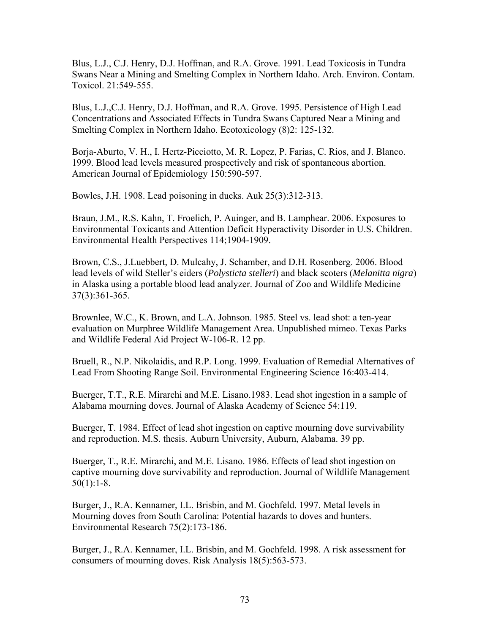Blus, L.J., C.J. Henry, D.J. Hoffman, and R.A. Grove. 1991. Lead Toxicosis in Tundra Swans Near a Mining and Smelting Complex in Northern Idaho. Arch. Environ. Contam. Toxicol. 21:549-555.

Blus, L.J.,C.J. Henry, D.J. Hoffman, and R.A. Grove. 1995. Persistence of High Lead Concentrations and Associated Effects in Tundra Swans Captured Near a Mining and Smelting Complex in Northern Idaho. Ecotoxicology (8)2: 125-132.

Borja-Aburto, V. H., I. Hertz-Picciotto, M. R. Lopez, P. Farias, C. Rios, and J. Blanco. 1999. Blood lead levels measured prospectively and risk of spontaneous abortion. American Journal of Epidemiology 150:590-597.

Bowles, J.H. 1908. Lead poisoning in ducks. Auk 25(3):312-313.

Braun, J.M., R.S. Kahn, T. Froelich, P. Auinger, and B. Lamphear. 2006. Exposures to Environmental Toxicants and Attention Deficit Hyperactivity Disorder in U.S. Children. Environmental Health Perspectives 114;1904-1909.

Brown, C.S., J.Luebbert, D. Mulcahy, J. Schamber, and D.H. Rosenberg. 2006. Blood lead levels of wild Steller's eiders (*Polysticta stelleri*) and black scoters (*Melanitta nigra*) in Alaska using a portable blood lead analyzer. Journal of Zoo and Wildlife Medicine 37(3):361-365.

Brownlee, W.C., K. Brown, and L.A. Johnson. 1985. Steel vs. lead shot: a ten-year evaluation on Murphree Wildlife Management Area. Unpublished mimeo. Texas Parks and Wildlife Federal Aid Project W-106-R. 12 pp.

Bruell, R., N.P. Nikolaidis, and R.P. Long. 1999. Evaluation of Remedial Alternatives of Lead From Shooting Range Soil. Environmental Engineering Science 16:403-414.

Buerger, T.T., R.E. Mirarchi and M.E. Lisano.1983. Lead shot ingestion in a sample of Alabama mourning doves. Journal of Alaska Academy of Science 54:119.

Buerger, T. 1984. Effect of lead shot ingestion on captive mourning dove survivability and reproduction. M.S. thesis. Auburn University, Auburn, Alabama. 39 pp.

Buerger, T., R.E. Mirarchi, and M.E. Lisano. 1986. Effects of lead shot ingestion on captive mourning dove survivability and reproduction. Journal of Wildlife Management  $50(1):1-8.$ 

Burger, J., R.A. Kennamer, I.L. Brisbin, and M. Gochfeld. 1997. Metal levels in Mourning doves from South Carolina: Potential hazards to doves and hunters. Environmental Research 75(2):173-186.

Burger, J., R.A. Kennamer, I.L. Brisbin, and M. Gochfeld. 1998. A risk assessment for consumers of mourning doves. Risk Analysis 18(5):563-573.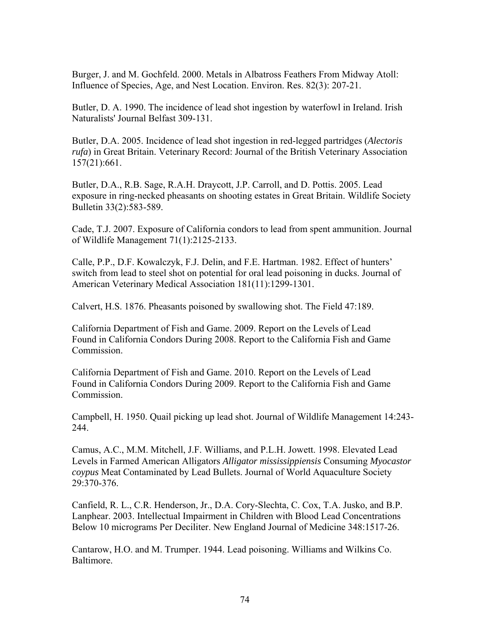Burger, J. and M. Gochfeld. 2000. Metals in Albatross Feathers From Midway Atoll: Influence of Species, Age, and Nest Location. Environ. Res. 82(3): 207-21.

Butler, D. A. 1990. The incidence of lead shot ingestion by waterfowl in Ireland. Irish Naturalists' Journal Belfast 309-131.

Butler, D.A. 2005. Incidence of lead shot ingestion in red-legged partridges (*Alectoris rufa*) in Great Britain. Veterinary Record: Journal of the British Veterinary Association 157(21):661.

Butler, D.A., R.B. Sage, R.A.H. Draycott, J.P. Carroll, and D. Pottis. 2005. Lead exposure in ring-necked pheasants on shooting estates in Great Britain. Wildlife Society Bulletin 33(2):583-589.

Cade, T.J. 2007. Exposure of California condors to lead from spent ammunition. Journal of Wildlife Management 71(1):2125-2133.

Calle, P.P., D.F. Kowalczyk, F.J. Delin, and F.E. Hartman. 1982. Effect of hunters' switch from lead to steel shot on potential for oral lead poisoning in ducks. Journal of American Veterinary Medical Association 181(11):1299-1301.

Calvert, H.S. 1876. Pheasants poisoned by swallowing shot. The Field 47:189.

California Department of Fish and Game. 2009. Report on the Levels of Lead Found in California Condors During 2008. Report to the California Fish and Game Commission.

California Department of Fish and Game. 2010. Report on the Levels of Lead Found in California Condors During 2009. Report to the California Fish and Game Commission.

Campbell, H. 1950. Quail picking up lead shot. Journal of Wildlife Management 14:243- 244.

Camus, A.C., M.M. Mitchell, J.F. Williams, and P.L.H. Jowett. 1998. Elevated Lead Levels in Farmed American Alligators *Alligator mississippiensis* Consuming *Myocastor coypus* Meat Contaminated by Lead Bullets. Journal of World Aquaculture Society 29:370-376.

Canfield, R. L., C.R. Henderson, Jr., D.A. Cory-Slechta, C. Cox, T.A. Jusko, and B.P. Lanphear. 2003. Intellectual Impairment in Children with Blood Lead Concentrations Below 10 micrograms Per Deciliter. New England Journal of Medicine 348:1517-26.

Cantarow, H.O. and M. Trumper. 1944. Lead poisoning. Williams and Wilkins Co. Baltimore.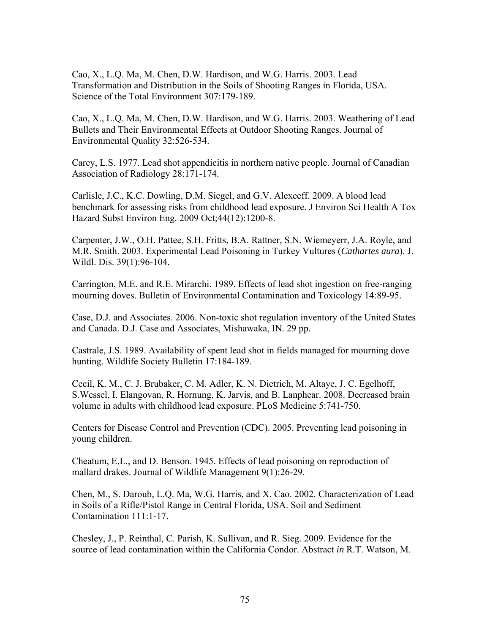Cao, X., L.Q. Ma, M. Chen, D.W. Hardison, and W.G. Harris. 2003. Lead Transformation and Distribution in the Soils of Shooting Ranges in Florida, USA. Science of the Total Environment 307:179-189.

Cao, X., L.Q. Ma, M. Chen, D.W. Hardison, and W.G. Harris. 2003. Weathering of Lead Bullets and Their Environmental Effects at Outdoor Shooting Ranges. Journal of Environmental Quality 32:526-534.

Carey, L.S. 1977. Lead shot appendicitis in northern native people. Journal of Canadian Association of Radiology 28:171-174.

Carlisle, J.C., K.C. Dowling, D.M. Siegel, and G.V. Alexeeff. 2009. A blood lead benchmark for assessing risks from childhood lead exposure. J Environ Sci Health A Tox Hazard Subst Environ Eng. 2009 Oct;44(12):1200-8.

Carpenter, J.W., O.H. Pattee, S.H. Fritts, B.A. Rattner, S.N. Wiemeyerr, J.A. Royle, and M.R. Smith. 2003. Experimental Lead Poisoning in Turkey Vultures (*Cathartes aura*). J. Wildl. Dis. 39(1):96-104.

Carrington, M.E. and R.E. Mirarchi. 1989. Effects of lead shot ingestion on free-ranging mourning doves. Bulletin of Environmental Contamination and Toxicology 14:89-95.

Case, D.J. and Associates. 2006. Non-toxic shot regulation inventory of the United States and Canada. D.J. Case and Associates, Mishawaka, IN. 29 pp.

Castrale, J.S. 1989. Availability of spent lead shot in fields managed for mourning dove hunting. Wildlife Society Bulletin 17:184-189.

Cecil, K. M., C. J. Brubaker, C. M. Adler, K. N. Dietrich, M. Altaye, J. C. Egelhoff, S.Wessel, I. Elangovan, R. Hornung, K. Jarvis, and B. Lanphear. 2008. Decreased brain volume in adults with childhood lead exposure. PLoS Medicine 5:741-750.

Centers for Disease Control and Prevention (CDC). 2005. Preventing lead poisoning in young children.

Cheatum, E.L., and D. Benson. 1945. Effects of lead poisoning on reproduction of mallard drakes. Journal of Wildlife Management 9(1):26-29.

Chen, M., S. Daroub, L.Q. Ma, W.G. Harris, and X. Cao. 2002. Characterization of Lead in Soils of a Rifle/Pistol Range in Central Florida, USA. Soil and Sediment Contamination 111:1-17.

Chesley, J., P. Reinthal, C. Parish, K. Sullivan, and R. Sieg. 2009. Evidence for the source of lead contamination within the California Condor. Abstract *in* R.T. Watson, M.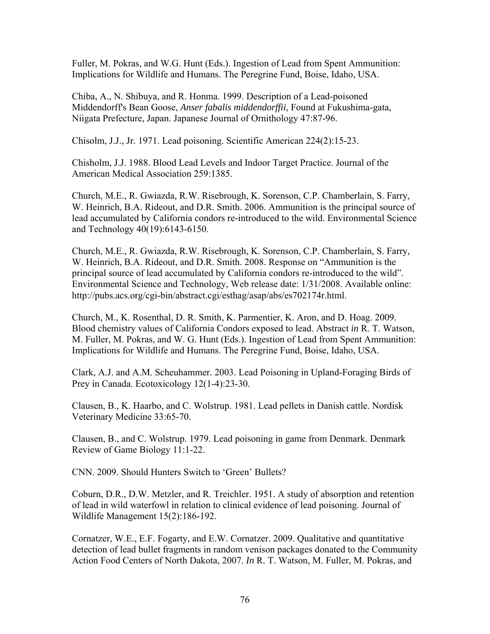Fuller, M. Pokras, and W.G. Hunt (Eds.). Ingestion of Lead from Spent Ammunition: Implications for Wildlife and Humans. The Peregrine Fund, Boise, Idaho, USA.

Chiba, A., N. Shibuya, and R. Honma. 1999. Description of a Lead-poisoned Middendorff's Bean Goose, *Anser fabalis middendorffii*, Found at Fukushima-gata, Niigata Prefecture, Japan. Japanese Journal of Ornithology 47:87-96.

Chisolm, J.J., Jr. 1971. Lead poisoning. Scientific American 224(2):15-23.

Chisholm, J.J. 1988. Blood Lead Levels and Indoor Target Practice. Journal of the American Medical Association 259:1385.

Church, M.E., R. Gwiazda, R.W. Risebrough, K. Sorenson, C.P. Chamberlain, S. Farry, W. Heinrich, B.A. Rideout, and D.R. Smith. 2006. Ammunition is the principal source of lead accumulated by California condors re-introduced to the wild. Environmental Science and Technology 40(19):6143-6150.

Church, M.E., R. Gwiazda, R.W. Risebrough, K. Sorenson, C.P. Chamberlain, S. Farry, W. Heinrich, B.A. Rideout, and D.R. Smith. 2008. Response on "Ammunition is the principal source of lead accumulated by California condors re-introduced to the wild". Environmental Science and Technology, Web release date: 1/31/2008. Available online: http://pubs.acs.org/cgi-bin/abstract.cgi/esthag/asap/abs/es702174r.html.

Church, M., K. Rosenthal, D. R. Smith, K. Parmentier, K. Aron, and D. Hoag. 2009. Blood chemistry values of California Condors exposed to lead. Abstract *in* R. T. Watson, M. Fuller, M. Pokras, and W. G. Hunt (Eds.). Ingestion of Lead from Spent Ammunition: Implications for Wildlife and Humans. The Peregrine Fund, Boise, Idaho, USA.

Clark, A.J. and A.M. Scheuhammer. 2003. Lead Poisoning in Upland-Foraging Birds of Prey in Canada. Ecotoxicology 12(1-4):23-30.

Clausen, B., K. Haarbo, and C. Wolstrup. 1981. Lead pellets in Danish cattle. Nordisk Veterinary Medicine 33:65-70.

Clausen, B., and C. Wolstrup. 1979. Lead poisoning in game from Denmark. Denmark Review of Game Biology 11:1-22.

CNN. 2009. Should Hunters Switch to 'Green' Bullets?

Coburn, D.R., D.W. Metzler, and R. Treichler. 1951. A study of absorption and retention of lead in wild waterfowl in relation to clinical evidence of lead poisoning. Journal of Wildlife Management 15(2):186-192.

Cornatzer, W.E., E.F. Fogarty, and E.W. Cornatzer. 2009. Qualitative and quantitative detection of lead bullet fragments in random venison packages donated to the Community Action Food Centers of North Dakota, 2007. *In* R. T. Watson, M. Fuller, M. Pokras, and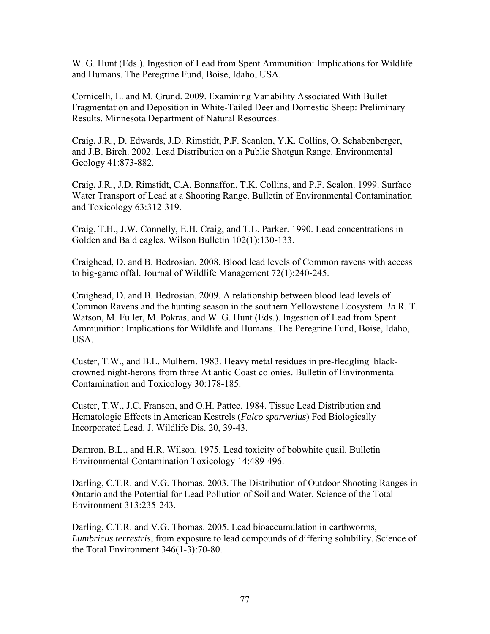W. G. Hunt (Eds.). Ingestion of Lead from Spent Ammunition: Implications for Wildlife and Humans. The Peregrine Fund, Boise, Idaho, USA.

Cornicelli, L. and M. Grund. 2009. Examining Variability Associated With Bullet Fragmentation and Deposition in White-Tailed Deer and Domestic Sheep: Preliminary Results. Minnesota Department of Natural Resources.

Craig, J.R., D. Edwards, J.D. Rimstidt, P.F. Scanlon, Y.K. Collins, O. Schabenberger, and J.B. Birch. 2002. Lead Distribution on a Public Shotgun Range. Environmental Geology 41:873-882.

Craig, J.R., J.D. Rimstidt, C.A. Bonnaffon, T.K. Collins, and P.F. Scalon. 1999. Surface Water Transport of Lead at a Shooting Range. Bulletin of Environmental Contamination and Toxicology 63:312-319.

Craig, T.H., J.W. Connelly, E.H. Craig, and T.L. Parker. 1990. Lead concentrations in Golden and Bald eagles. Wilson Bulletin 102(1):130-133.

Craighead, D. and B. Bedrosian. 2008. Blood lead levels of Common ravens with access to big-game offal. Journal of Wildlife Management 72(1):240-245.

Craighead, D. and B. Bedrosian. 2009. A relationship between blood lead levels of Common Ravens and the hunting season in the southern Yellowstone Ecosystem. *In* R. T. Watson, M. Fuller, M. Pokras, and W. G. Hunt (Eds.). Ingestion of Lead from Spent Ammunition: Implications for Wildlife and Humans. The Peregrine Fund, Boise, Idaho, USA.

Custer, T.W., and B.L. Mulhern. 1983. Heavy metal residues in pre-fledgling blackcrowned night-herons from three Atlantic Coast colonies. Bulletin of Environmental Contamination and Toxicology 30:178-185.

Custer, T.W., J.C. Franson, and O.H. Pattee. 1984. Tissue Lead Distribution and Hematologic Effects in American Kestrels (*Falco sparverius*) Fed Biologically Incorporated Lead. J. Wildlife Dis. 20, 39-43.

Damron, B.L., and H.R. Wilson. 1975. Lead toxicity of bobwhite quail. Bulletin Environmental Contamination Toxicology 14:489-496.

Darling, C.T.R. and V.G. Thomas. 2003. The Distribution of Outdoor Shooting Ranges in Ontario and the Potential for Lead Pollution of Soil and Water. Science of the Total Environment 313:235-243.

Darling, C.T.R. and V.G. Thomas. 2005. Lead bioaccumulation in earthworms, *Lumbricus terrestris*, from exposure to lead compounds of differing solubility. Science of the Total Environment 346(1-3):70-80.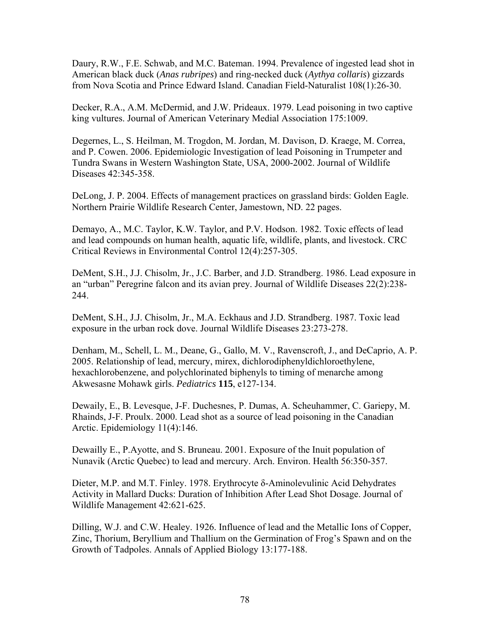Daury, R.W., F.E. Schwab, and M.C. Bateman. 1994. Prevalence of ingested lead shot in American black duck (*Anas rubripes*) and ring-necked duck (*Aythya collaris*) gizzards from Nova Scotia and Prince Edward Island. Canadian Field-Naturalist 108(1):26-30.

Decker, R.A., A.M. McDermid, and J.W. Prideaux. 1979. Lead poisoning in two captive king vultures. Journal of American Veterinary Medial Association 175:1009.

Degernes, L., S. Heilman, M. Trogdon, M. Jordan, M. Davison, D. Kraege, M. Correa, and P. Cowen. 2006. Epidemiologic Investigation of lead Poisoning in Trumpeter and Tundra Swans in Western Washington State, USA, 2000-2002. Journal of Wildlife Diseases 42:345-358.

DeLong, J. P. 2004. Effects of management practices on grassland birds: Golden Eagle. Northern Prairie Wildlife Research Center, Jamestown, ND. 22 pages.

Demayo, A., M.C. Taylor, K.W. Taylor, and P.V. Hodson. 1982. Toxic effects of lead and lead compounds on human health, aquatic life, wildlife, plants, and livestock. CRC Critical Reviews in Environmental Control 12(4):257-305.

DeMent, S.H., J.J. Chisolm, Jr., J.C. Barber, and J.D. Strandberg. 1986. Lead exposure in an "urban" Peregrine falcon and its avian prey. Journal of Wildlife Diseases 22(2):238- 244.

DeMent, S.H., J.J. Chisolm, Jr., M.A. Eckhaus and J.D. Strandberg. 1987. Toxic lead exposure in the urban rock dove. Journal Wildlife Diseases 23:273-278.

Denham, M., Schell, L. M., Deane, G., Gallo, M. V., Ravenscroft, J., and DeCaprio, A. P. 2005. Relationship of lead, mercury, mirex, dichlorodiphenyldichloroethylene, hexachlorobenzene, and polychlorinated biphenyls to timing of menarche among Akwesasne Mohawk girls. *Pediatrics* **115**, e127-134.

Dewaily, E., B. Levesque, J-F. Duchesnes, P. Dumas, A. Scheuhammer, C. Gariepy, M. Rhainds, J-F. Proulx. 2000. Lead shot as a source of lead poisoning in the Canadian Arctic. Epidemiology 11(4):146.

Dewailly E., P.Ayotte, and S. Bruneau. 2001. Exposure of the Inuit population of Nunavik (Arctic Quebec) to lead and mercury. Arch. Environ. Health 56:350-357.

Dieter, M.P. and M.T. Finley. 1978. Erythrocyte δ-Aminolevulinic Acid Dehydrates Activity in Mallard Ducks: Duration of Inhibition After Lead Shot Dosage. Journal of Wildlife Management 42:621-625.

Dilling, W.J. and C.W. Healey. 1926. Influence of lead and the Metallic Ions of Copper, Zinc, Thorium, Beryllium and Thallium on the Germination of Frog's Spawn and on the Growth of Tadpoles. Annals of Applied Biology 13:177-188.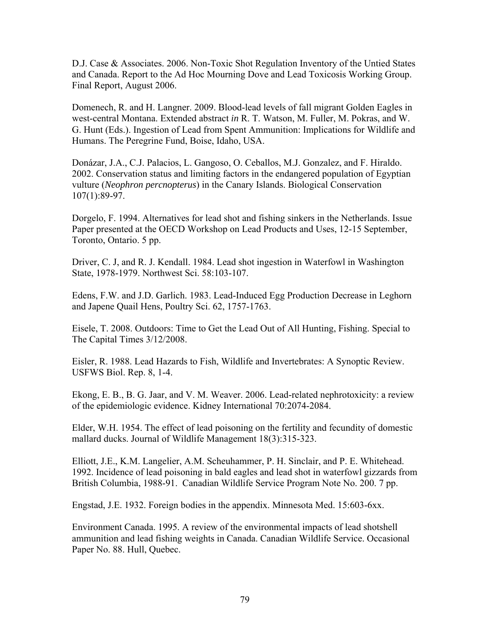D.J. Case & Associates. 2006. Non-Toxic Shot Regulation Inventory of the Untied States and Canada. Report to the Ad Hoc Mourning Dove and Lead Toxicosis Working Group. Final Report, August 2006.

Domenech, R. and H. Langner. 2009. Blood-lead levels of fall migrant Golden Eagles in west-central Montana. Extended abstract *in* R. T. Watson, M. Fuller, M. Pokras, and W. G. Hunt (Eds.). Ingestion of Lead from Spent Ammunition: Implications for Wildlife and Humans. The Peregrine Fund, Boise, Idaho, USA.

Donázar, J.A., C.J. Palacios, L. Gangoso, O. Ceballos, M.J. Gonzalez, and F. Hiraldo. 2002. Conservation status and limiting factors in the endangered population of Egyptian vulture (*Neophron percnopterus*) in the Canary Islands. Biological Conservation 107(1):89-97.

Dorgelo, F. 1994. Alternatives for lead shot and fishing sinkers in the Netherlands. Issue Paper presented at the OECD Workshop on Lead Products and Uses, 12-15 September, Toronto, Ontario. 5 pp.

Driver, C. J, and R. J. Kendall. 1984. Lead shot ingestion in Waterfowl in Washington State, 1978-1979. Northwest Sci. 58:103-107.

Edens, F.W. and J.D. Garlich. 1983. Lead-Induced Egg Production Decrease in Leghorn and Japene Quail Hens, Poultry Sci. 62, 1757-1763.

Eisele, T. 2008. Outdoors: Time to Get the Lead Out of All Hunting, Fishing. Special to The Capital Times 3/12/2008.

Eisler, R. 1988. Lead Hazards to Fish, Wildlife and Invertebrates: A Synoptic Review. USFWS Biol. Rep. 8, 1-4.

Ekong, E. B., B. G. Jaar, and V. M. Weaver. 2006. Lead-related nephrotoxicity: a review of the epidemiologic evidence. Kidney International 70:2074-2084.

Elder, W.H. 1954. The effect of lead poisoning on the fertility and fecundity of domestic mallard ducks. Journal of Wildlife Management 18(3):315-323.

Elliott, J.E., K.M. Langelier, A.M. Scheuhammer, P. H. Sinclair, and P. E. Whitehead. 1992. Incidence of lead poisoning in bald eagles and lead shot in waterfowl gizzards from British Columbia, 1988-91. Canadian Wildlife Service Program Note No. 200. 7 pp.

Engstad, J.E. 1932. Foreign bodies in the appendix. Minnesota Med. 15:603-6xx.

Environment Canada. 1995. A review of the environmental impacts of lead shotshell ammunition and lead fishing weights in Canada. Canadian Wildlife Service. Occasional Paper No. 88. Hull, Quebec.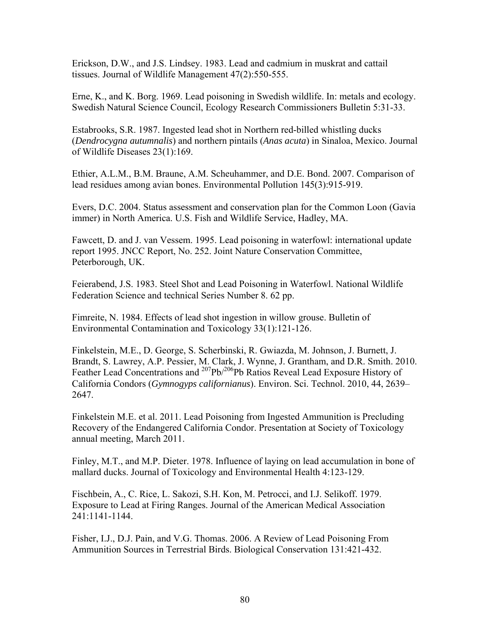Erickson, D.W., and J.S. Lindsey. 1983. Lead and cadmium in muskrat and cattail tissues. Journal of Wildlife Management 47(2):550-555.

Erne, K., and K. Borg. 1969. Lead poisoning in Swedish wildlife. In: metals and ecology. Swedish Natural Science Council, Ecology Research Commissioners Bulletin 5:31-33.

Estabrooks, S.R. 1987. Ingested lead shot in Northern red-billed whistling ducks (*Dendrocygna autumnalis*) and northern pintails (*Anas acuta*) in Sinaloa, Mexico. Journal of Wildlife Diseases 23(1):169.

Ethier, A.L.M., B.M. Braune, A.M. Scheuhammer, and D.E. Bond. 2007. Comparison of lead residues among avian bones. Environmental Pollution 145(3):915-919.

Evers, D.C. 2004. Status assessment and conservation plan for the Common Loon (Gavia immer) in North America. U.S. Fish and Wildlife Service, Hadley, MA.

Fawcett, D. and J. van Vessem. 1995. Lead poisoning in waterfowl: international update report 1995. JNCC Report, No. 252. Joint Nature Conservation Committee, Peterborough, UK.

Feierabend, J.S. 1983. Steel Shot and Lead Poisoning in Waterfowl. National Wildlife Federation Science and technical Series Number 8. 62 pp.

Fimreite, N. 1984. Effects of lead shot ingestion in willow grouse. Bulletin of Environmental Contamination and Toxicology 33(1):121-126.

Finkelstein, M.E., D. George, S. Scherbinski, R. Gwiazda, M. Johnson, J. Burnett, J. Brandt, S. Lawrey, A.P. Pessier, M. Clark, J. Wynne, J. Grantham, and D.R. Smith. 2010. Feather Lead Concentrations and <sup>207</sup>Pb/<sup>206</sup>Pb Ratios Reveal Lead Exposure History of California Condors (*Gymnogyps californianus*). Environ. Sci. Technol. 2010, 44, 2639– 2647.

Finkelstein M.E. et al. 2011. Lead Poisoning from Ingested Ammunition is Precluding Recovery of the Endangered California Condor. Presentation at Society of Toxicology annual meeting, March 2011.

Finley, M.T., and M.P. Dieter. 1978. Influence of laying on lead accumulation in bone of mallard ducks. Journal of Toxicology and Environmental Health 4:123-129.

Fischbein, A., C. Rice, L. Sakozi, S.H. Kon, M. Petrocci, and I.J. Selikoff. 1979. Exposure to Lead at Firing Ranges. Journal of the American Medical Association 241:1141-1144.

Fisher, I.J., D.J. Pain, and V.G. Thomas. 2006. A Review of Lead Poisoning From Ammunition Sources in Terrestrial Birds. Biological Conservation 131:421-432.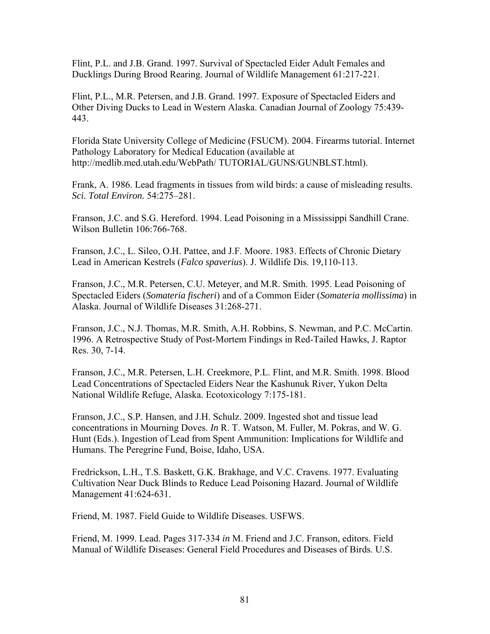Flint, P.L. and J.B. Grand. 1997. Survival of Spectacled Eider Adult Females and Ducklings During Brood Rearing. Journal of Wildlife Management 61:217-221.

Flint, P.L., M.R. Petersen, and J.B. Grand. 1997. Exposure of Spectacled Eiders and Other Diving Ducks to Lead in Western Alaska. Canadian Journal of Zoology 75:439- 443.

Florida State University College of Medicine (FSUCM). 2004. Firearms tutorial. Internet Pathology Laboratory for Medical Education (available at http://medlib.med.utah.edu/WebPath/ TUTORIAL/GUNS/GUNBLST.html).

Frank, A. 1986. Lead fragments in tissues from wild birds: a cause of misleading results. *Sci. Total Environ.* 54:275–281.

Franson, J.C. and S.G. Hereford. 1994. Lead Poisoning in a Mississippi Sandhill Crane. Wilson Bulletin 106:766-768.

Franson, J.C., L. Sileo, O.H. Pattee, and J.F. Moore. 1983. Effects of Chronic Dietary Lead in American Kestrels (*Falco spaverius*). J. Wildlife Dis. 19,110-113.

Franson, J.C., M.R. Petersen, C.U. Meteyer, and M.R. Smith. 1995. Lead Poisoning of Spectacled Eiders (*Somateria fischeri*) and of a Common Eider (*Somateria mollissima*) in Alaska. Journal of Wildlife Diseases 31:268-271.

Franson, J.C., N.J. Thomas, M.R. Smith, A.H. Robbins, S. Newman, and P.C. McCartin. 1996. A Retrospective Study of Post-Mortem Findings in Red-Tailed Hawks, J. Raptor Res. 30, 7-14.

Franson, J.C., M.R. Petersen, L.H. Creekmore, P.L. Flint, and M.R. Smith. 1998. Blood Lead Concentrations of Spectacled Eiders Near the Kashunuk River, Yukon Delta National Wildlife Refuge, Alaska. Ecotoxicology 7:175-181.

Franson, J.C., S.P. Hansen, and J.H. Schulz. 2009. Ingested shot and tissue lead concentrations in Mourning Doves. *In* R. T. Watson, M. Fuller, M. Pokras, and W. G. Hunt (Eds.). Ingestion of Lead from Spent Ammunition: Implications for Wildlife and Humans. The Peregrine Fund, Boise, Idaho, USA.

Fredrickson, L.H., T.S. Baskett, G.K. Brakhage, and V.C. Cravens. 1977. Evaluating Cultivation Near Duck Blinds to Reduce Lead Poisoning Hazard. Journal of Wildlife Management 41:624-631.

Friend, M. 1987. Field Guide to Wildlife Diseases. USFWS.

Friend, M. 1999. Lead. Pages 317-334 *in* M. Friend and J.C. Franson, editors. Field Manual of Wildlife Diseases: General Field Procedures and Diseases of Birds. U.S.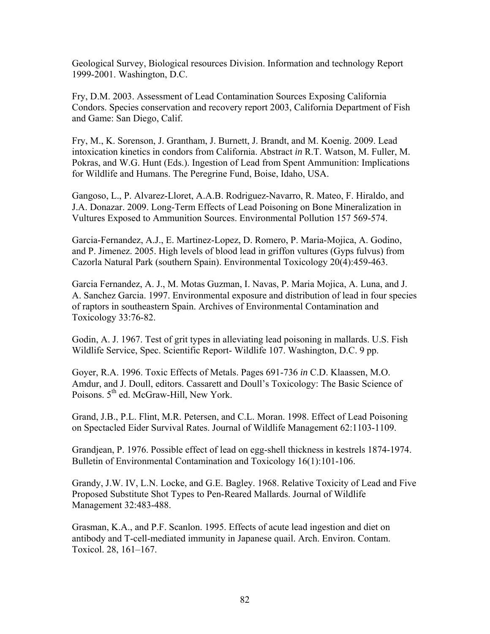Geological Survey, Biological resources Division. Information and technology Report 1999-2001. Washington, D.C.

Fry, D.M. 2003. Assessment of Lead Contamination Sources Exposing California Condors. Species conservation and recovery report 2003, California Department of Fish and Game: San Diego, Calif.

Fry, M., K. Sorenson, J. Grantham, J. Burnett, J. Brandt, and M. Koenig. 2009. Lead intoxication kinetics in condors from California. Abstract *in* R.T. Watson, M. Fuller, M. Pokras, and W.G. Hunt (Eds.). Ingestion of Lead from Spent Ammunition: Implications for Wildlife and Humans. The Peregrine Fund, Boise, Idaho, USA.

Gangoso, L., P. Alvarez-Lloret, A.A.B. Rodriguez-Navarro, R. Mateo, F. Hiraldo, and J.A. Donazar. 2009. Long-Term Effects of Lead Poisoning on Bone Mineralization in Vultures Exposed to Ammunition Sources. Environmental Pollution 157 569-574.

Garcia-Fernandez, A.J., E. Martinez-Lopez, D. Romero, P. Maria-Mojica, A. Godino, and P. Jimenez. 2005. High levels of blood lead in griffon vultures (Gyps fulvus) from Cazorla Natural Park (southern Spain). Environmental Toxicology 20(4):459-463.

Garcia Fernandez, A. J., M. Motas Guzman, I. Navas, P. Maria Mojica, A. Luna, and J. A. Sanchez Garcia. 1997. Environmental exposure and distribution of lead in four species of raptors in southeastern Spain. Archives of Environmental Contamination and Toxicology 33:76-82.

Godin, A. J. 1967. Test of grit types in alleviating lead poisoning in mallards. U.S. Fish Wildlife Service, Spec. Scientific Report- Wildlife 107. Washington, D.C. 9 pp.

Goyer, R.A. 1996. Toxic Effects of Metals. Pages 691-736 *in* C.D. Klaassen, M.O. Amdur, and J. Doull, editors. Cassarett and Doull's Toxicology: The Basic Science of Poisons.  $5<sup>th</sup>$  ed. McGraw-Hill, New York.

Grand, J.B., P.L. Flint, M.R. Petersen, and C.L. Moran. 1998. Effect of Lead Poisoning on Spectacled Eider Survival Rates. Journal of Wildlife Management 62:1103-1109.

Grandjean, P. 1976. Possible effect of lead on egg-shell thickness in kestrels 1874-1974. Bulletin of Environmental Contamination and Toxicology 16(1):101-106.

Grandy, J.W. IV, L.N. Locke, and G.E. Bagley. 1968. Relative Toxicity of Lead and Five Proposed Substitute Shot Types to Pen-Reared Mallards. Journal of Wildlife Management 32:483-488.

Grasman, K.A., and P.F. Scanlon. 1995. Effects of acute lead ingestion and diet on antibody and T-cell-mediated immunity in Japanese quail. Arch. Environ. Contam. Toxicol. 28, 161–167.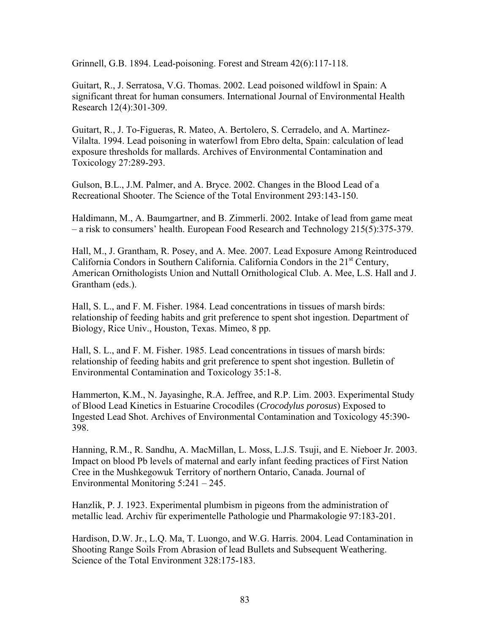Grinnell, G.B. 1894. Lead-poisoning. Forest and Stream 42(6):117-118.

Guitart, R., J. Serratosa, V.G. Thomas. 2002. Lead poisoned wildfowl in Spain: A significant threat for human consumers. International Journal of Environmental Health Research 12(4):301-309.

Guitart, R., J. To-Figueras, R. Mateo, A. Bertolero, S. Cerradelo, and A. Martinez-Vilalta. 1994. Lead poisoning in waterfowl from Ebro delta, Spain: calculation of lead exposure thresholds for mallards. Archives of Environmental Contamination and Toxicology 27:289-293.

Gulson, B.L., J.M. Palmer, and A. Bryce. 2002. Changes in the Blood Lead of a Recreational Shooter. The Science of the Total Environment 293:143-150.

Haldimann, M., A. Baumgartner, and B. Zimmerli. 2002. Intake of lead from game meat – a risk to consumers' health. European Food Research and Technology 215(5):375-379.

Hall, M., J. Grantham, R. Posey, and A. Mee. 2007. Lead Exposure Among Reintroduced California Condors in Southern California. California Condors in the  $21<sup>st</sup>$  Century, American Ornithologists Union and Nuttall Ornithological Club. A. Mee, L.S. Hall and J. Grantham (eds.).

Hall, S. L., and F. M. Fisher. 1984. Lead concentrations in tissues of marsh birds: relationship of feeding habits and grit preference to spent shot ingestion. Department of Biology, Rice Univ., Houston, Texas. Mimeo, 8 pp.

Hall, S. L., and F. M. Fisher. 1985. Lead concentrations in tissues of marsh birds: relationship of feeding habits and grit preference to spent shot ingestion. Bulletin of Environmental Contamination and Toxicology 35:1-8.

Hammerton, K.M., N. Jayasinghe, R.A. Jeffree, and R.P. Lim. 2003. Experimental Study of Blood Lead Kinetics in Estuarine Crocodiles (*Crocodylus porosus*) Exposed to Ingested Lead Shot. Archives of Environmental Contamination and Toxicology 45:390- 398.

Hanning, R.M., R. Sandhu, A. MacMillan, L. Moss, L.J.S. Tsuji, and E. Nieboer Jr. 2003. Impact on blood Pb levels of maternal and early infant feeding practices of First Nation Cree in the Mushkegowuk Territory of northern Ontario, Canada. Journal of Environmental Monitoring 5:241 – 245.

Hanzlik, P. J. 1923. Experimental plumbism in pigeons from the administration of metallic lead. Archiv für experimentelle Pathologie und Pharmakologie 97:183-201.

Hardison, D.W. Jr., L.Q. Ma, T. Luongo, and W.G. Harris. 2004. Lead Contamination in Shooting Range Soils From Abrasion of lead Bullets and Subsequent Weathering. Science of the Total Environment 328:175-183.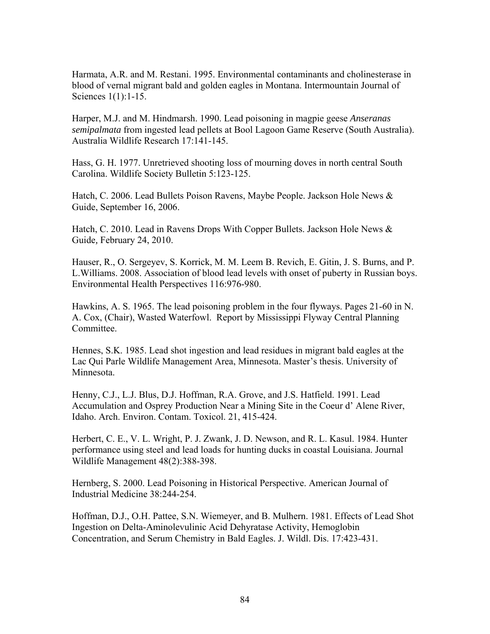Harmata, A.R. and M. Restani. 1995. Environmental contaminants and cholinesterase in blood of vernal migrant bald and golden eagles in Montana. Intermountain Journal of Sciences 1(1):1-15.

Harper, M.J. and M. Hindmarsh. 1990. Lead poisoning in magpie geese *Anseranas semipalmata* from ingested lead pellets at Bool Lagoon Game Reserve (South Australia). Australia Wildlife Research 17:141-145.

Hass, G. H. 1977. Unretrieved shooting loss of mourning doves in north central South Carolina. Wildlife Society Bulletin 5:123-125.

Hatch, C. 2006. Lead Bullets Poison Ravens, Maybe People. Jackson Hole News & Guide, September 16, 2006.

Hatch, C. 2010. Lead in Ravens Drops With Copper Bullets. Jackson Hole News & Guide*,* February 24, 2010.

Hauser, R., O. Sergeyev, S. Korrick, M. M. Leem B. Revich, E. Gitin, J. S. Burns, and P. L.Williams. 2008. Association of blood lead levels with onset of puberty in Russian boys. Environmental Health Perspectives 116:976-980.

Hawkins, A. S. 1965. The lead poisoning problem in the four flyways. Pages 21-60 in N. A. Cox, (Chair), Wasted Waterfowl. Report by Mississippi Flyway Central Planning Committee.

Hennes, S.K. 1985. Lead shot ingestion and lead residues in migrant bald eagles at the Lac Qui Parle Wildlife Management Area, Minnesota. Master's thesis. University of Minnesota.

Henny, C.J., L.J. Blus, D.J. Hoffman, R.A. Grove, and J.S. Hatfield. 1991. Lead Accumulation and Osprey Production Near a Mining Site in the Coeur d' Alene River, Idaho. Arch. Environ. Contam. Toxicol. 21, 415-424.

Herbert, C. E., V. L. Wright, P. J. Zwank, J. D. Newson, and R. L. Kasul. 1984. Hunter performance using steel and lead loads for hunting ducks in coastal Louisiana. Journal Wildlife Management 48(2):388-398.

Hernberg, S. 2000. Lead Poisoning in Historical Perspective. American Journal of Industrial Medicine 38:244-254.

Hoffman, D.J., O.H. Pattee, S.N. Wiemeyer, and B. Mulhern. 1981. Effects of Lead Shot Ingestion on Delta-Aminolevulinic Acid Dehyratase Activity, Hemoglobin Concentration, and Serum Chemistry in Bald Eagles. J. Wildl. Dis. 17:423-431.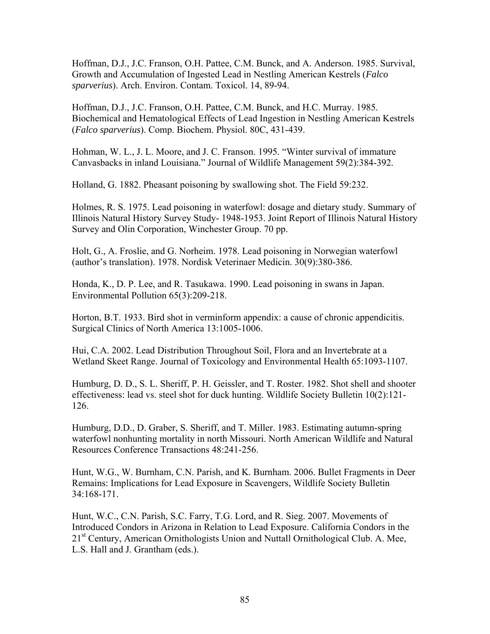Hoffman, D.J., J.C. Franson, O.H. Pattee, C.M. Bunck, and A. Anderson. 1985. Survival, Growth and Accumulation of Ingested Lead in Nestling American Kestrels (*Falco sparverius*). Arch. Environ. Contam. Toxicol. 14, 89-94.

Hoffman, D.J., J.C. Franson, O.H. Pattee, C.M. Bunck, and H.C. Murray. 1985. Biochemical and Hematological Effects of Lead Ingestion in Nestling American Kestrels (*Falco sparverius*). Comp. Biochem. Physiol. 80C, 431-439.

Hohman, W. L., J. L. Moore, and J. C. Franson. 1995. "Winter survival of immature Canvasbacks in inland Louisiana." Journal of Wildlife Management 59(2):384-392.

Holland, G. 1882. Pheasant poisoning by swallowing shot. The Field 59:232.

Holmes, R. S. 1975. Lead poisoning in waterfowl: dosage and dietary study. Summary of Illinois Natural History Survey Study- 1948-1953. Joint Report of Illinois Natural History Survey and Olin Corporation, Winchester Group. 70 pp.

Holt, G., A. Froslie, and G. Norheim. 1978. Lead poisoning in Norwegian waterfowl (author's translation). 1978. Nordisk Veterinaer Medicin. 30(9):380-386.

Honda, K., D. P. Lee, and R. Tasukawa. 1990. Lead poisoning in swans in Japan. Environmental Pollution 65(3):209-218.

Horton, B.T. 1933. Bird shot in verminform appendix: a cause of chronic appendicitis. Surgical Clinics of North America 13:1005-1006.

Hui, C.A. 2002. Lead Distribution Throughout Soil, Flora and an Invertebrate at a Wetland Skeet Range. Journal of Toxicology and Environmental Health 65:1093-1107.

Humburg, D. D., S. L. Sheriff, P. H. Geissler, and T. Roster. 1982. Shot shell and shooter effectiveness: lead vs. steel shot for duck hunting. Wildlife Society Bulletin 10(2):121- 126.

Humburg, D.D., D. Graber, S. Sheriff, and T. Miller. 1983. Estimating autumn-spring waterfowl nonhunting mortality in north Missouri. North American Wildlife and Natural Resources Conference Transactions 48:241-256.

Hunt, W.G., W. Burnham, C.N. Parish, and K. Burnham. 2006. Bullet Fragments in Deer Remains: Implications for Lead Exposure in Scavengers, Wildlife Society Bulletin 34:168-171.

Hunt, W.C., C.N. Parish, S.C. Farry, T.G. Lord, and R. Sieg. 2007. Movements of Introduced Condors in Arizona in Relation to Lead Exposure. California Condors in the 21<sup>st</sup> Century, American Ornithologists Union and Nuttall Ornithological Club. A. Mee, L.S. Hall and J. Grantham (eds.).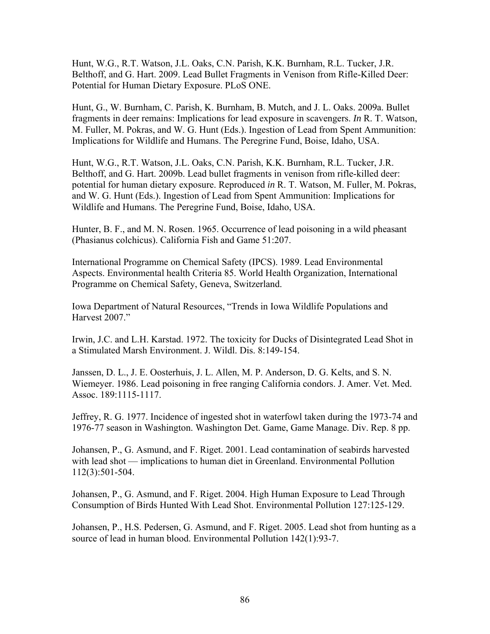Hunt, W.G., R.T. Watson, J.L. Oaks, C.N. Parish, K.K. Burnham, R.L. Tucker, J.R. Belthoff, and G. Hart. 2009. Lead Bullet Fragments in Venison from Rifle-Killed Deer: Potential for Human Dietary Exposure. PLoS ONE.

Hunt, G., W. Burnham, C. Parish, K. Burnham, B. Mutch, and J. L. Oaks. 2009a. Bullet fragments in deer remains: Implications for lead exposure in scavengers. *In* R. T. Watson, M. Fuller, M. Pokras, and W. G. Hunt (Eds.). Ingestion of Lead from Spent Ammunition: Implications for Wildlife and Humans. The Peregrine Fund, Boise, Idaho, USA.

Hunt, W.G., R.T. Watson, J.L. Oaks, C.N. Parish, K.K. Burnham, R.L. Tucker, J.R. Belthoff, and G. Hart. 2009b. Lead bullet fragments in venison from rifle-killed deer: potential for human dietary exposure. Reproduced *in* R. T. Watson, M. Fuller, M. Pokras, and W. G. Hunt (Eds.). Ingestion of Lead from Spent Ammunition: Implications for Wildlife and Humans. The Peregrine Fund, Boise, Idaho, USA.

Hunter, B. F., and M. N. Rosen. 1965. Occurrence of lead poisoning in a wild pheasant (Phasianus colchicus). California Fish and Game 51:207.

International Programme on Chemical Safety (IPCS). 1989. Lead Environmental Aspects. Environmental health Criteria 85. World Health Organization, International Programme on Chemical Safety, Geneva, Switzerland.

Iowa Department of Natural Resources, "Trends in Iowa Wildlife Populations and Harvest 2007."

Irwin, J.C. and L.H. Karstad. 1972. The toxicity for Ducks of Disintegrated Lead Shot in a Stimulated Marsh Environment. J. Wildl. Dis. 8:149-154.

Janssen, D. L., J. E. Oosterhuis, J. L. Allen, M. P. Anderson, D. G. Kelts, and S. N. Wiemeyer. 1986. Lead poisoning in free ranging California condors. J. Amer. Vet. Med. Assoc. 189:1115-1117.

Jeffrey, R. G. 1977. Incidence of ingested shot in waterfowl taken during the 1973-74 and 1976-77 season in Washington. Washington Det. Game, Game Manage. Div. Rep. 8 pp.

Johansen, P., G. Asmund, and F. Riget. 2001. Lead contamination of seabirds harvested with lead shot — implications to human diet in Greenland. Environmental Pollution 112(3):501-504.

Johansen, P., G. Asmund, and F. Riget. 2004. High Human Exposure to Lead Through Consumption of Birds Hunted With Lead Shot. Environmental Pollution 127:125-129.

Johansen, P., H.S. Pedersen, G. Asmund, and F. Riget. 2005. Lead shot from hunting as a source of lead in human blood. Environmental Pollution 142(1):93-7.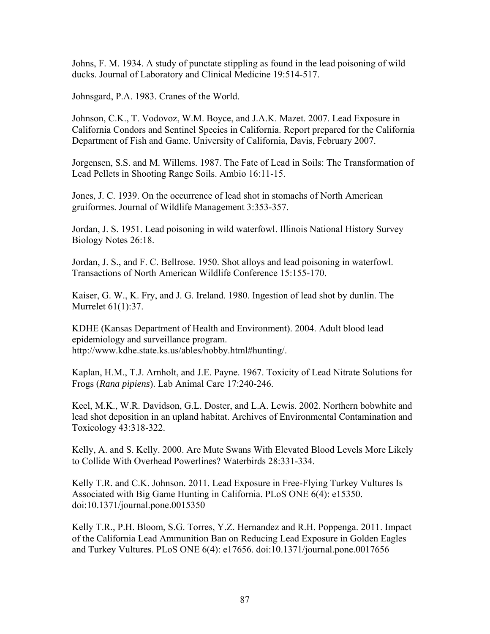Johns, F. M. 1934. A study of punctate stippling as found in the lead poisoning of wild ducks. Journal of Laboratory and Clinical Medicine 19:514-517.

Johnsgard, P.A. 1983. Cranes of the World.

Johnson, C.K., T. Vodovoz, W.M. Boyce, and J.A.K. Mazet. 2007. Lead Exposure in California Condors and Sentinel Species in California. Report prepared for the California Department of Fish and Game. University of California, Davis, February 2007.

Jorgensen, S.S. and M. Willems. 1987. The Fate of Lead in Soils: The Transformation of Lead Pellets in Shooting Range Soils. Ambio 16:11-15.

Jones, J. C. 1939. On the occurrence of lead shot in stomachs of North American gruiformes. Journal of Wildlife Management 3:353-357.

Jordan, J. S. 1951. Lead poisoning in wild waterfowl. Illinois National History Survey Biology Notes 26:18.

Jordan, J. S., and F. C. Bellrose. 1950. Shot alloys and lead poisoning in waterfowl. Transactions of North American Wildlife Conference 15:155-170.

Kaiser, G. W., K. Fry, and J. G. Ireland. 1980. Ingestion of lead shot by dunlin. The Murrelet 61(1):37.

KDHE (Kansas Department of Health and Environment). 2004. Adult blood lead epidemiology and surveillance program. http://www.kdhe.state.ks.us/ables/hobby.html#hunting/.

Kaplan, H.M., T.J. Arnholt, and J.E. Payne. 1967. Toxicity of Lead Nitrate Solutions for Frogs (*Rana pipiens*). Lab Animal Care 17:240-246.

Keel, M.K., W.R. Davidson, G.L. Doster, and L.A. Lewis. 2002. Northern bobwhite and lead shot deposition in an upland habitat. Archives of Environmental Contamination and Toxicology 43:318-322.

Kelly, A. and S. Kelly. 2000. Are Mute Swans With Elevated Blood Levels More Likely to Collide With Overhead Powerlines? Waterbirds 28:331-334.

Kelly T.R. and C.K. Johnson. 2011. Lead Exposure in Free-Flying Turkey Vultures Is Associated with Big Game Hunting in California. PLoS ONE 6(4): e15350. doi:10.1371/journal.pone.0015350

Kelly T.R., P.H. Bloom, S.G. Torres, Y.Z. Hernandez and R.H. Poppenga. 2011. Impact of the California Lead Ammunition Ban on Reducing Lead Exposure in Golden Eagles and Turkey Vultures. PLoS ONE 6(4): e17656. doi:10.1371/journal.pone.0017656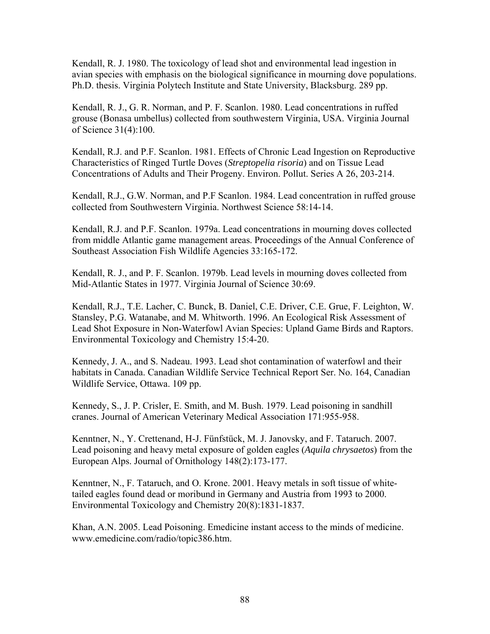Kendall, R. J. 1980. The toxicology of lead shot and environmental lead ingestion in avian species with emphasis on the biological significance in mourning dove populations. Ph.D. thesis. Virginia Polytech Institute and State University, Blacksburg. 289 pp.

Kendall, R. J., G. R. Norman, and P. F. Scanlon. 1980. Lead concentrations in ruffed grouse (Bonasa umbellus) collected from southwestern Virginia, USA. Virginia Journal of Science 31(4):100.

Kendall, R.J. and P.F. Scanlon. 1981. Effects of Chronic Lead Ingestion on Reproductive Characteristics of Ringed Turtle Doves (*Streptopelia risoria*) and on Tissue Lead Concentrations of Adults and Their Progeny. Environ. Pollut. Series A 26, 203-214.

Kendall, R.J., G.W. Norman, and P.F Scanlon. 1984. Lead concentration in ruffed grouse collected from Southwestern Virginia. Northwest Science 58:14-14.

Kendall, R.J. and P.F. Scanlon. 1979a. Lead concentrations in mourning doves collected from middle Atlantic game management areas. Proceedings of the Annual Conference of Southeast Association Fish Wildlife Agencies 33:165-172.

Kendall, R. J., and P. F. Scanlon. 1979b. Lead levels in mourning doves collected from Mid-Atlantic States in 1977. Virginia Journal of Science 30:69.

Kendall, R.J., T.E. Lacher, C. Bunck, B. Daniel, C.E. Driver, C.E. Grue, F. Leighton, W. Stansley, P.G. Watanabe, and M. Whitworth. 1996. An Ecological Risk Assessment of Lead Shot Exposure in Non-Waterfowl Avian Species: Upland Game Birds and Raptors. Environmental Toxicology and Chemistry 15:4-20.

Kennedy, J. A., and S. Nadeau. 1993. Lead shot contamination of waterfowl and their habitats in Canada. Canadian Wildlife Service Technical Report Ser. No. 164, Canadian Wildlife Service, Ottawa. 109 pp.

Kennedy, S., J. P. Crisler, E. Smith, and M. Bush. 1979. Lead poisoning in sandhill cranes. Journal of American Veterinary Medical Association 171:955-958.

Kenntner, N., Y. Crettenand, H-J. Fünfstück, M. J. Janovsky, and F. Tataruch. 2007. Lead poisoning and heavy metal exposure of golden eagles (*Aquila chrysaetos*) from the European Alps. Journal of Ornithology 148(2):173-177.

Kenntner, N., F. Tataruch, and O. Krone. 2001. Heavy metals in soft tissue of whitetailed eagles found dead or moribund in Germany and Austria from 1993 to 2000. Environmental Toxicology and Chemistry 20(8):1831-1837.

Khan, A.N. 2005. Lead Poisoning. Emedicine instant access to the minds of medicine. www.emedicine.com/radio/topic386.htm.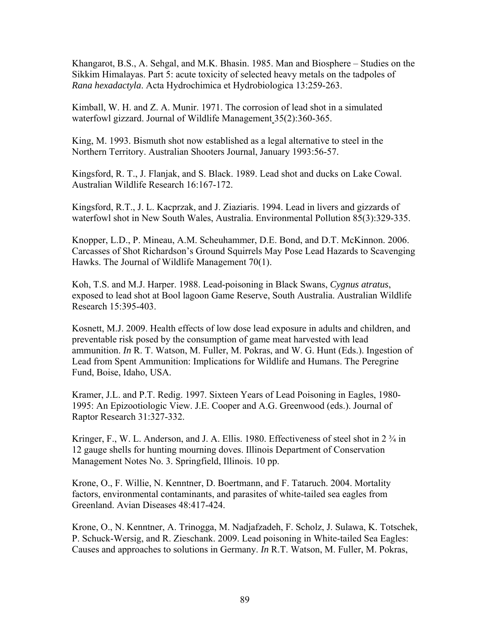Khangarot, B.S., A. Sehgal, and M.K. Bhasin. 1985. Man and Biosphere – Studies on the Sikkim Himalayas. Part 5: acute toxicity of selected heavy metals on the tadpoles of *Rana hexadactyla*. Acta Hydrochimica et Hydrobiologica 13:259-263.

Kimball, W. H. and Z. A. Munir. 1971. The corrosion of lead shot in a simulated waterfowl gizzard. Journal of Wildlife Management 35(2):360-365.

King, M. 1993. Bismuth shot now established as a legal alternative to steel in the Northern Territory. Australian Shooters Journal, January 1993:56-57.

Kingsford, R. T., J. Flanjak, and S. Black. 1989. Lead shot and ducks on Lake Cowal. Australian Wildlife Research 16:167-172.

Kingsford, R.T., J. L. Kacprzak, and J. Ziaziaris. 1994. Lead in livers and gizzards of waterfowl shot in New South Wales, Australia. Environmental Pollution 85(3):329-335.

Knopper, L.D., P. Mineau, A.M. Scheuhammer, D.E. Bond, and D.T. McKinnon. 2006. Carcasses of Shot Richardson's Ground Squirrels May Pose Lead Hazards to Scavenging Hawks. The Journal of Wildlife Management 70(1).

Koh, T.S. and M.J. Harper. 1988. Lead-poisoning in Black Swans, *Cygnus atratus*, exposed to lead shot at Bool lagoon Game Reserve, South Australia. Australian Wildlife Research 15:395-403.

Kosnett, M.J. 2009. Health effects of low dose lead exposure in adults and children, and preventable risk posed by the consumption of game meat harvested with lead ammunition. *In* R. T. Watson, M. Fuller, M. Pokras, and W. G. Hunt (Eds.). Ingestion of Lead from Spent Ammunition: Implications for Wildlife and Humans. The Peregrine Fund, Boise, Idaho, USA.

Kramer, J.L. and P.T. Redig. 1997. Sixteen Years of Lead Poisoning in Eagles, 1980- 1995: An Epizootiologic View. J.E. Cooper and A.G. Greenwood (eds.). Journal of Raptor Research 31:327-332.

Kringer, F., W. L. Anderson, and J. A. Ellis. 1980. Effectiveness of steel shot in 2  $\frac{3}{4}$  in 12 gauge shells for hunting mourning doves. Illinois Department of Conservation Management Notes No. 3. Springfield, Illinois. 10 pp.

Krone, O., F. Willie, N. Kenntner, D. Boertmann, and F. Tataruch. 2004. Mortality factors, environmental contaminants, and parasites of white-tailed sea eagles from Greenland. Avian Diseases 48:417-424.

Krone, O., N. Kenntner, A. Trinogga, M. Nadjafzadeh, F. Scholz, J. Sulawa, K. Totschek, P. Schuck-Wersig, and R. Zieschank. 2009. Lead poisoning in White-tailed Sea Eagles: Causes and approaches to solutions in Germany. *In* R.T. Watson, M. Fuller, M. Pokras,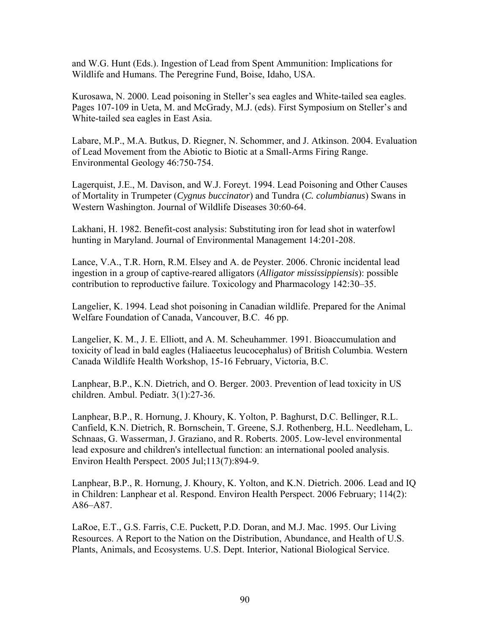and W.G. Hunt (Eds.). Ingestion of Lead from Spent Ammunition: Implications for Wildlife and Humans. The Peregrine Fund, Boise, Idaho, USA.

Kurosawa, N. 2000. Lead poisoning in Steller's sea eagles and White-tailed sea eagles. Pages 107-109 in Ueta, M. and McGrady, M.J. (eds). First Symposium on Steller's and White-tailed sea eagles in East Asia.

Labare, M.P., M.A. Butkus, D. Riegner, N. Schommer, and J. Atkinson. 2004. Evaluation of Lead Movement from the Abiotic to Biotic at a Small-Arms Firing Range. Environmental Geology 46:750-754.

Lagerquist, J.E., M. Davison, and W.J. Foreyt. 1994. Lead Poisoning and Other Causes of Mortality in Trumpeter (*Cygnus buccinator*) and Tundra (*C. columbianus*) Swans in Western Washington. Journal of Wildlife Diseases 30:60-64.

Lakhani, H. 1982. Benefit-cost analysis: Substituting iron for lead shot in waterfowl hunting in Maryland. Journal of Environmental Management 14:201-208.

Lance, V.A., T.R. Horn, R.M. Elsey and A. de Peyster. 2006. Chronic incidental lead ingestion in a group of captive-reared alligators (*Alligator mississippiensis*): possible contribution to reproductive failure. Toxicology and Pharmacology 142:30–35.

Langelier, K. 1994. Lead shot poisoning in Canadian wildlife. Prepared for the Animal Welfare Foundation of Canada, Vancouver, B.C. 46 pp.

Langelier, K. M., J. E. Elliott, and A. M. Scheuhammer. 1991. Bioaccumulation and toxicity of lead in bald eagles (Haliaeetus leucocephalus) of British Columbia. Western Canada Wildlife Health Workshop, 15-16 February, Victoria, B.C.

Lanphear, B.P., K.N. Dietrich, and O. Berger. 2003. Prevention of lead toxicity in US children. Ambul. Pediatr*.* 3(1):27-36.

Lanphear, B.P., R. Hornung, J. Khoury, K. Yolton, P. Baghurst, D.C. Bellinger, R.L. Canfield, K.N. Dietrich, R. Bornschein, T. Greene, S.J. Rothenberg, H.L. Needleham, L. Schnaas, G. Wasserman, J. Graziano, and R. Roberts. 2005. Low-level environmental lead exposure and children's intellectual function: an international pooled analysis. Environ Health Perspect. 2005 Jul;113(7):894-9.

Lanphear, B.P., R. Hornung, J. Khoury, K. Yolton, and K.N. Dietrich. 2006. Lead and IQ in Children: Lanphear et al. Respond. Environ Health Perspect. 2006 February; 114(2): A86–A87.

LaRoe, E.T., G.S. Farris, C.E. Puckett, P.D. Doran, and M.J. Mac. 1995. Our Living Resources. A Report to the Nation on the Distribution, Abundance, and Health of U.S. Plants, Animals, and Ecosystems. U.S. Dept. Interior, National Biological Service.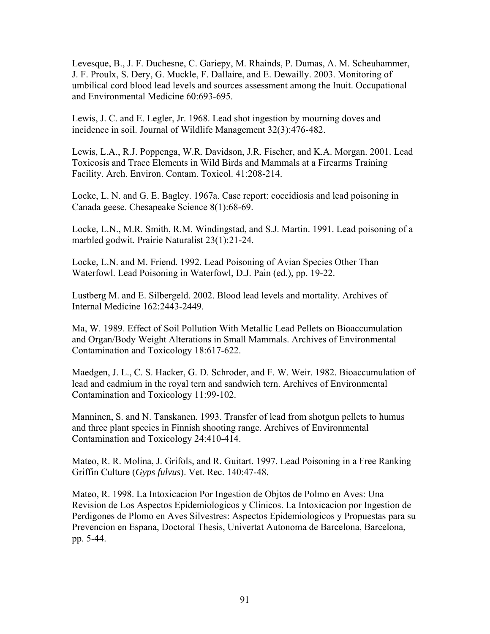Levesque, B., J. F. Duchesne, C. Gariepy, M. Rhainds, P. Dumas, A. M. Scheuhammer, J. F. Proulx, S. Dery, G. Muckle, F. Dallaire, and E. Dewailly. 2003. Monitoring of umbilical cord blood lead levels and sources assessment among the Inuit. Occupational and Environmental Medicine 60:693-695.

Lewis, J. C. and E. Legler, Jr. 1968. Lead shot ingestion by mourning doves and incidence in soil. Journal of Wildlife Management 32(3):476-482.

Lewis, L.A., R.J. Poppenga, W.R. Davidson, J.R. Fischer, and K.A. Morgan. 2001. Lead Toxicosis and Trace Elements in Wild Birds and Mammals at a Firearms Training Facility. Arch. Environ. Contam. Toxicol. 41:208-214.

Locke, L. N. and G. E. Bagley. 1967a. Case report: coccidiosis and lead poisoning in Canada geese. Chesapeake Science 8(1):68-69.

Locke, L.N., M.R. Smith, R.M. Windingstad, and S.J. Martin. 1991. Lead poisoning of a marbled godwit. Prairie Naturalist 23(1):21-24.

Locke, L.N. and M. Friend. 1992. Lead Poisoning of Avian Species Other Than Waterfowl. Lead Poisoning in Waterfowl, D.J. Pain (ed.), pp. 19-22.

Lustberg M. and E. Silbergeld. 2002. Blood lead levels and mortality. Archives of Internal Medicine 162:2443-2449.

Ma, W. 1989. Effect of Soil Pollution With Metallic Lead Pellets on Bioaccumulation and Organ/Body Weight Alterations in Small Mammals. Archives of Environmental Contamination and Toxicology 18:617-622.

Maedgen, J. L., C. S. Hacker, G. D. Schroder, and F. W. Weir. 1982. Bioaccumulation of lead and cadmium in the royal tern and sandwich tern. Archives of Environmental Contamination and Toxicology 11:99-102.

Manninen, S. and N. Tanskanen. 1993. Transfer of lead from shotgun pellets to humus and three plant species in Finnish shooting range. Archives of Environmental Contamination and Toxicology 24:410-414.

Mateo, R. R. Molina, J. Grifols, and R. Guitart. 1997. Lead Poisoning in a Free Ranking Griffin Culture (*Gyps fulvus*). Vet. Rec. 140:47-48.

Mateo, R. 1998. La Intoxicacion Por Ingestion de Objtos de Polmo en Aves: Una Revision de Los Aspectos Epidemiologicos y Clinicos. La Intoxicacion por Ingestion de Perdigones de Plomo en Aves Silvestres: Aspectos Epidemiologicos y Propuestas para su Prevencion en Espana, Doctoral Thesis, Univertat Autonoma de Barcelona, Barcelona, pp. 5-44.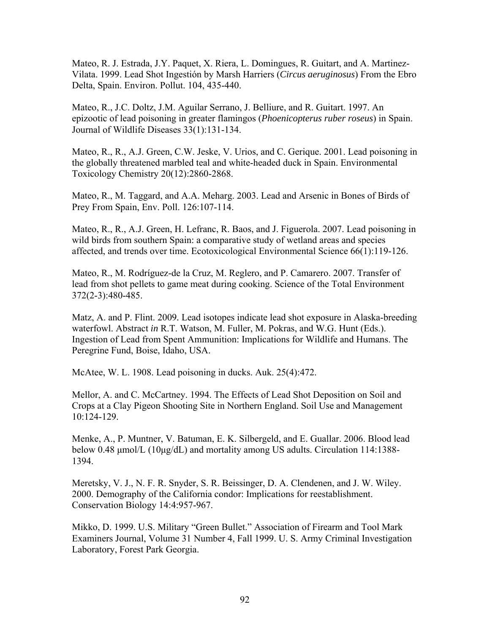Mateo, R. J. Estrada, J.Y. Paquet, X. Riera, L. Domingues, R. Guitart, and A. Martinez-Vilata. 1999. Lead Shot Ingestión by Marsh Harriers (*Circus aeruginosus*) From the Ebro Delta, Spain. Environ. Pollut. 104, 435-440.

Mateo, R., J.C. Doltz, J.M. Aguilar Serrano, J. Belliure, and R. Guitart. 1997. An epizootic of lead poisoning in greater flamingos (*Phoenicopterus ruber roseus*) in Spain. Journal of Wildlife Diseases 33(1):131-134.

Mateo, R., R., A.J. Green, C.W. Jeske, V. Urios, and C. Gerique. 2001. Lead poisoning in the globally threatened marbled teal and white-headed duck in Spain. Environmental Toxicology Chemistry 20(12):2860-2868.

Mateo, R., M. Taggard, and A.A. Meharg. 2003. Lead and Arsenic in Bones of Birds of Prey From Spain, Env. Poll. 126:107-114.

Mateo, R., R., A.J. Green, H. Lefranc, R. Baos, and J. Figuerola. 2007. Lead poisoning in wild birds from southern Spain: a comparative study of wetland areas and species affected, and trends over time. Ecotoxicological Environmental Science 66(1):119-126.

Mateo, R., M. Rodríguez-de la Cruz, M. Reglero, and P. Camarero. 2007. Transfer of lead from shot pellets to game meat during cooking. Science of the Total Environment 372(2-3):480-485.

Matz, A. and P. Flint. 2009*.* Lead isotopes indicate lead shot exposure in Alaska-breeding waterfowl. Abstract *in* R.T. Watson, M. Fuller, M. Pokras, and W.G. Hunt (Eds.). Ingestion of Lead from Spent Ammunition: Implications for Wildlife and Humans. The Peregrine Fund, Boise, Idaho, USA.

McAtee, W. L. 1908. Lead poisoning in ducks. Auk. 25(4):472.

Mellor, A. and C. McCartney. 1994. The Effects of Lead Shot Deposition on Soil and Crops at a Clay Pigeon Shooting Site in Northern England. Soil Use and Management 10:124-129.

Menke, A., P. Muntner, V. Batuman, E. K. Silbergeld, and E. Guallar. 2006. Blood lead below 0.48 μmol/L (10μg/dL) and mortality among US adults. Circulation 114:1388- 1394.

Meretsky, V. J., N. F. R. Snyder, S. R. Beissinger, D. A. Clendenen, and J. W. Wiley. 2000. Demography of the California condor: Implications for reestablishment. Conservation Biology 14:4:957-967.

Mikko, D. 1999. U.S. Military "Green Bullet." Association of Firearm and Tool Mark Examiners Journal, Volume 31 Number 4, Fall 1999. U. S. Army Criminal Investigation Laboratory, Forest Park Georgia.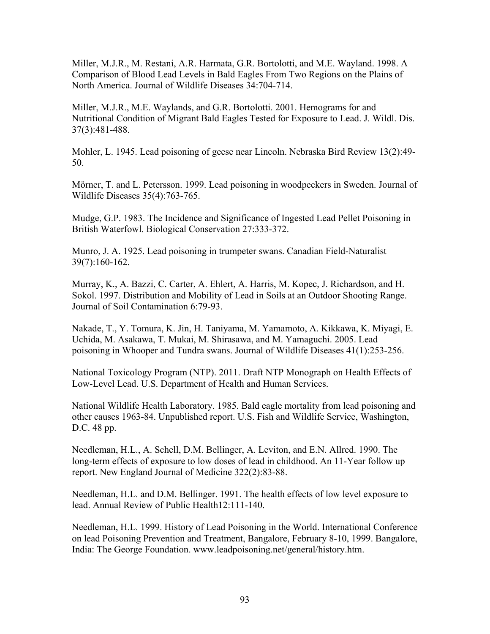Miller, M.J.R., M. Restani, A.R. Harmata, G.R. Bortolotti, and M.E. Wayland. 1998. A Comparison of Blood Lead Levels in Bald Eagles From Two Regions on the Plains of North America. Journal of Wildlife Diseases 34:704-714.

Miller, M.J.R., M.E. Waylands, and G.R. Bortolotti. 2001. Hemograms for and Nutritional Condition of Migrant Bald Eagles Tested for Exposure to Lead. J. Wildl. Dis. 37(3):481-488.

Mohler, L. 1945. Lead poisoning of geese near Lincoln. Nebraska Bird Review 13(2):49- 50.

Mörner, T. and L. Petersson. 1999. Lead poisoning in woodpeckers in Sweden. Journal of Wildlife Diseases 35(4):763-765.

Mudge, G.P. 1983. The Incidence and Significance of Ingested Lead Pellet Poisoning in British Waterfowl. Biological Conservation 27:333-372.

Munro, J. A. 1925. Lead poisoning in trumpeter swans. Canadian Field-Naturalist 39(7):160-162.

Murray, K., A. Bazzi, C. Carter, A. Ehlert, A. Harris, M. Kopec, J. Richardson, and H. Sokol. 1997. Distribution and Mobility of Lead in Soils at an Outdoor Shooting Range. Journal of Soil Contamination 6:79-93.

Nakade, T., Y. Tomura, K. Jin, H. Taniyama, M. Yamamoto, A. Kikkawa, K. Miyagi, E. Uchida, M. Asakawa, T. Mukai, M. Shirasawa, and M. Yamaguchi. 2005. Lead poisoning in Whooper and Tundra swans. Journal of Wildlife Diseases 41(1):253-256.

National Toxicology Program (NTP). 2011. Draft NTP Monograph on Health Effects of Low-Level Lead. U.S. Department of Health and Human Services.

National Wildlife Health Laboratory. 1985. Bald eagle mortality from lead poisoning and other causes 1963-84. Unpublished report. U.S. Fish and Wildlife Service, Washington, D.C. 48 pp.

Needleman, H.L., A. Schell, D.M. Bellinger, A. Leviton, and E.N. Allred. 1990. The long-term effects of exposure to low doses of lead in childhood. An 11-Year follow up report. New England Journal of Medicine 322(2):83-88.

Needleman, H.L. and D.M. Bellinger. 1991. The health effects of low level exposure to lead. Annual Review of Public Health12:111-140.

Needleman, H.L. 1999. History of Lead Poisoning in the World. International Conference on lead Poisoning Prevention and Treatment, Bangalore, February 8-10, 1999. Bangalore, India: The George Foundation. www.leadpoisoning.net/general/history.htm.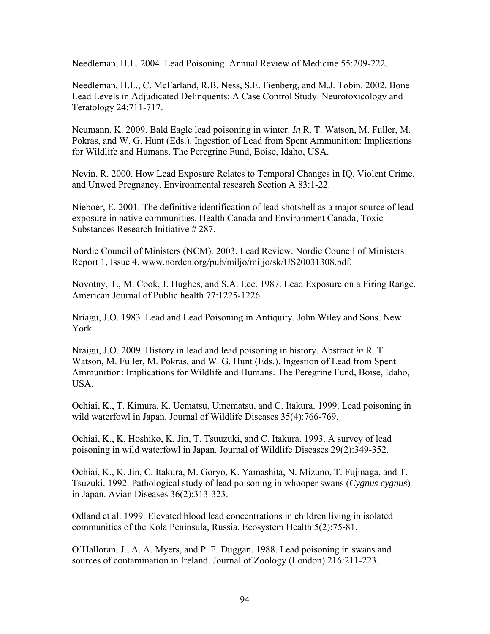Needleman, H.L. 2004. Lead Poisoning. Annual Review of Medicine 55:209-222.

Needleman, H.L., C. McFarland, R.B. Ness, S.E. Fienberg, and M.J. Tobin. 2002. Bone Lead Levels in Adjudicated Delinquents: A Case Control Study. Neurotoxicology and Teratology 24:711-717.

Neumann, K. 2009. Bald Eagle lead poisoning in winter. *In* R. T. Watson, M. Fuller, M. Pokras, and W. G. Hunt (Eds.). Ingestion of Lead from Spent Ammunition: Implications for Wildlife and Humans. The Peregrine Fund, Boise, Idaho, USA.

Nevin, R. 2000. How Lead Exposure Relates to Temporal Changes in IQ, Violent Crime, and Unwed Pregnancy. Environmental research Section A 83:1-22.

Nieboer, E. 2001. The definitive identification of lead shotshell as a major source of lead exposure in native communities. Health Canada and Environment Canada, Toxic Substances Research Initiative # 287.

Nordic Council of Ministers (NCM). 2003. Lead Review. Nordic Council of Ministers Report 1, Issue 4. www.norden.org/pub/miljo/miljo/sk/US20031308.pdf.

Novotny, T., M. Cook, J. Hughes, and S.A. Lee. 1987. Lead Exposure on a Firing Range. American Journal of Public health 77:1225-1226.

Nriagu, J.O. 1983. Lead and Lead Poisoning in Antiquity. John Wiley and Sons. New York.

Nraigu, J.O. 2009. History in lead and lead poisoning in history. Abstract *in* R. T. Watson, M. Fuller, M. Pokras, and W. G. Hunt (Eds.). Ingestion of Lead from Spent Ammunition: Implications for Wildlife and Humans. The Peregrine Fund, Boise, Idaho, USA.

Ochiai, K., T. Kimura, K. Uematsu, Umematsu, and C. Itakura. 1999. Lead poisoning in wild waterfowl in Japan. Journal of Wildlife Diseases 35(4):766-769.

Ochiai, K., K. Hoshiko, K. Jin, T. Tsuuzuki, and C. Itakura. 1993. A survey of lead poisoning in wild waterfowl in Japan. Journal of Wildlife Diseases 29(2):349-352.

Ochiai, K., K. Jin, C. Itakura, M. Goryo, K. Yamashita, N. Mizuno, T. Fujinaga, and T. Tsuzuki. 1992. Pathological study of lead poisoning in whooper swans (*Cygnus cygnus*) in Japan. Avian Diseases 36(2):313-323.

Odland et al. 1999. Elevated blood lead concentrations in children living in isolated communities of the Kola Peninsula, Russia. Ecosystem Health 5(2):75-81.

O'Halloran, J., A. A. Myers, and P. F. Duggan. 1988. Lead poisoning in swans and sources of contamination in Ireland. Journal of Zoology (London) 216:211-223.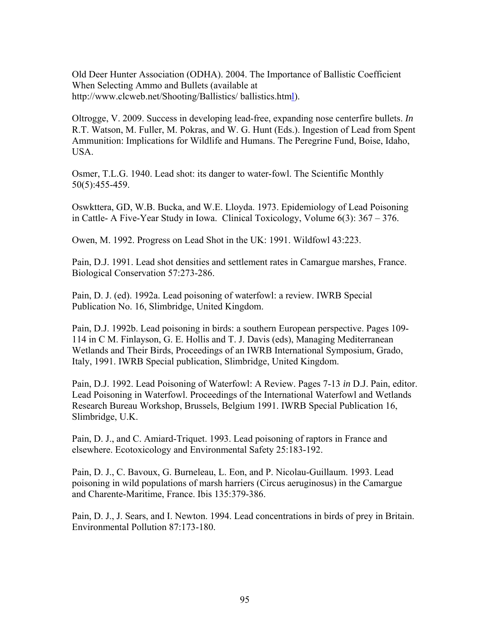Old Deer Hunter Association (ODHA). 2004. The Importance of Ballistic Coefficient When Selecting Ammo and Bullets (available at http://www.clcweb.net/Shooting/Ballistics/ ballistics.html.

Oltrogge, V. 2009. Success in developing lead-free, expanding nose centerfire bullets. *In*  R.T. Watson, M. Fuller, M. Pokras, and W. G. Hunt (Eds.). Ingestion of Lead from Spent Ammunition: Implications for Wildlife and Humans. The Peregrine Fund, Boise, Idaho, USA.

Osmer, T.L.G. 1940. Lead shot: its danger to water-fowl. The Scientific Monthly 50(5):455-459.

Oswkttera, GD, W.B. Bucka, and W.E. Lloyda. 1973. Epidemiology of Lead Poisoning in Cattle- A Five-Year Study in Iowa. Clinical Toxicology, Volume 6(3): 367 – 376.

Owen, M. 1992. Progress on Lead Shot in the UK: 1991. Wildfowl 43:223.

Pain, D.J. 1991. Lead shot densities and settlement rates in Camargue marshes, France. Biological Conservation 57:273-286.

Pain, D. J. (ed). 1992a. Lead poisoning of waterfowl: a review. IWRB Special Publication No. 16, Slimbridge, United Kingdom.

Pain, D.J. 1992b. Lead poisoning in birds: a southern European perspective. Pages 109- 114 in C M. Finlayson, G. E. Hollis and T. J. Davis (eds), Managing Mediterranean Wetlands and Their Birds, Proceedings of an IWRB International Symposium, Grado, Italy, 1991. IWRB Special publication, Slimbridge, United Kingdom.

Pain, D.J. 1992. Lead Poisoning of Waterfowl: A Review. Pages 7-13 *in* D.J. Pain, editor. Lead Poisoning in Waterfowl. Proceedings of the International Waterfowl and Wetlands Research Bureau Workshop, Brussels, Belgium 1991. IWRB Special Publication 16, Slimbridge, U.K.

Pain, D. J., and C. Amiard-Triquet. 1993. Lead poisoning of raptors in France and elsewhere. Ecotoxicology and Environmental Safety 25:183-192.

Pain, D. J., C. Bavoux, G. Burneleau, L. Eon, and P. Nicolau-Guillaum. 1993. Lead poisoning in wild populations of marsh harriers (Circus aeruginosus) in the Camargue and Charente-Maritime, France. Ibis 135:379-386.

Pain, D. J., J. Sears, and I. Newton. 1994. Lead concentrations in birds of prey in Britain. Environmental Pollution 87:173-180.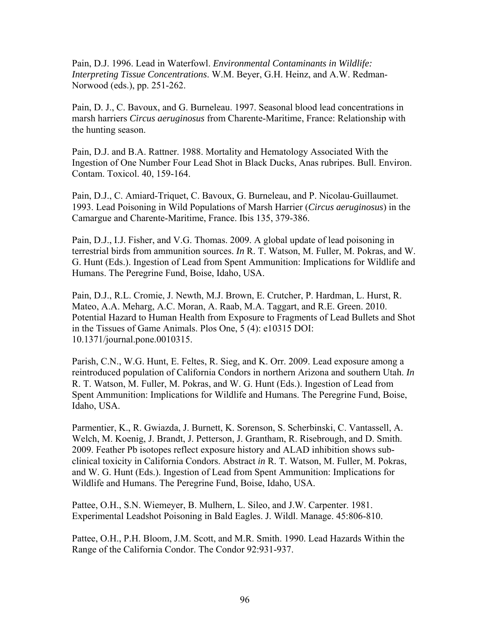Pain, D.J. 1996. Lead in Waterfowl. *Environmental Contaminants in Wildlife: Interpreting Tissue Concentrations*. W.M. Beyer, G.H. Heinz, and A.W. Redman-Norwood (eds.), pp. 251-262.

Pain, D. J., C. Bavoux, and G. Burneleau. 1997. Seasonal blood lead concentrations in marsh harriers *Circus aeruginosus* from Charente-Maritime, France: Relationship with the hunting season.

Pain, D.J. and B.A. Rattner. 1988. Mortality and Hematology Associated With the Ingestion of One Number Four Lead Shot in Black Ducks, Anas rubripes. Bull. Environ. Contam. Toxicol. 40, 159-164.

Pain, D.J., C. Amiard-Triquet, C. Bavoux, G. Burneleau, and P. Nicolau-Guillaumet. 1993. Lead Poisoning in Wild Populations of Marsh Harrier (*Circus aeruginosus*) in the Camargue and Charente-Maritime, France. Ibis 135, 379-386.

Pain, D.J., I.J. Fisher, and V.G. Thomas. 2009. A global update of lead poisoning in terrestrial birds from ammunition sources. *In* R. T. Watson, M. Fuller, M. Pokras, and W. G. Hunt (Eds.). Ingestion of Lead from Spent Ammunition: Implications for Wildlife and Humans. The Peregrine Fund, Boise, Idaho, USA.

Pain, D.J., R.L. Cromie, J. Newth, M.J. Brown, E. Crutcher, P. Hardman, L. Hurst, R. Mateo, A.A. Meharg, A.C. Moran, A. Raab, M.A. Taggart, and R.E. Green. 2010. Potential Hazard to Human Health from Exposure to Fragments of Lead Bullets and Shot in the Tissues of Game Animals. Plos One, 5 (4): e10315 DOI: 10.1371/journal.pone.0010315.

Parish, C.N., W.G. Hunt, E. Feltes, R. Sieg, and K. Orr. 2009. Lead exposure among a reintroduced population of California Condors in northern Arizona and southern Utah. *In*  R. T. Watson, M. Fuller, M. Pokras, and W. G. Hunt (Eds.). Ingestion of Lead from Spent Ammunition: Implications for Wildlife and Humans. The Peregrine Fund, Boise, Idaho, USA.

Parmentier, K., R. Gwiazda, J. Burnett, K. Sorenson, S. Scherbinski, C. Vantassell, A. Welch, M. Koenig, J. Brandt, J. Petterson, J. Grantham, R. Risebrough, and D. Smith. 2009. Feather Pb isotopes reflect exposure history and ALAD inhibition shows subclinical toxicity in California Condors. Abstract *in* R. T. Watson, M. Fuller, M. Pokras, and W. G. Hunt (Eds.). Ingestion of Lead from Spent Ammunition: Implications for Wildlife and Humans. The Peregrine Fund, Boise, Idaho, USA.

Pattee, O.H., S.N. Wiemeyer, B. Mulhern, L. Sileo, and J.W. Carpenter. 1981. Experimental Leadshot Poisoning in Bald Eagles. J. Wildl. Manage. 45:806-810.

Pattee, O.H., P.H. Bloom, J.M. Scott, and M.R. Smith. 1990. Lead Hazards Within the Range of the California Condor. The Condor 92:931-937.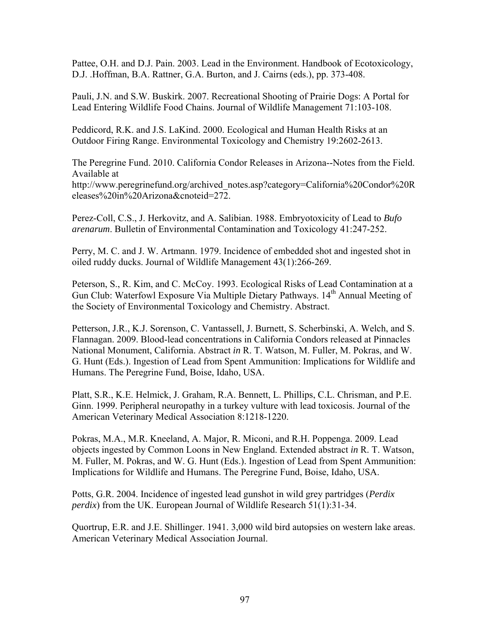Pattee, O.H. and D.J. Pain. 2003. Lead in the Environment. Handbook of Ecotoxicology, D.J. .Hoffman, B.A. Rattner, G.A. Burton, and J. Cairns (eds.), pp. 373-408.

Pauli, J.N. and S.W. Buskirk. 2007. Recreational Shooting of Prairie Dogs: A Portal for Lead Entering Wildlife Food Chains. Journal of Wildlife Management 71:103-108.

Peddicord, R.K. and J.S. LaKind. 2000. Ecological and Human Health Risks at an Outdoor Firing Range. Environmental Toxicology and Chemistry 19:2602-2613.

The Peregrine Fund. 2010. California Condor Releases in Arizona--Notes from the Field. Available at http://www.peregrinefund.org/archived\_notes.asp?category=California%20Condor%20R eleases%20in%20Arizona&cnoteid=272.

Perez-Coll, C.S., J. Herkovitz, and A. Salibian. 1988. Embryotoxicity of Lead to *Bufo arenarum*. Bulletin of Environmental Contamination and Toxicology 41:247-252.

Perry, M. C. and J. W. Artmann. 1979. Incidence of embedded shot and ingested shot in oiled ruddy ducks. Journal of Wildlife Management 43(1):266-269.

Peterson, S., R. Kim, and C. McCoy. 1993. Ecological Risks of Lead Contamination at a Gun Club: Waterfowl Exposure Via Multiple Dietary Pathways. 14<sup>th</sup> Annual Meeting of the Society of Environmental Toxicology and Chemistry. Abstract.

Petterson, J.R., K.J. Sorenson, C. Vantassell, J. Burnett, S. Scherbinski, A. Welch, and S. Flannagan. 2009. Blood-lead concentrations in California Condors released at Pinnacles National Monument, California. Abstract *in* R. T. Watson, M. Fuller, M. Pokras, and W. G. Hunt (Eds.). Ingestion of Lead from Spent Ammunition: Implications for Wildlife and Humans. The Peregrine Fund, Boise, Idaho, USA.

Platt, S.R., K.E. Helmick, J. Graham, R.A. Bennett, L. Phillips, C.L. Chrisman, and P.E. Ginn. 1999. Peripheral neuropathy in a turkey vulture with lead toxicosis. Journal of the American Veterinary Medical Association 8:1218-1220.

Pokras, M.A., M.R. Kneeland, A. Major, R. Miconi, and R.H. Poppenga. 2009. Lead objects ingested by Common Loons in New England. Extended abstract *in* R. T. Watson, M. Fuller, M. Pokras, and W. G. Hunt (Eds.). Ingestion of Lead from Spent Ammunition: Implications for Wildlife and Humans. The Peregrine Fund, Boise, Idaho, USA.

Potts, G.R. 2004. Incidence of ingested lead gunshot in wild grey partridges (*Perdix perdix*) from the UK. European Journal of Wildlife Research 51(1):31-34.

Quortrup, E.R. and J.E. Shillinger. 1941. 3,000 wild bird autopsies on western lake areas. American Veterinary Medical Association Journal.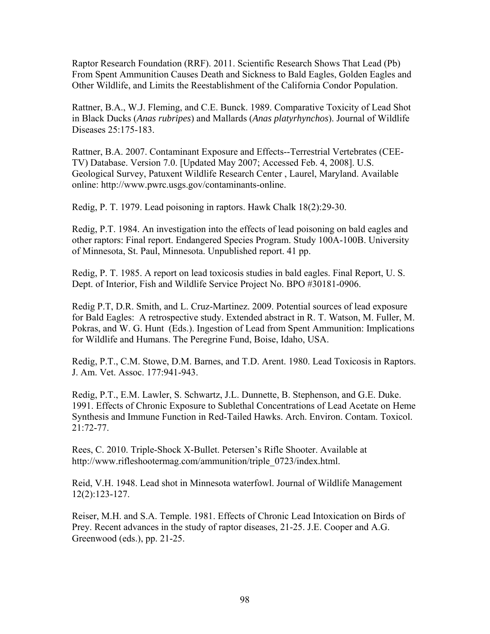Raptor Research Foundation (RRF). 2011. Scientific Research Shows That Lead (Pb) From Spent Ammunition Causes Death and Sickness to Bald Eagles, Golden Eagles and Other Wildlife, and Limits the Reestablishment of the California Condor Population.

Rattner, B.A., W.J. Fleming, and C.E. Bunck. 1989. Comparative Toxicity of Lead Shot in Black Ducks (*Anas rubripes*) and Mallards (*Anas platyrhynchos*). Journal of Wildlife Diseases 25:175-183.

Rattner, B.A. 2007. Contaminant Exposure and Effects--Terrestrial Vertebrates (CEE-TV) Database. Version 7.0. [Updated May 2007; Accessed Feb. 4, 2008]. U.S. Geological Survey, Patuxent Wildlife Research Center , Laurel, Maryland. Available online: http://www.pwrc.usgs.gov/contaminants-online.

Redig, P. T. 1979. Lead poisoning in raptors. Hawk Chalk 18(2):29-30.

Redig, P.T. 1984. An investigation into the effects of lead poisoning on bald eagles and other raptors: Final report. Endangered Species Program. Study 100A-100B. University of Minnesota, St. Paul, Minnesota. Unpublished report. 41 pp.

Redig, P. T. 1985. A report on lead toxicosis studies in bald eagles. Final Report, U. S. Dept. of Interior, Fish and Wildlife Service Project No. BPO #30181-0906.

Redig P.T, D.R. Smith, and L. Cruz-Martinez. 2009. Potential sources of lead exposure for Bald Eagles: A retrospective study. Extended abstract in R. T. Watson, M. Fuller, M. Pokras, and W. G. Hunt (Eds.). Ingestion of Lead from Spent Ammunition: Implications for Wildlife and Humans. The Peregrine Fund, Boise, Idaho, USA.

Redig, P.T., C.M. Stowe, D.M. Barnes, and T.D. Arent. 1980. Lead Toxicosis in Raptors. J. Am. Vet. Assoc. 177:941-943.

Redig, P.T., E.M. Lawler, S. Schwartz, J.L. Dunnette, B. Stephenson, and G.E. Duke. 1991. Effects of Chronic Exposure to Sublethal Concentrations of Lead Acetate on Heme Synthesis and Immune Function in Red-Tailed Hawks. Arch. Environ. Contam. Toxicol. 21:72-77.

Rees, C. 2010. Triple-Shock X-Bullet. Petersen's Rifle Shooter. Available at http://www.rifleshootermag.com/ammunition/triple\_0723/index.html.

Reid, V.H. 1948. Lead shot in Minnesota waterfowl. Journal of Wildlife Management 12(2):123-127.

Reiser, M.H. and S.A. Temple. 1981. Effects of Chronic Lead Intoxication on Birds of Prey. Recent advances in the study of raptor diseases, 21-25. J.E. Cooper and A.G. Greenwood (eds.), pp. 21-25.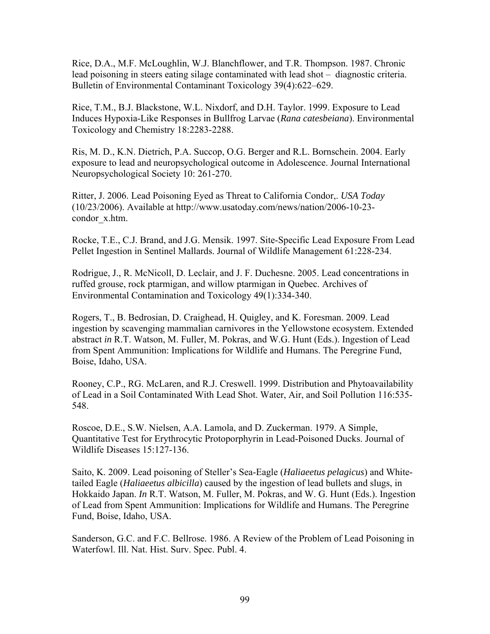Rice, D.A., M.F. McLoughlin, W.J. Blanchflower, and T.R. Thompson. 1987. Chronic lead poisoning in steers eating silage contaminated with lead shot – diagnostic criteria. Bulletin of Environmental Contaminant Toxicology 39(4):622–629.

Rice, T.M., B.J. Blackstone, W.L. Nixdorf, and D.H. Taylor. 1999. Exposure to Lead Induces Hypoxia-Like Responses in Bullfrog Larvae (*Rana catesbeiana*). Environmental Toxicology and Chemistry 18:2283-2288.

Ris, M. D., K.N. Dietrich, P.A. Succop, O.G. Berger and R.L. Bornschein. 2004. Early exposure to lead and neuropsychological outcome in Adolescence. Journal International Neuropsychological Society 10: 261-270.

Ritter, J. 2006. Lead Poisoning Eyed as Threat to California Condor,. *USA Today* (10/23/2006). Available at http://www.usatoday.com/news/nation/2006-10-23 condor\_x.htm.

Rocke, T.E., C.J. Brand, and J.G. Mensik. 1997. Site-Specific Lead Exposure From Lead Pellet Ingestion in Sentinel Mallards. Journal of Wildlife Management 61:228-234.

Rodrigue, J., R. McNicoll, D. Leclair, and J. F. Duchesne. 2005. Lead concentrations in ruffed grouse, rock ptarmigan, and willow ptarmigan in Quebec. Archives of Environmental Contamination and Toxicology 49(1):334-340.

Rogers, T., B. Bedrosian, D. Craighead, H. Quigley, and K. Foresman. 2009. Lead ingestion by scavenging mammalian carnivores in the Yellowstone ecosystem. Extended abstract *in* R.T. Watson, M. Fuller, M. Pokras, and W.G. Hunt (Eds.). Ingestion of Lead from Spent Ammunition: Implications for Wildlife and Humans. The Peregrine Fund, Boise, Idaho, USA.

Rooney, C.P., RG. McLaren, and R.J. Creswell. 1999. Distribution and Phytoavailability of Lead in a Soil Contaminated With Lead Shot. Water, Air, and Soil Pollution 116:535- 548.

Roscoe, D.E., S.W. Nielsen, A.A. Lamola, and D. Zuckerman. 1979. A Simple, Quantitative Test for Erythrocytic Protoporphyrin in Lead-Poisoned Ducks. Journal of Wildlife Diseases 15:127-136.

Saito, K. 2009. Lead poisoning of Steller's Sea-Eagle (*Haliaeetus pelagicus*) and Whitetailed Eagle (*Haliaeetus albicilla*) caused by the ingestion of lead bullets and slugs, in Hokkaido Japan. *In* R.T. Watson, M. Fuller, M. Pokras, and W. G. Hunt (Eds.). Ingestion of Lead from Spent Ammunition: Implications for Wildlife and Humans. The Peregrine Fund, Boise, Idaho, USA.

Sanderson, G.C. and F.C. Bellrose. 1986. A Review of the Problem of Lead Poisoning in Waterfowl. Ill. Nat. Hist. Surv. Spec. Publ. 4.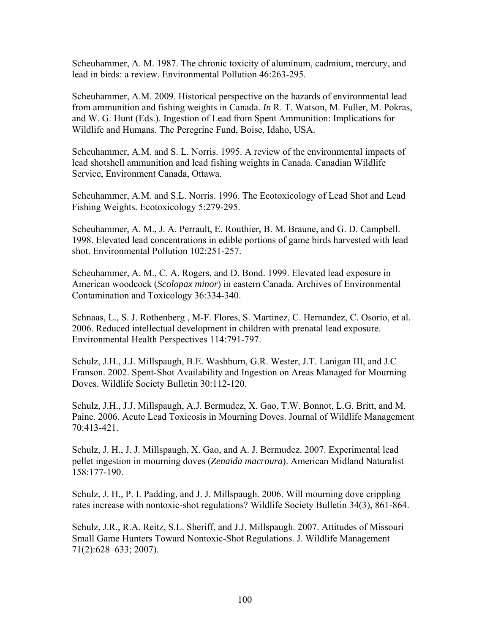Scheuhammer, A. M. 1987. The chronic toxicity of aluminum, cadmium, mercury, and lead in birds: a review. Environmental Pollution 46:263-295.

Scheuhammer, A.M. 2009. Historical perspective on the hazards of environmental lead from ammunition and fishing weights in Canada. *In* R. T. Watson, M. Fuller, M. Pokras, and W. G. Hunt (Eds.). Ingestion of Lead from Spent Ammunition: Implications for Wildlife and Humans. The Peregrine Fund, Boise, Idaho, USA.

Scheuhammer, A.M. and S. L. Norris. 1995. A review of the environmental impacts of lead shotshell ammunition and lead fishing weights in Canada. Canadian Wildlife Service, Environment Canada, Ottawa.

Scheuhammer, A.M. and S.L. Norris. 1996. The Ecotoxicology of Lead Shot and Lead Fishing Weights. Ecotoxicology 5:279-295.

Scheuhammer, A. M., J. A. Perrault, E. Routhier, B. M. Braune, and G. D. Campbell. 1998. Elevated lead concentrations in edible portions of game birds harvested with lead shot. Environmental Pollution 102:251-257.

Scheuhammer, A. M., C. A. Rogers, and D. Bond. 1999. Elevated lead exposure in American woodcock (*Scolopax minor*) in eastern Canada. Archives of Environmental Contamination and Toxicology 36:334-340.

Schnaas, L., S. J. Rothenberg , M-F. Flores, S. Martinez, C. Hernandez, C. Osorio, et al. 2006. Reduced intellectual development in children with prenatal lead exposure. Environmental Health Perspectives 114:791-797.

Schulz, J.H., J.J. Millspaugh, B.E. Washburn, G.R. Wester, J.T. Lanigan III, and J.C Franson. 2002. Spent-Shot Availability and Ingestion on Areas Managed for Mourning Doves. Wildlife Society Bulletin 30:112-120.

Schulz, J.H., J.J. Millspaugh, A.J. Bermudez, X. Gao, T.W. Bonnot, L.G. Britt, and M. Paine. 2006. Acute Lead Toxicosis in Mourning Doves. Journal of Wildlife Management 70:413-421.

Schulz, J. H., J. J. Millspaugh, X. Gao, and A. J. Bermudez. 2007. Experimental lead pellet ingestion in mourning doves (*Zenaida macroura*). American Midland Naturalist 158:177-190.

Schulz, J. H., P. I. Padding, and J. J. Millspaugh. 2006. Will mourning dove crippling rates increase with nontoxic-shot regulations? Wildlife Society Bulletin 34(3), 861-864.

Schulz, J.R., R.A. Reitz, S.L. Sheriff, and J.J. Millspaugh. 2007. Attitudes of Missouri Small Game Hunters Toward Nontoxic-Shot Regulations. J. Wildlife Management 71(2):628–633; 2007).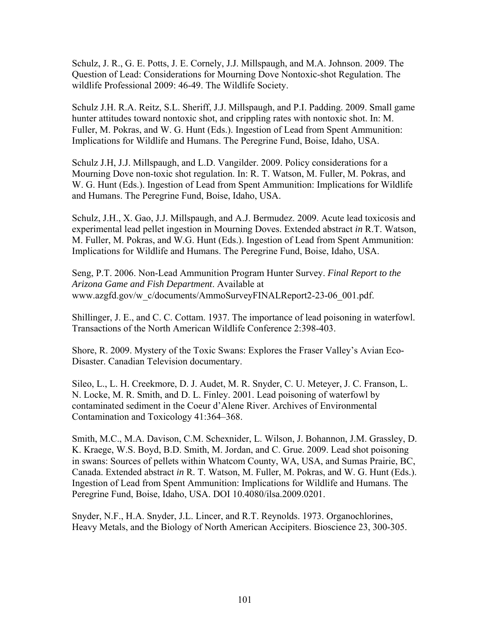Schulz, J. R., G. E. Potts, J. E. Cornely, J.J. Millspaugh, and M.A. Johnson. 2009. The Question of Lead: Considerations for Mourning Dove Nontoxic-shot Regulation. The wildlife Professional 2009: 46-49. The Wildlife Society.

Schulz J.H. R.A. Reitz, S.L. Sheriff, J.J. Millspaugh, and P.I. Padding. 2009. Small game hunter attitudes toward nontoxic shot, and crippling rates with nontoxic shot. In: M. Fuller, M. Pokras, and W. G. Hunt (Eds.). Ingestion of Lead from Spent Ammunition: Implications for Wildlife and Humans. The Peregrine Fund, Boise, Idaho, USA.

Schulz J.H, J.J. Millspaugh, and L.D. Vangilder. 2009. Policy considerations for a Mourning Dove non-toxic shot regulation. In: R. T. Watson, M. Fuller, M. Pokras, and W. G. Hunt (Eds.). Ingestion of Lead from Spent Ammunition: Implications for Wildlife and Humans. The Peregrine Fund, Boise, Idaho, USA.

Schulz, J.H., X. Gao, J.J. Millspaugh, and A.J. Bermudez. 2009. Acute lead toxicosis and experimental lead pellet ingestion in Mourning Doves. Extended abstract *in* R.T. Watson, M. Fuller, M. Pokras, and W.G. Hunt (Eds.). Ingestion of Lead from Spent Ammunition: Implications for Wildlife and Humans. The Peregrine Fund, Boise, Idaho, USA.

Seng, P.T. 2006. Non-Lead Ammunition Program Hunter Survey. *Final Report to the Arizona Game and Fish Department*. Available at www.azgfd.gov/w\_c/documents/AmmoSurveyFINALReport2-23-06\_001.pdf.

Shillinger, J. E., and C. C. Cottam. 1937. The importance of lead poisoning in waterfowl. Transactions of the North American Wildlife Conference 2:398-403.

Shore, R. 2009. Mystery of the Toxic Swans: Explores the Fraser Valley's Avian Eco-Disaster. Canadian Television documentary.

Sileo, L., L. H. Creekmore, D. J. Audet, M. R. Snyder, C. U. Meteyer, J. C. Franson, L. N. Locke, M. R. Smith, and D. L. Finley. 2001. Lead poisoning of waterfowl by contaminated sediment in the Coeur d'Alene River. Archives of Environmental Contamination and Toxicology 41:364–368.

Smith, M.C., M.A. Davison, C.M. Schexnider, L. Wilson, J. Bohannon, J.M. Grassley, D. K. Kraege, W.S. Boyd, B.D. Smith, M. Jordan, and C. Grue. 2009. Lead shot poisoning in swans: Sources of pellets within Whatcom County, WA, USA, and Sumas Prairie, BC, Canada. Extended abstract *in* R. T. Watson, M. Fuller, M. Pokras, and W. G. Hunt (Eds.). Ingestion of Lead from Spent Ammunition: Implications for Wildlife and Humans. The Peregrine Fund, Boise, Idaho, USA. DOI 10.4080/ilsa.2009.0201.

Snyder, N.F., H.A. Snyder, J.L. Lincer, and R.T. Reynolds. 1973. Organochlorines, Heavy Metals, and the Biology of North American Accipiters. Bioscience 23, 300-305.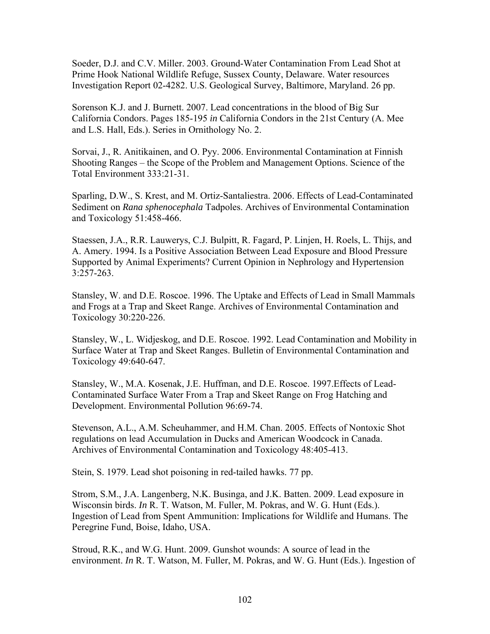Soeder, D.J. and C.V. Miller. 2003. Ground-Water Contamination From Lead Shot at Prime Hook National Wildlife Refuge, Sussex County, Delaware. Water resources Investigation Report 02-4282. U.S. Geological Survey, Baltimore, Maryland. 26 pp.

Sorenson K.J. and J. Burnett. 2007. Lead concentrations in the blood of Big Sur California Condors. Pages 185-195 *in* California Condors in the 21st Century (A. Mee and L.S. Hall, Eds.). Series in Ornithology No. 2.

Sorvai, J., R. Anitikainen, and O. Pyy. 2006. Environmental Contamination at Finnish Shooting Ranges – the Scope of the Problem and Management Options. Science of the Total Environment 333:21-31.

Sparling, D.W., S. Krest, and M. Ortiz-Santaliestra. 2006. Effects of Lead-Contaminated Sediment on *Rana sphenocephala* Tadpoles. Archives of Environmental Contamination and Toxicology 51:458-466.

Staessen, J.A., R.R. Lauwerys, C.J. Bulpitt, R. Fagard, P. Linjen, H. Roels, L. Thijs, and A. Amery. 1994. Is a Positive Association Between Lead Exposure and Blood Pressure Supported by Animal Experiments? Current Opinion in Nephrology and Hypertension 3:257-263.

Stansley, W. and D.E. Roscoe. 1996. The Uptake and Effects of Lead in Small Mammals and Frogs at a Trap and Skeet Range. Archives of Environmental Contamination and Toxicology 30:220-226.

Stansley, W., L. Widjeskog, and D.E. Roscoe. 1992. Lead Contamination and Mobility in Surface Water at Trap and Skeet Ranges. Bulletin of Environmental Contamination and Toxicology 49:640-647.

Stansley, W., M.A. Kosenak, J.E. Huffman, and D.E. Roscoe. 1997.Effects of Lead-Contaminated Surface Water From a Trap and Skeet Range on Frog Hatching and Development. Environmental Pollution 96:69-74.

Stevenson, A.L., A.M. Scheuhammer, and H.M. Chan. 2005. Effects of Nontoxic Shot regulations on lead Accumulation in Ducks and American Woodcock in Canada. Archives of Environmental Contamination and Toxicology 48:405-413.

Stein, S. 1979. Lead shot poisoning in red-tailed hawks. 77 pp.

Strom, S.M., J.A. Langenberg, N.K. Businga, and J.K. Batten. 2009. Lead exposure in Wisconsin birds. *In* R. T. Watson, M. Fuller, M. Pokras, and W. G. Hunt (Eds.). Ingestion of Lead from Spent Ammunition: Implications for Wildlife and Humans. The Peregrine Fund, Boise, Idaho, USA.

Stroud, R.K., and W.G. Hunt. 2009. Gunshot wounds: A source of lead in the environment. *In* R. T. Watson, M. Fuller, M. Pokras, and W. G. Hunt (Eds.). Ingestion of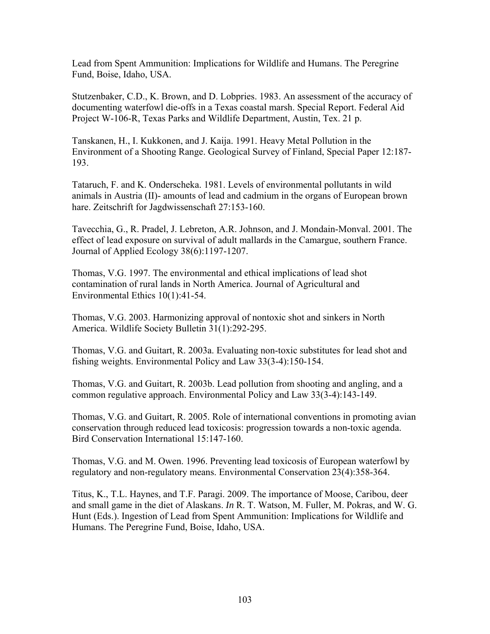Lead from Spent Ammunition: Implications for Wildlife and Humans. The Peregrine Fund, Boise, Idaho, USA.

Stutzenbaker, C.D., K. Brown, and D. Lobpries. 1983. An assessment of the accuracy of documenting waterfowl die-offs in a Texas coastal marsh. Special Report. Federal Aid Project W-106-R, Texas Parks and Wildlife Department, Austin, Tex. 21 p.

Tanskanen, H., I. Kukkonen, and J. Kaija. 1991. Heavy Metal Pollution in the Environment of a Shooting Range. Geological Survey of Finland, Special Paper 12:187- 193.

Tataruch, F. and K. Onderscheka. 1981. Levels of environmental pollutants in wild animals in Austria (II)- amounts of lead and cadmium in the organs of European brown hare. Zeitschrift for Jagdwissenschaft 27:153-160.

Tavecchia, G., R. Pradel, J. Lebreton, A.R. Johnson, and J. Mondain-Monval. 2001. The effect of lead exposure on survival of adult mallards in the Camargue, southern France. Journal of Applied Ecology 38(6):1197-1207.

Thomas, V.G. 1997. The environmental and ethical implications of lead shot contamination of rural lands in North America. Journal of Agricultural and Environmental Ethics 10(1):41-54.

Thomas, V.G. 2003. Harmonizing approval of nontoxic shot and sinkers in North America. Wildlife Society Bulletin 31(1):292-295.

Thomas, V.G. and Guitart, R. 2003a. Evaluating non-toxic substitutes for lead shot and fishing weights. Environmental Policy and Law 33(3-4):150-154.

Thomas, V.G. and Guitart, R. 2003b. Lead pollution from shooting and angling, and a common regulative approach. Environmental Policy and Law 33(3-4):143-149.

Thomas, V.G. and Guitart, R. 2005. Role of international conventions in promoting avian conservation through reduced lead toxicosis: progression towards a non-toxic agenda. Bird Conservation International 15:147-160.

Thomas, V.G. and M. Owen. 1996. Preventing lead toxicosis of European waterfowl by regulatory and non-regulatory means. Environmental Conservation 23(4):358-364.

Titus, K., T.L. Haynes, and T.F. Paragi. 2009. The importance of Moose, Caribou, deer and small game in the diet of Alaskans. *In* R. T. Watson, M. Fuller, M. Pokras, and W. G. Hunt (Eds.). Ingestion of Lead from Spent Ammunition: Implications for Wildlife and Humans. The Peregrine Fund, Boise, Idaho, USA.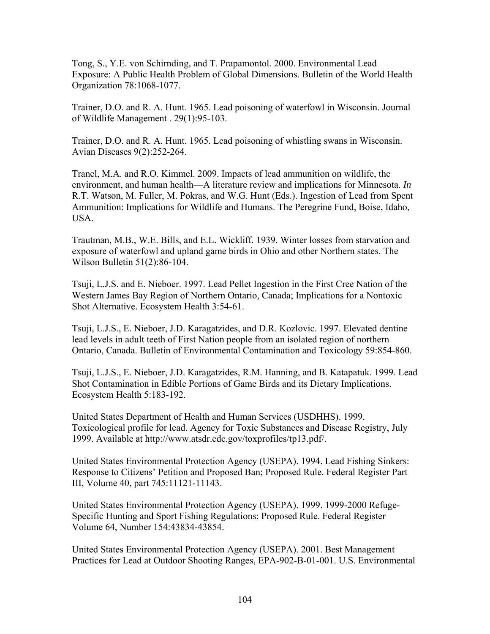Tong, S., Y.E. von Schirnding, and T. Prapamontol. 2000. Environmental Lead Exposure: A Public Health Problem of Global Dimensions. Bulletin of the World Health Organization 78:1068-1077.

Trainer, D.O. and R. A. Hunt. 1965. Lead poisoning of waterfowl in Wisconsin. Journal of Wildlife Management . 29(1):95-103.

Trainer, D.O. and R. A. Hunt. 1965. Lead poisoning of whistling swans in Wisconsin. Avian Diseases 9(2):252-264.

Tranel, M.A. and R.O. Kimmel. 2009. Impacts of lead ammunition on wildlife, the environment, and human health—A literature review and implications for Minnesota. *In*  R.T. Watson, M. Fuller, M. Pokras, and W.G. Hunt (Eds.). Ingestion of Lead from Spent Ammunition: Implications for Wildlife and Humans. The Peregrine Fund, Boise, Idaho, USA.

Trautman, M.B., W.E. Bills, and E.L. Wickliff. 1939. Winter losses from starvation and exposure of waterfowl and upland game birds in Ohio and other Northern states. The Wilson Bulletin 51(2):86-104.

Tsuji, L.J.S. and E. Nieboer. 1997. Lead Pellet Ingestion in the First Cree Nation of the Western James Bay Region of Northern Ontario, Canada; Implications for a Nontoxic Shot Alternative. Ecosystem Health 3:54-61.

Tsuji, L.J.S., E. Nieboer, J.D. Karagatzides, and D.R. Kozlovic. 1997. Elevated dentine lead levels in adult teeth of First Nation people from an isolated region of northern Ontario, Canada. Bulletin of Environmental Contamination and Toxicology 59:854-860.

Tsuji, L.J.S., E. Nieboer, J.D. Karagatzides, R.M. Hanning, and B. Katapatuk. 1999. Lead Shot Contamination in Edible Portions of Game Birds and its Dietary Implications. Ecosystem Health 5:183-192.

United States Department of Health and Human Services (USDHHS). 1999. Toxicological profile for lead. Agency for Toxic Substances and Disease Registry, July 1999. Available at http://www.atsdr.cdc.gov/toxprofiles/tp13.pdf/.

United States Environmental Protection Agency (USEPA). 1994. Lead Fishing Sinkers: Response to Citizens' Petition and Proposed Ban; Proposed Rule. Federal Register Part III, Volume 40, part 745:11121-11143.

United States Environmental Protection Agency (USEPA). 1999. 1999-2000 Refuge-Specific Hunting and Sport Fishing Regulations: Proposed Rule. Federal Register Volume 64, Number 154:43834-43854.

United States Environmental Protection Agency (USEPA). 2001. Best Management Practices for Lead at Outdoor Shooting Ranges, EPA-902-B-01-001. U.S. Environmental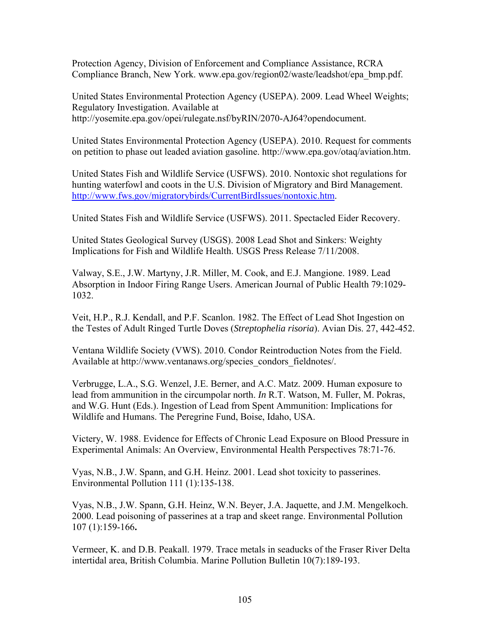Protection Agency, Division of Enforcement and Compliance Assistance, RCRA Compliance Branch, New York. www.epa.gov/region02/waste/leadshot/epa\_bmp.pdf.

United States Environmental Protection Agency (USEPA). 2009. Lead Wheel Weights; Regulatory Investigation. Available at http://yosemite.epa.gov/opei/rulegate.nsf/byRIN/2070-AJ64?opendocument.

United States Environmental Protection Agency (USEPA). 2010. Request for comments on petition to phase out leaded aviation gasoline. http://www.epa.gov/otaq/aviation.htm.

United States Fish and Wildlife Service (USFWS). 2010. Nontoxic shot regulations for hunting waterfowl and coots in the U.S. Division of Migratory and Bird Management. http://www.fws.gov/migratorybirds/CurrentBirdIssues/nontoxic.htm.

United States Fish and Wildlife Service (USFWS). 2011. Spectacled Eider Recovery.

United States Geological Survey (USGS). 2008 Lead Shot and Sinkers: Weighty Implications for Fish and Wildlife Health. USGS Press Release 7/11/2008.

Valway, S.E., J.W. Martyny, J.R. Miller, M. Cook, and E.J. Mangione. 1989. Lead Absorption in Indoor Firing Range Users. American Journal of Public Health 79:1029- 1032.

Veit, H.P., R.J. Kendall, and P.F. Scanlon. 1982. The Effect of Lead Shot Ingestion on the Testes of Adult Ringed Turtle Doves (*Streptophelia risoria*). Avian Dis. 27, 442-452.

Ventana Wildlife Society (VWS). 2010. Condor Reintroduction Notes from the Field. Available at http://www.ventanaws.org/species\_condors\_fieldnotes/.

Verbrugge, L.A., S.G. Wenzel, J.E. Berner, and A.C. Matz. 2009. Human exposure to lead from ammunition in the circumpolar north. *In* R.T. Watson, M. Fuller, M. Pokras, and W.G. Hunt (Eds.). Ingestion of Lead from Spent Ammunition: Implications for Wildlife and Humans. The Peregrine Fund, Boise, Idaho, USA.

Victery, W. 1988. Evidence for Effects of Chronic Lead Exposure on Blood Pressure in Experimental Animals: An Overview, Environmental Health Perspectives 78:71-76.

Vyas, N.B., J.W. Spann, and G.H. Heinz. 2001. Lead shot toxicity to passerines. Environmental Pollution 111 (1):135-138.

Vyas, N.B., J.W. Spann, G.H. Heinz, W.N. Beyer, J.A. Jaquette, and J.M. Mengelkoch. 2000. Lead poisoning of passerines at a trap and skeet range. Environmental Pollution 107 (1):159-166**.** 

Vermeer, K. and D.B. Peakall. 1979. Trace metals in seaducks of the Fraser River Delta intertidal area, British Columbia. Marine Pollution Bulletin 10(7):189-193.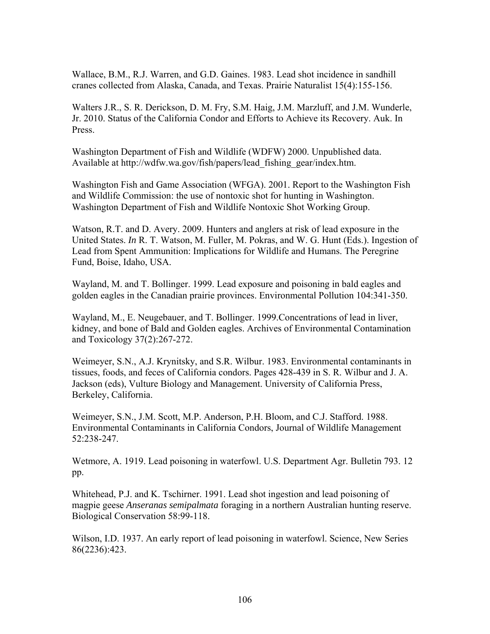Wallace, B.M., R.J. Warren, and G.D. Gaines. 1983. Lead shot incidence in sandhill cranes collected from Alaska, Canada, and Texas. Prairie Naturalist 15(4):155-156.

Walters J.R., S. R. Derickson, D. M. Fry, S.M. Haig, J.M. Marzluff, and J.M. Wunderle, Jr. 2010. Status of the California Condor and Efforts to Achieve its Recovery. Auk. In Press.

Washington Department of Fish and Wildlife (WDFW) 2000. Unpublished data. Available at http://wdfw.wa.gov/fish/papers/lead\_fishing\_gear/index.htm.

Washington Fish and Game Association (WFGA). 2001. Report to the Washington Fish and Wildlife Commission: the use of nontoxic shot for hunting in Washington. Washington Department of Fish and Wildlife Nontoxic Shot Working Group.

Watson, R.T. and D. Avery. 2009. Hunters and anglers at risk of lead exposure in the United States. *In* R. T. Watson, M. Fuller, M. Pokras, and W. G. Hunt (Eds.). Ingestion of Lead from Spent Ammunition: Implications for Wildlife and Humans. The Peregrine Fund, Boise, Idaho, USA.

Wayland, M. and T. Bollinger. 1999. Lead exposure and poisoning in bald eagles and golden eagles in the Canadian prairie provinces. Environmental Pollution 104:341-350.

Wayland, M., E. Neugebauer, and T. Bollinger. 1999.Concentrations of lead in liver, kidney, and bone of Bald and Golden eagles. Archives of Environmental Contamination and Toxicology 37(2):267-272.

Weimeyer, S.N., A.J. Krynitsky, and S.R. Wilbur. 1983. Environmental contaminants in tissues, foods, and feces of California condors. Pages 428-439 in S. R. Wilbur and J. A. Jackson (eds), Vulture Biology and Management. University of California Press, Berkeley, California.

Weimeyer, S.N., J.M. Scott, M.P. Anderson, P.H. Bloom, and C.J. Stafford. 1988. Environmental Contaminants in California Condors, Journal of Wildlife Management 52:238-247.

Wetmore, A. 1919. Lead poisoning in waterfowl. U.S. Department Agr. Bulletin 793. 12 pp.

Whitehead, P.J. and K. Tschirner. 1991. Lead shot ingestion and lead poisoning of magpie geese *Anseranas semipalmata* foraging in a northern Australian hunting reserve. Biological Conservation 58:99-118.

Wilson, I.D. 1937. An early report of lead poisoning in waterfowl. Science, New Series 86(2236):423.